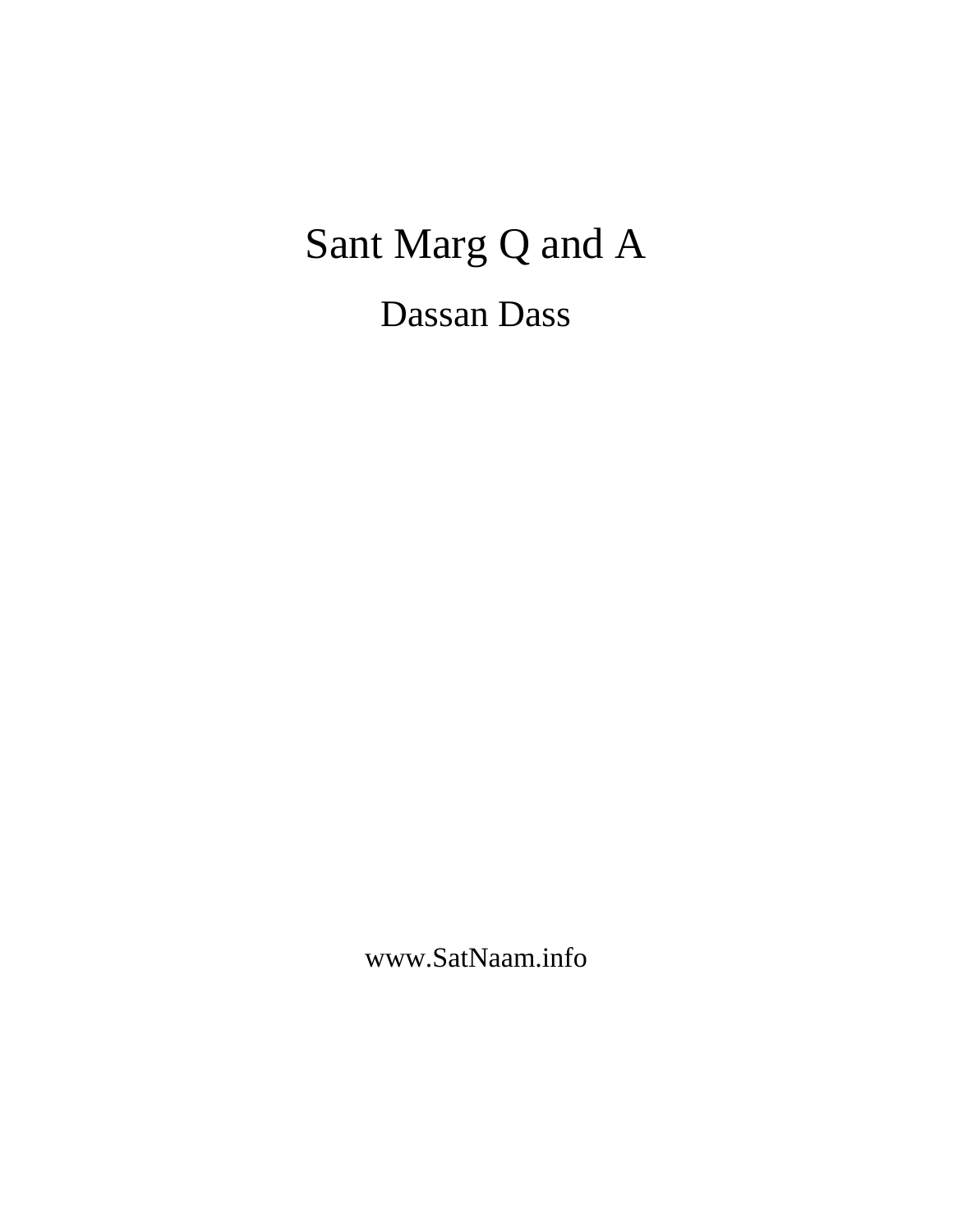# Sant Marg Q and A Dassan Dass

www.SatNaam.info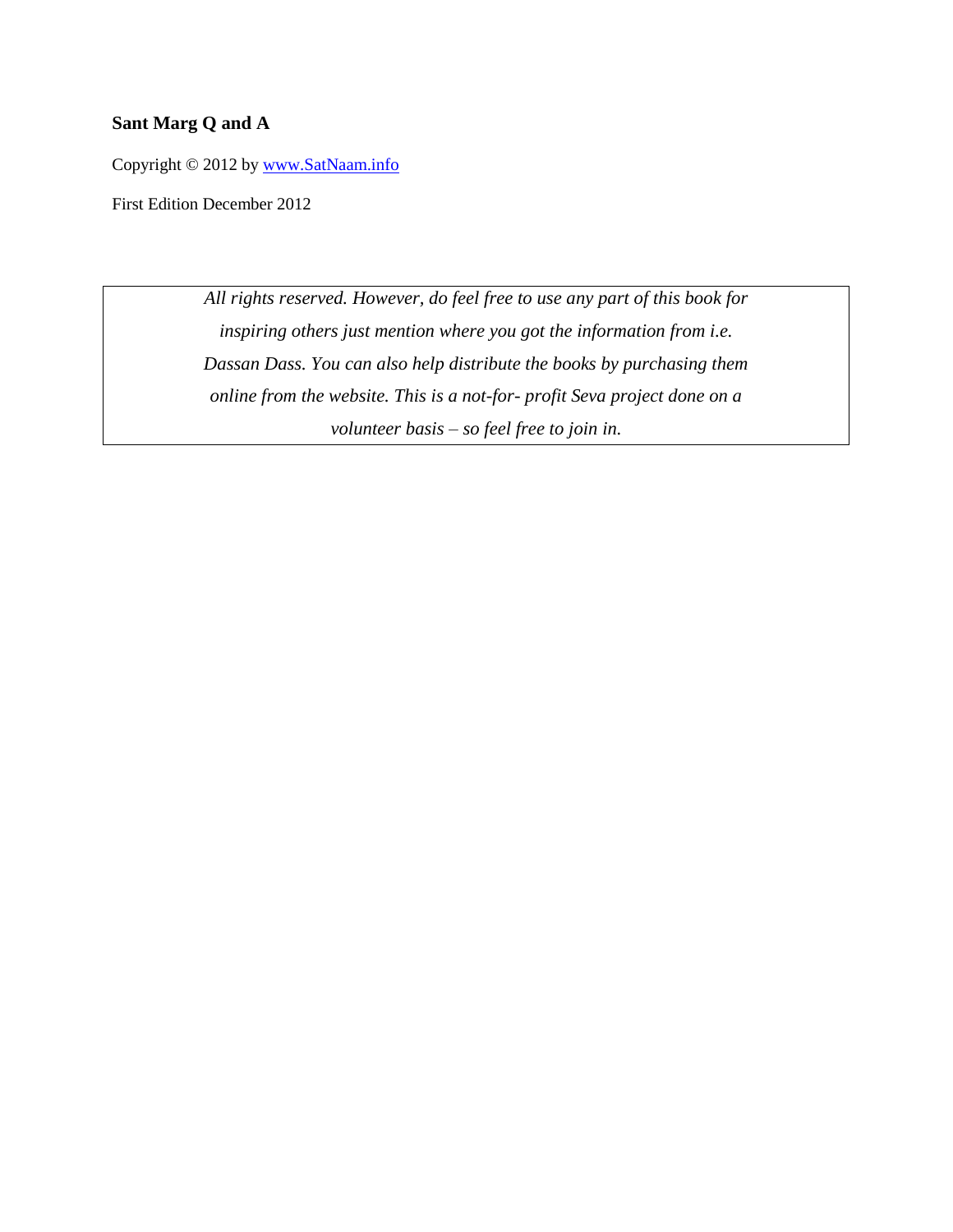#### **Sant Marg Q and A**

Copyright © 2012 by [www.SatNaam.info](http://www.satnaam.info/)

First Edition December 2012

*All rights reserved. However, do feel free to use any part of this book for inspiring others just mention where you got the information from i.e. Dassan Dass. You can also help distribute the books by purchasing them online from the website. This is a not-for- profit Seva project done on a volunteer basis – so feel free to join in.*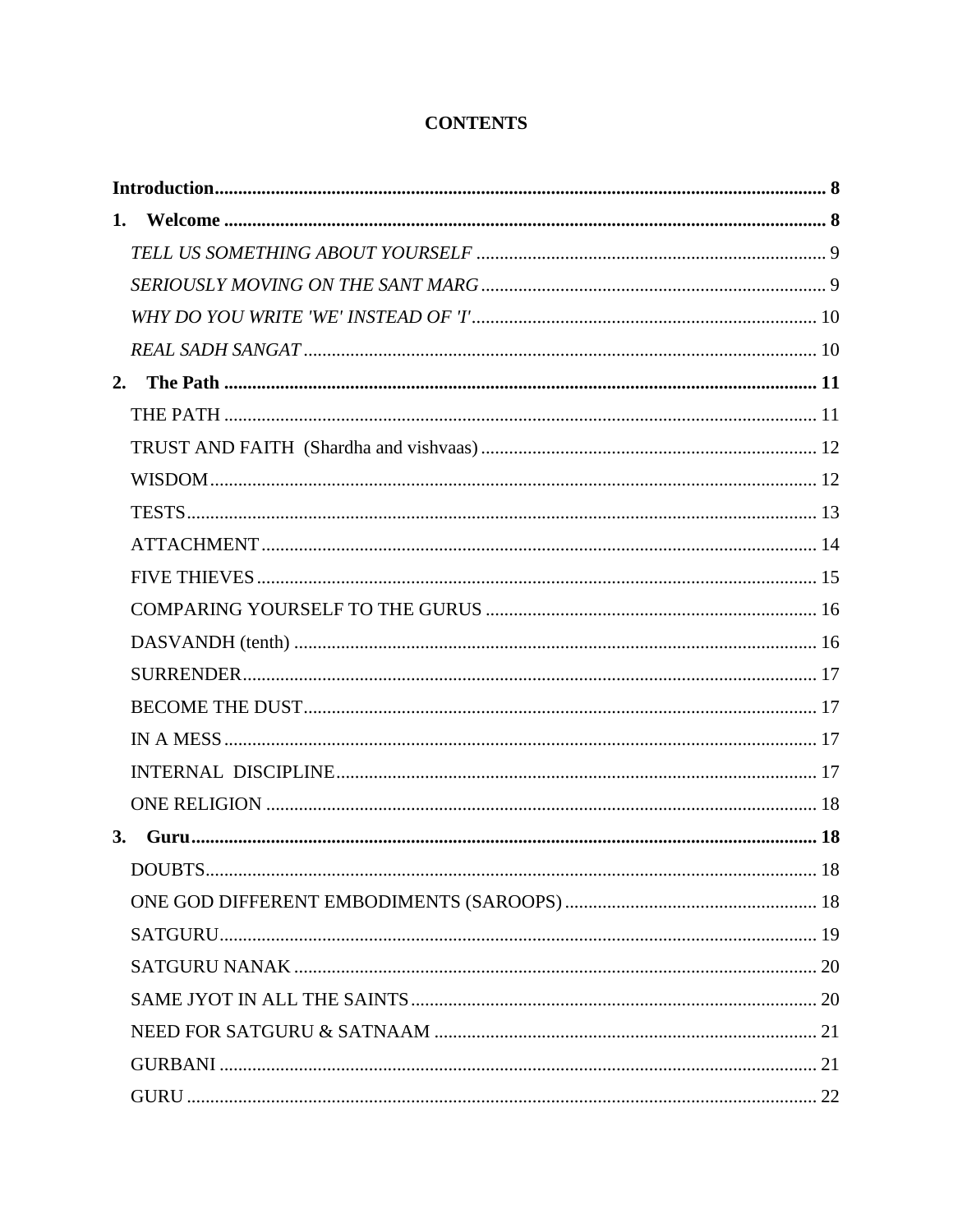## **CONTENTS**

| 1. |         |  |  |
|----|---------|--|--|
|    |         |  |  |
|    |         |  |  |
|    |         |  |  |
|    |         |  |  |
| 2. |         |  |  |
|    |         |  |  |
|    |         |  |  |
|    |         |  |  |
|    |         |  |  |
|    |         |  |  |
|    |         |  |  |
|    |         |  |  |
|    |         |  |  |
|    |         |  |  |
|    |         |  |  |
|    |         |  |  |
|    |         |  |  |
|    |         |  |  |
| 3. |         |  |  |
|    | DOUBTS. |  |  |
|    |         |  |  |
|    |         |  |  |
|    |         |  |  |
|    |         |  |  |
|    |         |  |  |
|    |         |  |  |
|    |         |  |  |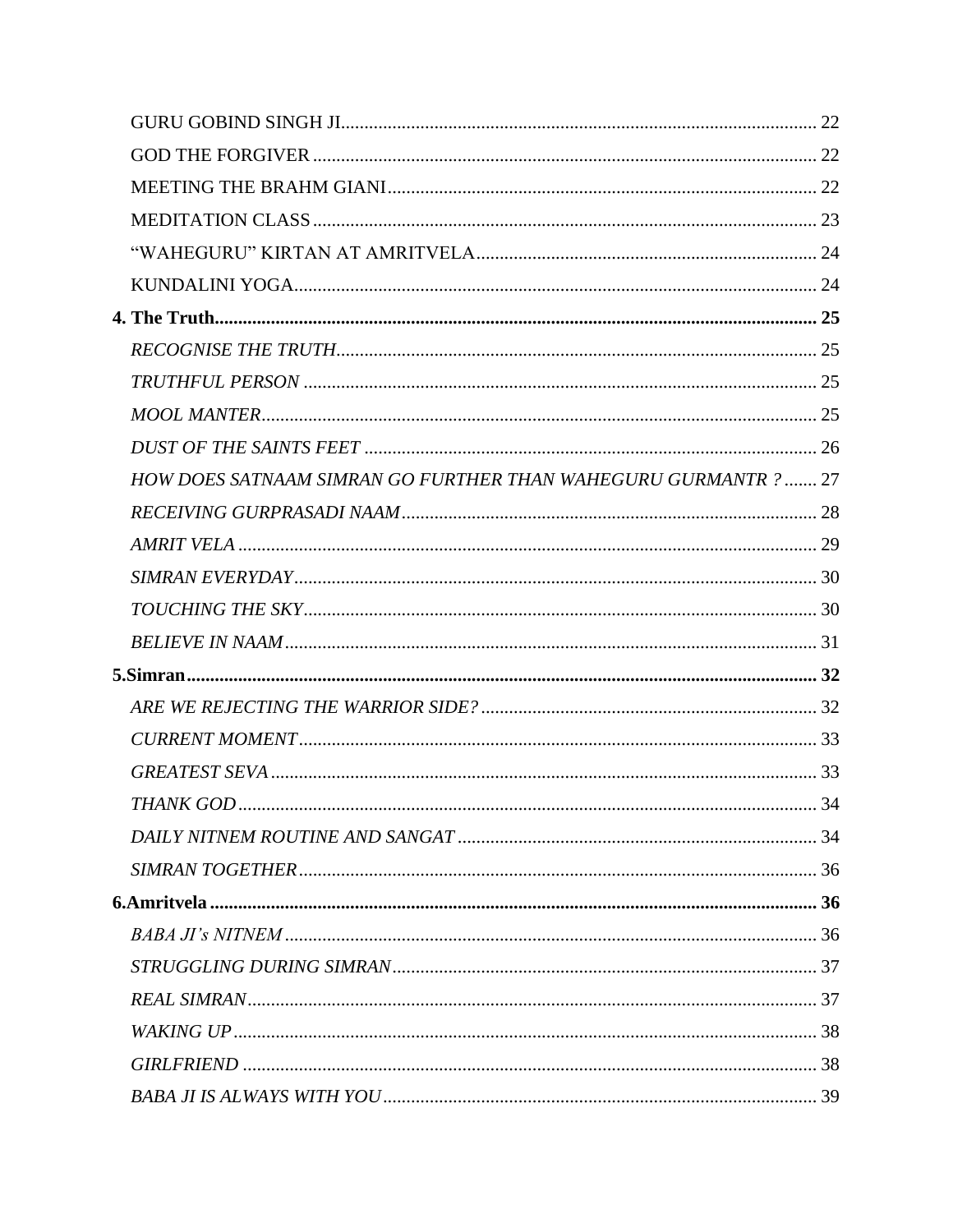| HOW DOES SATNAAM SIMRAN GO FURTHER THAN WAHEGURU GURMANTR ?  27 |  |
|-----------------------------------------------------------------|--|
|                                                                 |  |
|                                                                 |  |
|                                                                 |  |
|                                                                 |  |
|                                                                 |  |
|                                                                 |  |
|                                                                 |  |
|                                                                 |  |
|                                                                 |  |
|                                                                 |  |
|                                                                 |  |
|                                                                 |  |
|                                                                 |  |
|                                                                 |  |
|                                                                 |  |
|                                                                 |  |
|                                                                 |  |
|                                                                 |  |
|                                                                 |  |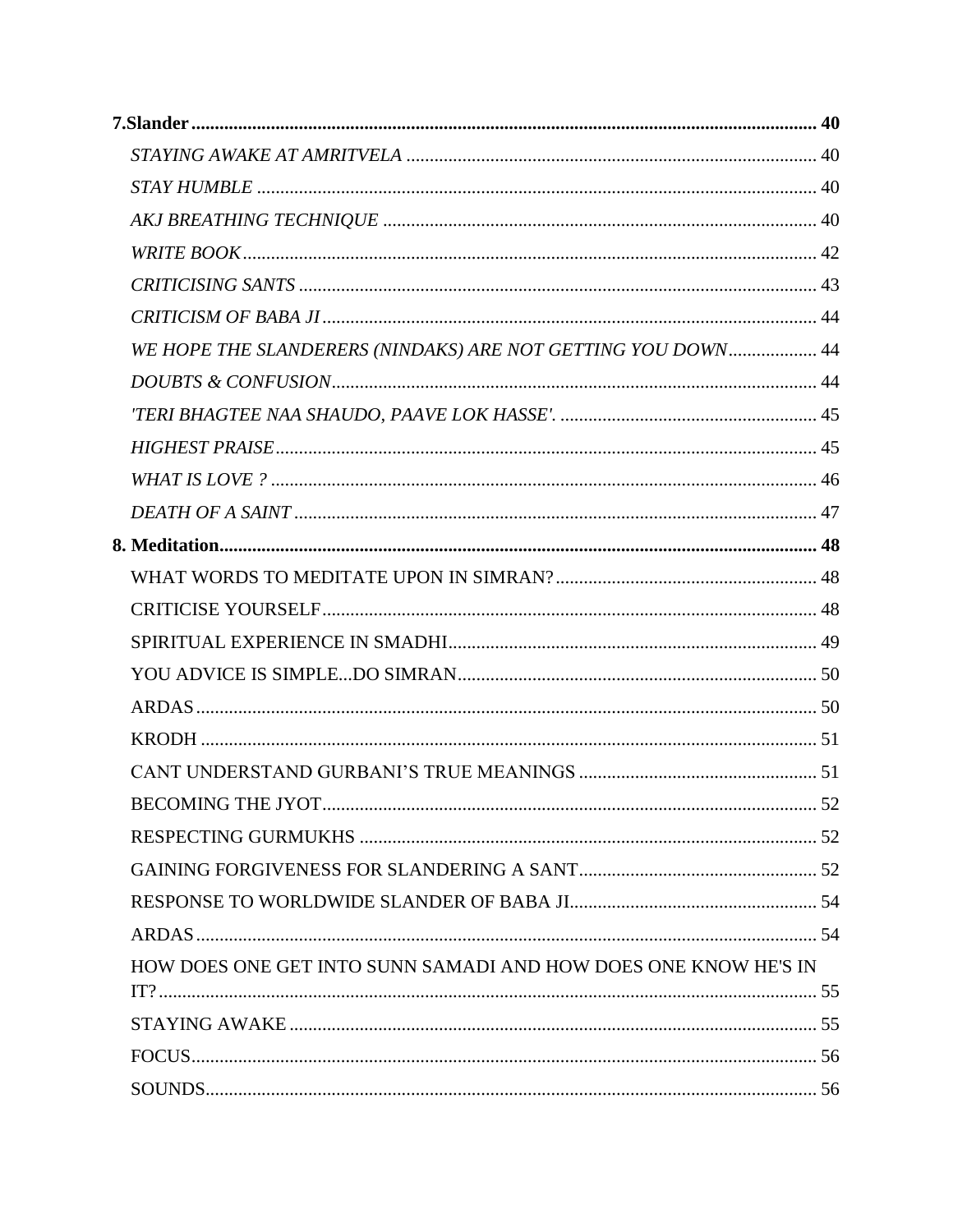| WE HOPE THE SLANDERERS (NINDAKS) ARE NOT GETTING YOU DOWN 44    |    |
|-----------------------------------------------------------------|----|
|                                                                 |    |
|                                                                 |    |
|                                                                 |    |
|                                                                 |    |
|                                                                 |    |
|                                                                 |    |
|                                                                 |    |
|                                                                 |    |
|                                                                 |    |
|                                                                 |    |
|                                                                 |    |
|                                                                 |    |
|                                                                 |    |
| <b>BECOMING THE JYOT.</b>                                       | 52 |
|                                                                 |    |
|                                                                 |    |
|                                                                 |    |
|                                                                 |    |
| HOW DOES ONE GET INTO SUNN SAMADI AND HOW DOES ONE KNOW HE'S IN |    |
|                                                                 |    |
|                                                                 |    |
|                                                                 |    |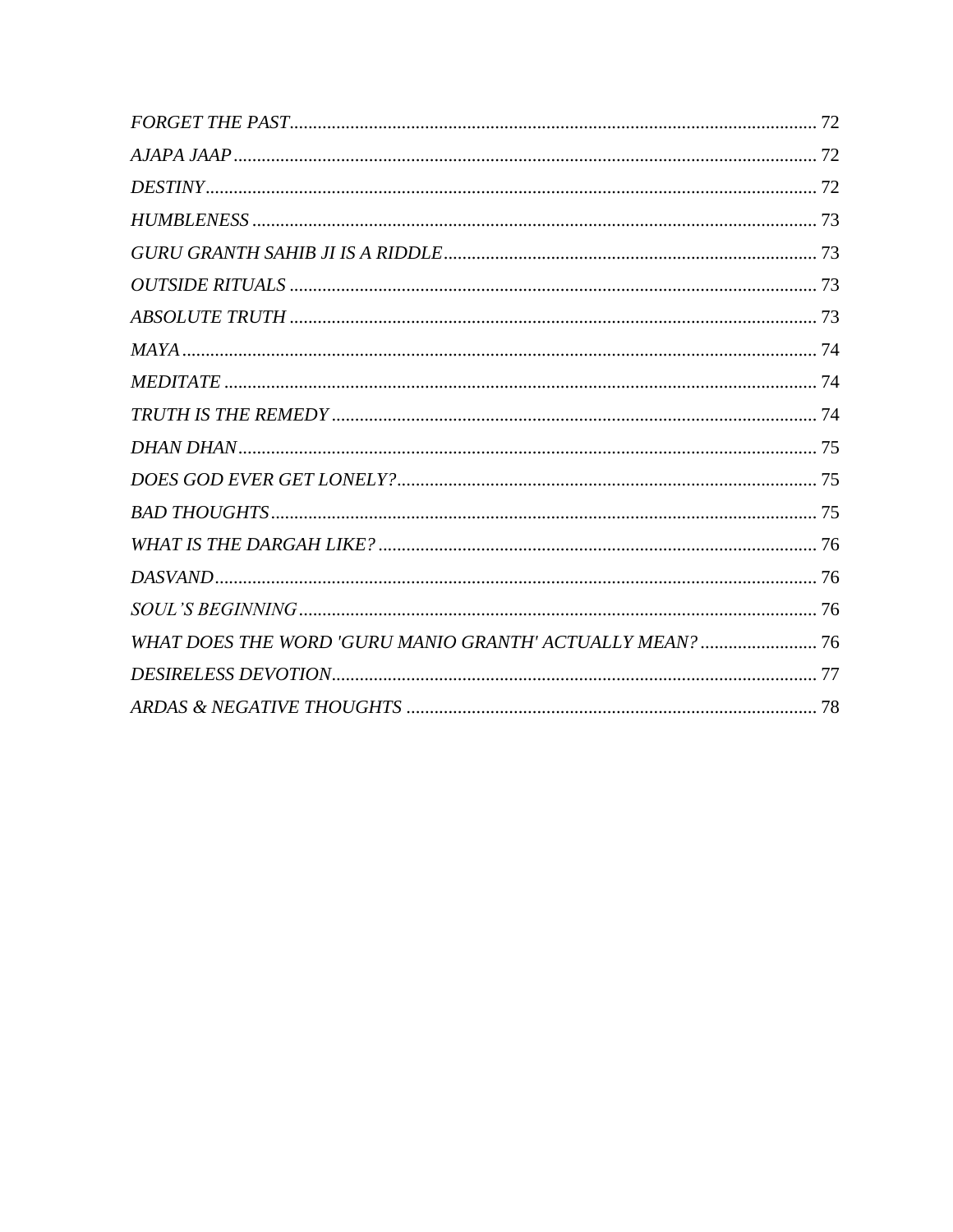| WHAT DOES THE WORD 'GURU MANIO GRANTH' ACTUALLY MEAN?  76 |  |
|-----------------------------------------------------------|--|
|                                                           |  |
|                                                           |  |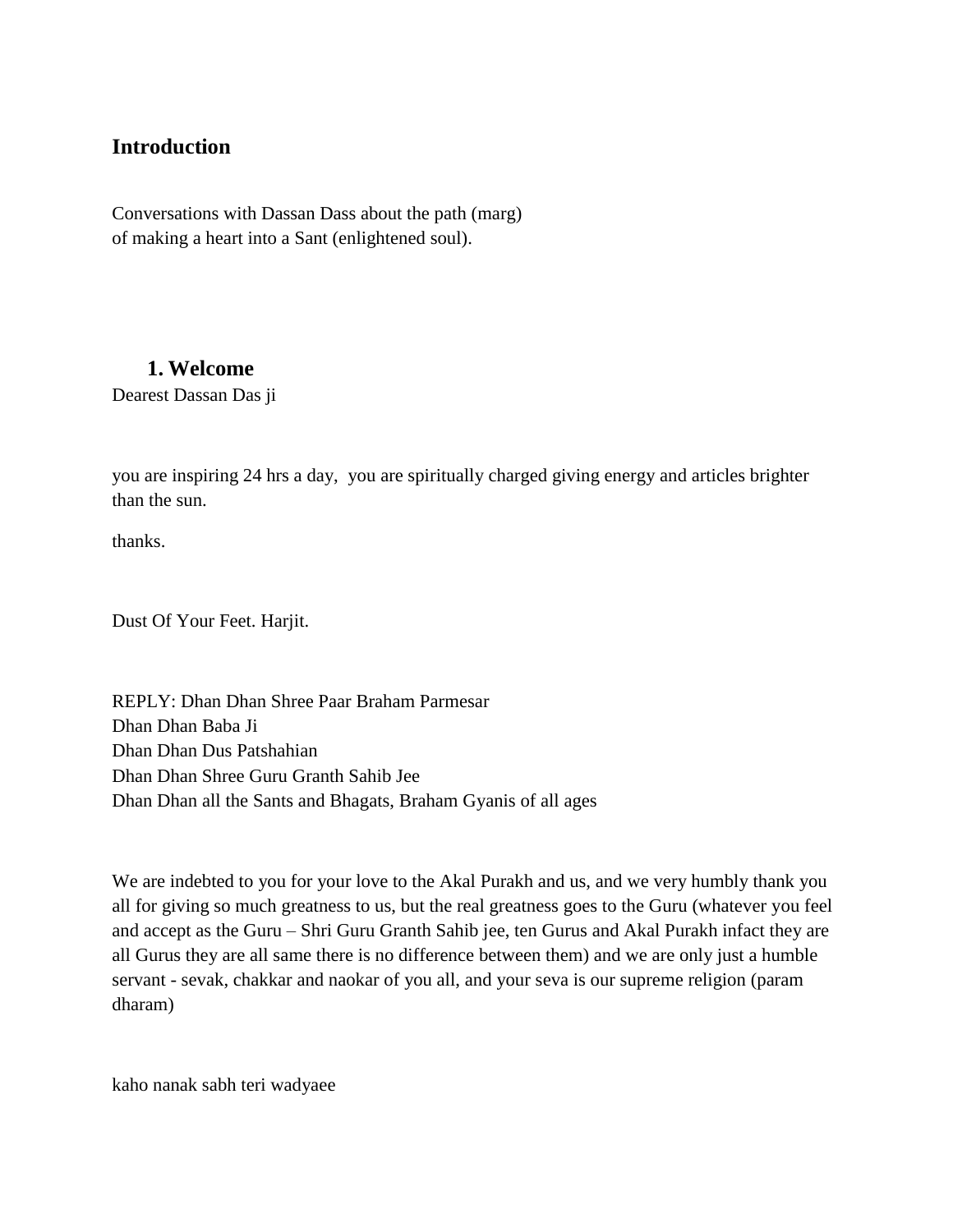### <span id="page-7-0"></span>**Introduction**

Conversations with Dassan Dass about the path (marg) of making a heart into a Sant (enlightened soul).

#### <span id="page-7-1"></span>**1. Welcome**

Dearest Dassan Das ji

you are inspiring 24 hrs a day, you are spiritually charged giving energy and articles brighter than the sun.

thanks.

Dust Of Your Feet. Harjit.

REPLY: Dhan Dhan Shree Paar Braham Parmesar Dhan Dhan Baba Ji Dhan Dhan Dus Patshahian Dhan Dhan Shree Guru Granth Sahib Jee Dhan Dhan all the Sants and Bhagats, Braham Gyanis of all ages

We are indebted to you for your love to the Akal Purakh and us, and we very humbly thank you all for giving so much greatness to us, but the real greatness goes to the Guru (whatever you feel and accept as the Guru – Shri Guru Granth Sahib jee, ten Gurus and Akal Purakh infact they are all Gurus they are all same there is no difference between them) and we are only just a humble servant - sevak, chakkar and naokar of you all, and your seva is our supreme religion (param dharam)

kaho nanak sabh teri wadyaee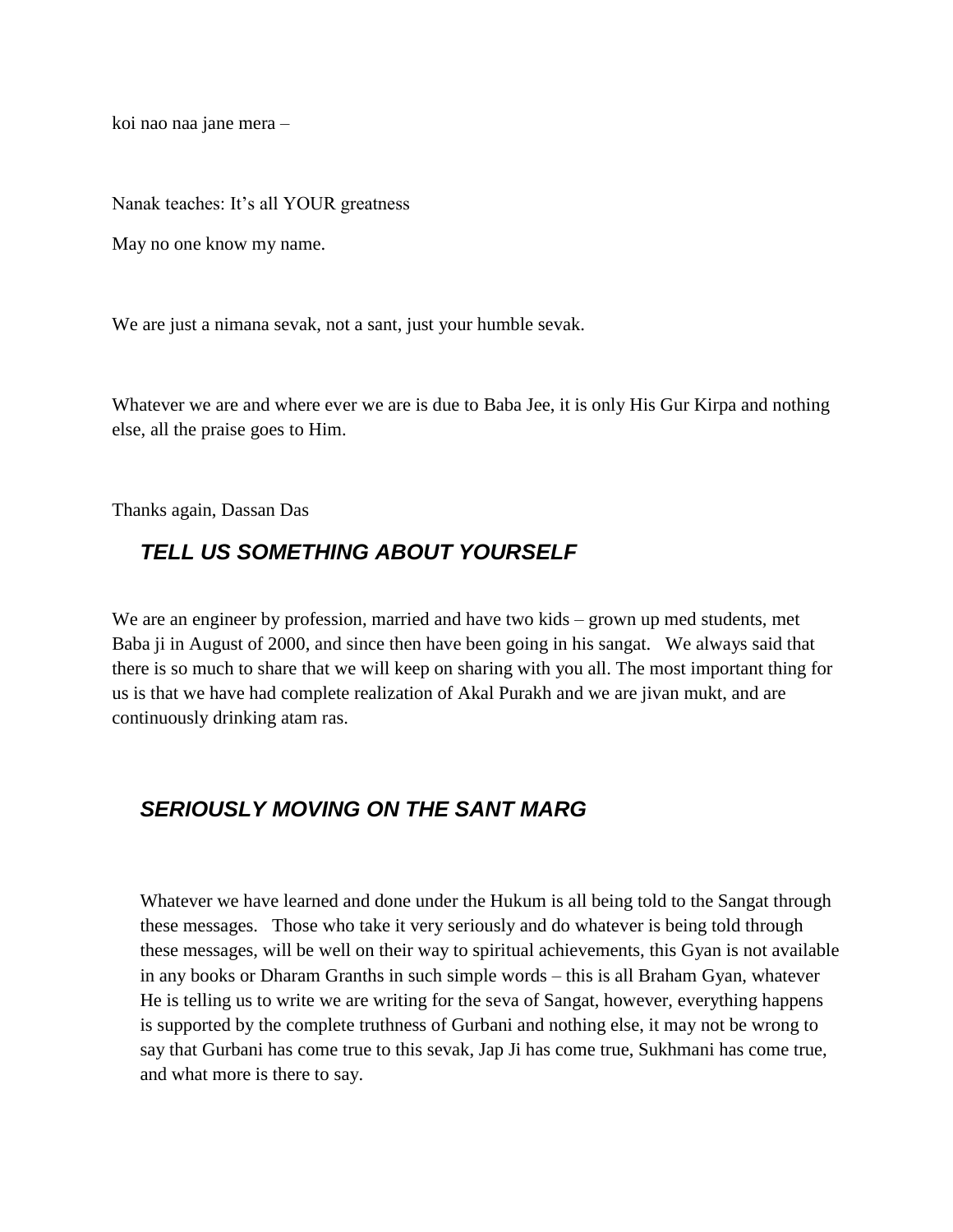koi nao naa jane mera –

Nanak teaches: It's all YOUR greatness

May no one know my name.

We are just a nimana sevak, not a sant, just your humble sevak.

Whatever we are and where ever we are is due to Baba Jee, it is only His Gur Kirpa and nothing else, all the praise goes to Him.

Thanks again, Dassan Das

## <span id="page-8-0"></span>*TELL US SOMETHING ABOUT YOURSELF*

We are an engineer by profession, married and have two kids – grown up med students, met Baba ji in August of 2000, and since then have been going in his sangat. We always said that there is so much to share that we will keep on sharing with you all. The most important thing for us is that we have had complete realization of Akal Purakh and we are jivan mukt, and are continuously drinking atam ras.

## <span id="page-8-1"></span>*SERIOUSLY MOVING ON THE SANT MARG*

Whatever we have learned and done under the Hukum is all being told to the Sangat through these messages. Those who take it very seriously and do whatever is being told through these messages, will be well on their way to spiritual achievements, this Gyan is not available in any books or Dharam Granths in such simple words – this is all Braham Gyan, whatever He is telling us to write we are writing for the seva of Sangat, however, everything happens is supported by the complete truthness of Gurbani and nothing else, it may not be wrong to say that Gurbani has come true to this sevak, Jap Ji has come true, Sukhmani has come true, and what more is there to say.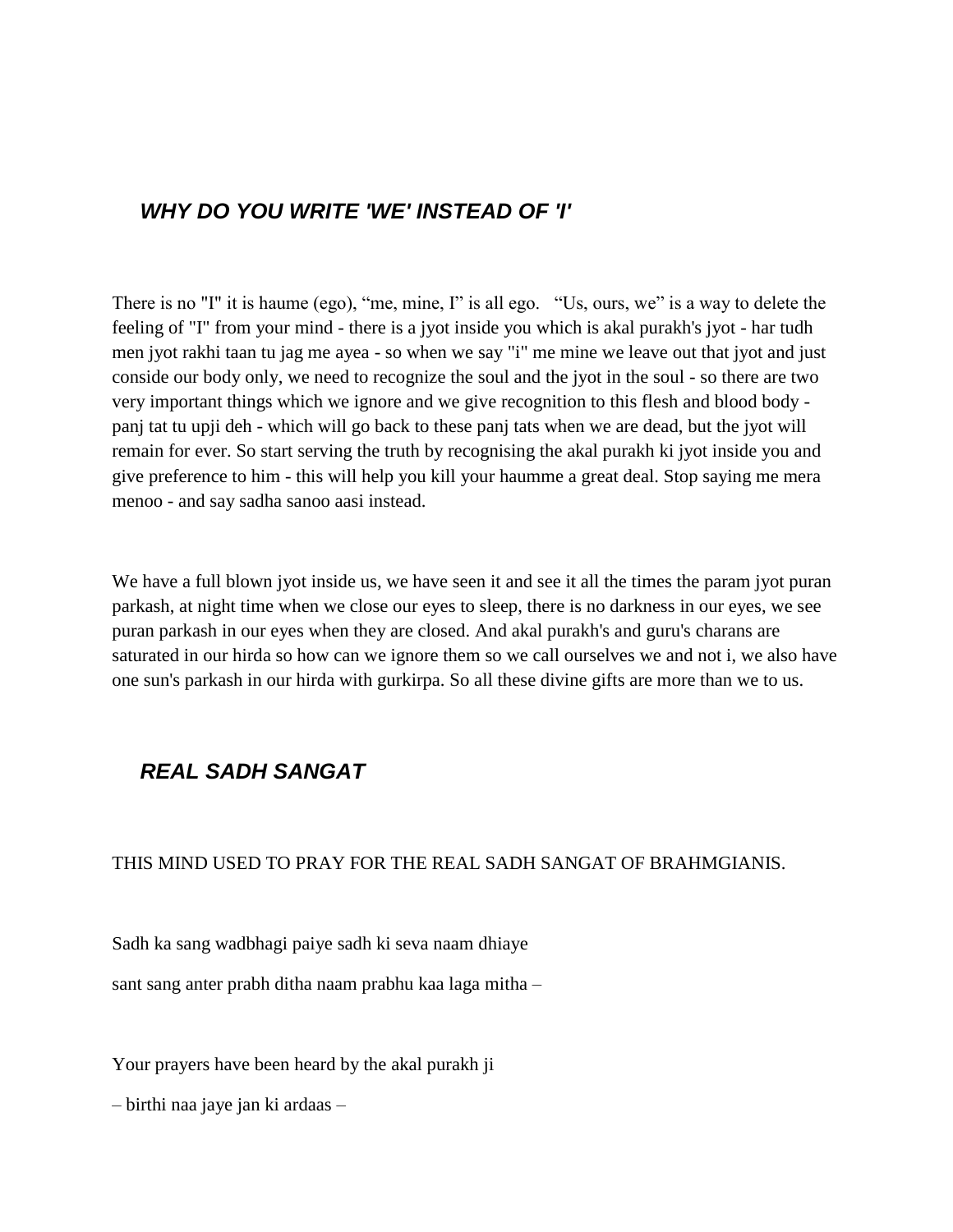## <span id="page-9-0"></span>*WHY DO YOU WRITE 'WE' INSTEAD OF 'I'*

There is no "I" it is haume (ego), "me, mine, I" is all ego. "Us, ours, we" is a way to delete the feeling of "I" from your mind - there is a jyot inside you which is akal purakh's jyot - har tudh men jyot rakhi taan tu jag me ayea - so when we say "i" me mine we leave out that jyot and just conside our body only, we need to recognize the soul and the jyot in the soul - so there are two very important things which we ignore and we give recognition to this flesh and blood body panj tat tu upji deh - which will go back to these panj tats when we are dead, but the jyot will remain for ever. So start serving the truth by recognising the akal purakh ki jyot inside you and give preference to him - this will help you kill your haumme a great deal. Stop saying me mera menoo - and say sadha sanoo aasi instead.

We have a full blown jyot inside us, we have seen it and see it all the times the param jyot puran parkash, at night time when we close our eyes to sleep, there is no darkness in our eyes, we see puran parkash in our eyes when they are closed. And akal purakh's and guru's charans are saturated in our hirda so how can we ignore them so we call ourselves we and not i, we also have one sun's parkash in our hirda with gurkirpa. So all these divine gifts are more than we to us.

## <span id="page-9-1"></span>*REAL SADH SANGAT*

#### THIS MIND USED TO PRAY FOR THE REAL SADH SANGAT OF BRAHMGIANIS.

Sadh ka sang wadbhagi paiye sadh ki seva naam dhiaye

sant sang anter prabh ditha naam prabhu kaa laga mitha –

Your prayers have been heard by the akal purakh ji

– birthi naa jaye jan ki ardaas –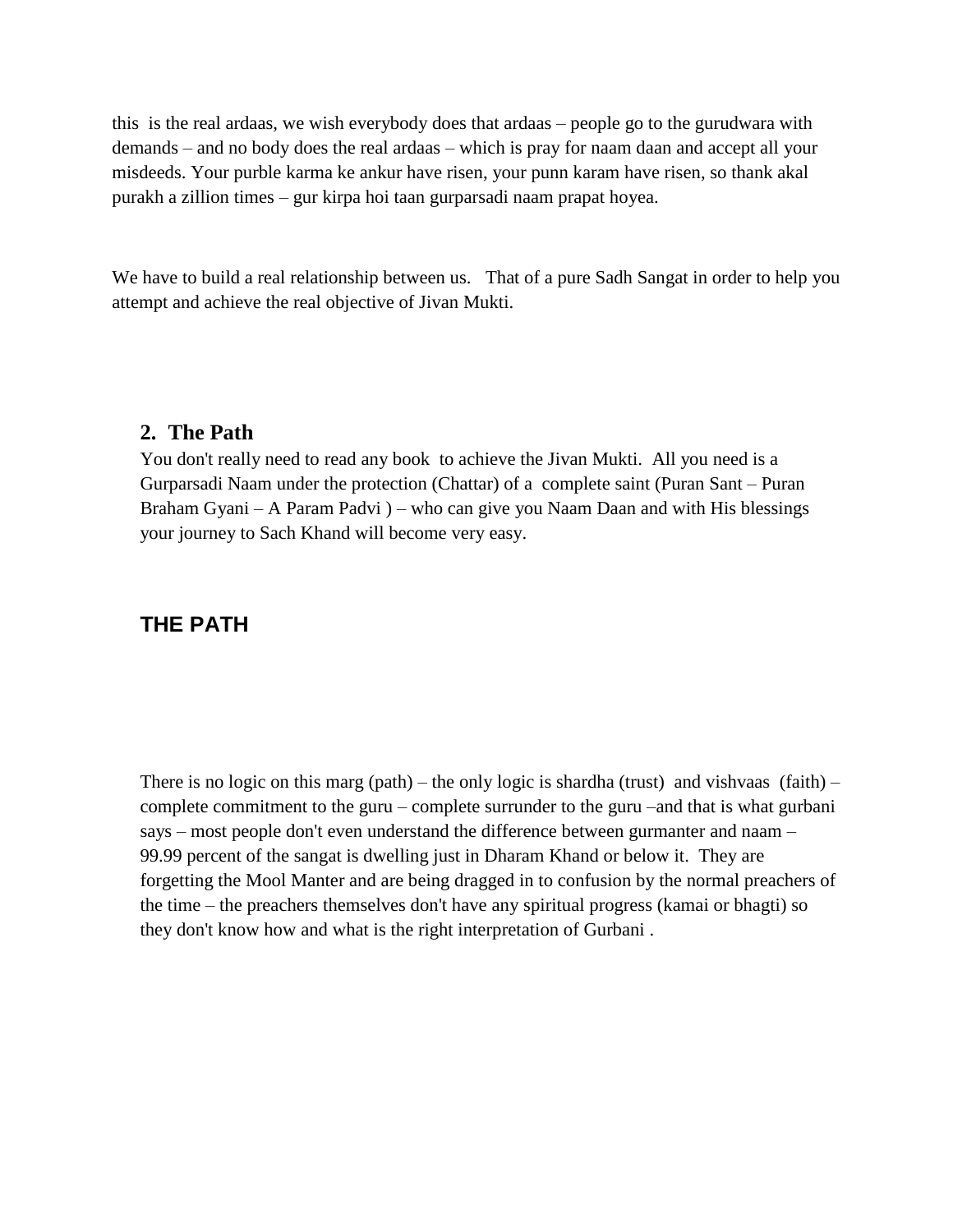this is the real ardaas, we wish everybody does that ardaas – people go to the gurudwara with demands – and no body does the real ardaas – which is pray for naam daan and accept all your misdeeds. Your purble karma ke ankur have risen, your punn karam have risen, so thank akal purakh a zillion times – gur kirpa hoi taan gurparsadi naam prapat hoyea.

We have to build a real relationship between us. That of a pure Sadh Sangat in order to help you attempt and achieve the real objective of Jivan Mukti.

#### <span id="page-10-0"></span>**2. The Path**

You don't really need to read any book to achieve the Jivan Mukti. All you need is a Gurparsadi Naam under the protection (Chattar) of a complete saint (Puran Sant – Puran Braham Gyani – A Param Padvi ) – who can give you Naam Daan and with His blessings your journey to Sach Khand will become very easy.

## <span id="page-10-1"></span>**THE PATH**

There is no logic on this marg (path) – the only logic is shardha (trust) and vishvaas (faith) – complete commitment to the guru – complete surrunder to the guru –and that is what gurbani says – most people don't even understand the difference between gurmanter and naam – 99.99 percent of the sangat is dwelling just in Dharam Khand or below it. They are forgetting the Mool Manter and are being dragged in to confusion by the normal preachers of the time – the preachers themselves don't have any spiritual progress (kamai or bhagti) so they don't know how and what is the right interpretation of Gurbani .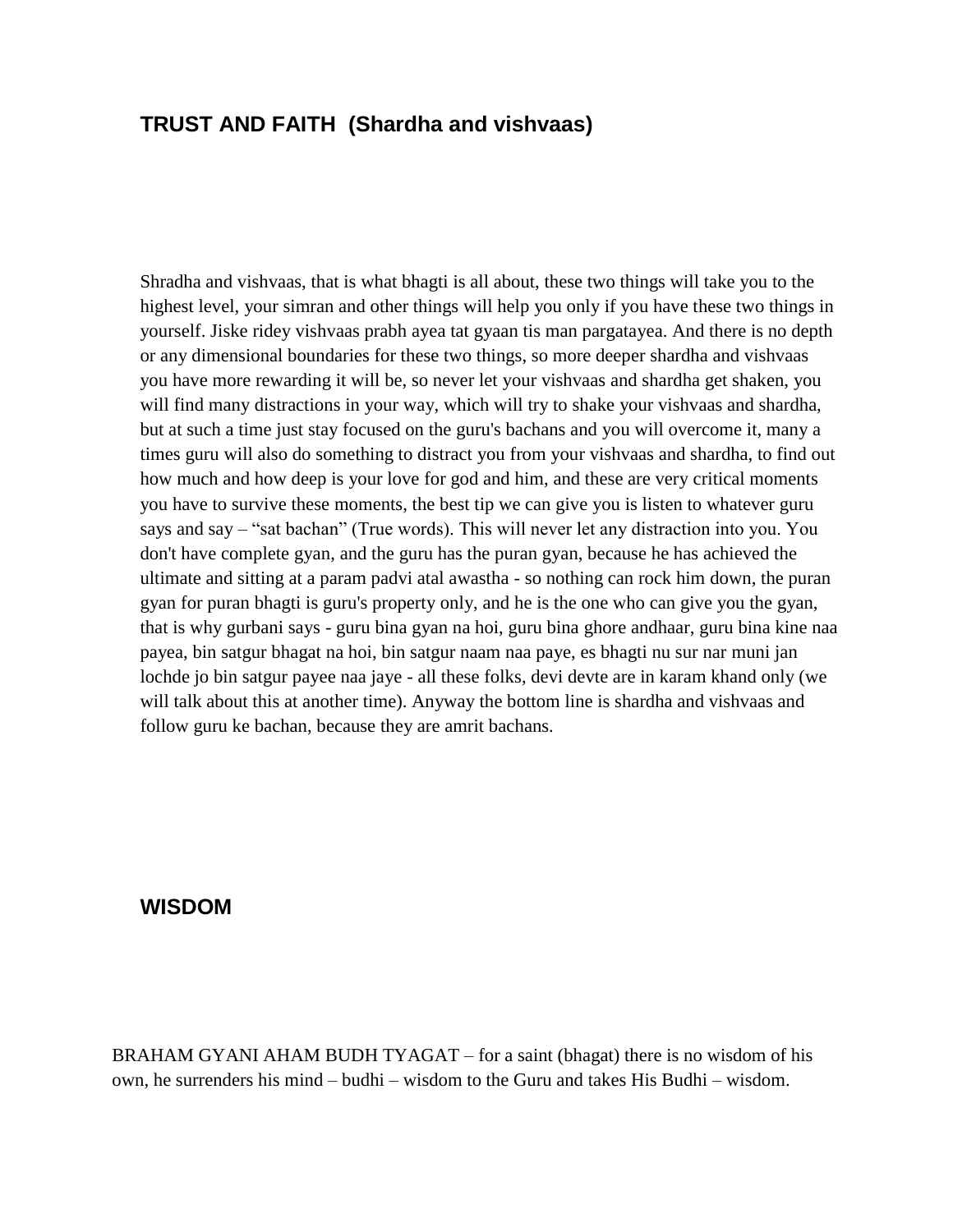## <span id="page-11-0"></span>**TRUST AND FAITH (Shardha and vishvaas)**

Shradha and vishvaas, that is what bhagti is all about, these two things will take you to the highest level, your simran and other things will help you only if you have these two things in yourself. Jiske ridey vishvaas prabh ayea tat gyaan tis man pargatayea. And there is no depth or any dimensional boundaries for these two things, so more deeper shardha and vishvaas you have more rewarding it will be, so never let your vishvaas and shardha get shaken, you will find many distractions in your way, which will try to shake your vishvaas and shardha, but at such a time just stay focused on the guru's bachans and you will overcome it, many a times guru will also do something to distract you from your vishvaas and shardha, to find out how much and how deep is your love for god and him, and these are very critical moments you have to survive these moments, the best tip we can give you is listen to whatever guru says and say – "sat bachan" (True words). This will never let any distraction into you. You don't have complete gyan, and the guru has the puran gyan, because he has achieved the ultimate and sitting at a param padvi atal awastha - so nothing can rock him down, the puran gyan for puran bhagti is guru's property only, and he is the one who can give you the gyan, that is why gurbani says - guru bina gyan na hoi, guru bina ghore andhaar, guru bina kine naa payea, bin satgur bhagat na hoi, bin satgur naam naa paye, es bhagti nu sur nar muni jan lochde jo bin satgur payee naa jaye - all these folks, devi devte are in karam khand only (we will talk about this at another time). Anyway the bottom line is shardha and vishvaas and follow guru ke bachan, because they are amrit bachans.

#### <span id="page-11-1"></span>**WISDOM**

BRAHAM GYANI AHAM BUDH TYAGAT – for a saint (bhagat) there is no wisdom of his own, he surrenders his mind – budhi – wisdom to the Guru and takes His Budhi – wisdom.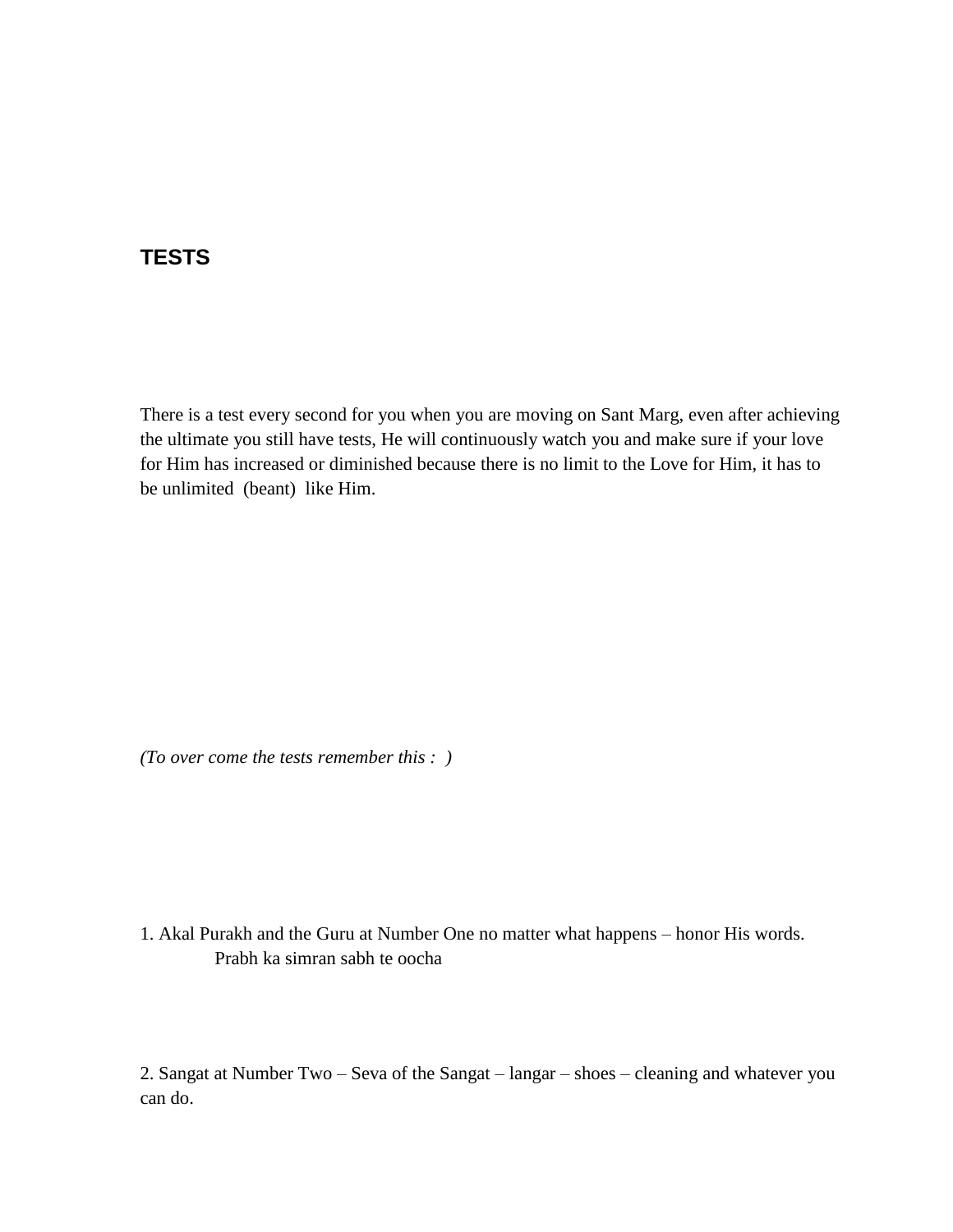## <span id="page-12-0"></span>**TESTS**

There is a test every second for you when you are moving on Sant Marg, even after achieving the ultimate you still have tests, He will continuously watch you and make sure if your love for Him has increased or diminished because there is no limit to the Love for Him, it has to be unlimited (beant) like Him.

*(To over come the tests remember this : )* 

#### 1. Akal Purakh and the Guru at Number One no matter what happens – honor His words. Prabh ka simran sabh te oocha

2. Sangat at Number Two – Seva of the Sangat – langar – shoes – cleaning and whatever you can do.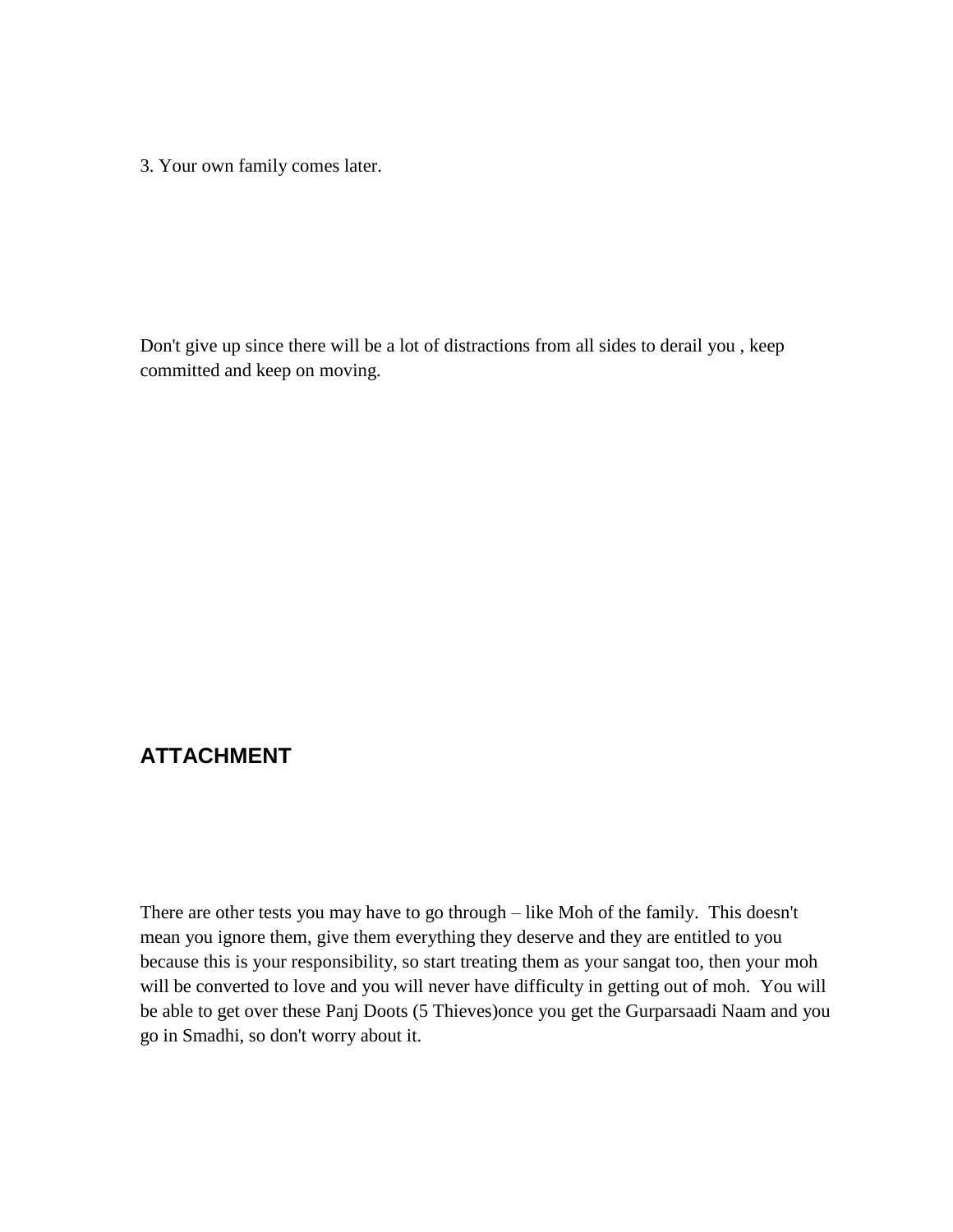3. Your own family comes later.

Don't give up since there will be a lot of distractions from all sides to derail you , keep committed and keep on moving.

## <span id="page-13-0"></span>**ATTACHMENT**

There are other tests you may have to go through – like Moh of the family. This doesn't mean you ignore them, give them everything they deserve and they are entitled to you because this is your responsibility, so start treating them as your sangat too, then your moh will be converted to love and you will never have difficulty in getting out of moh. You will be able to get over these Panj Doots (5 Thieves)once you get the Gurparsaadi Naam and you go in Smadhi, so don't worry about it.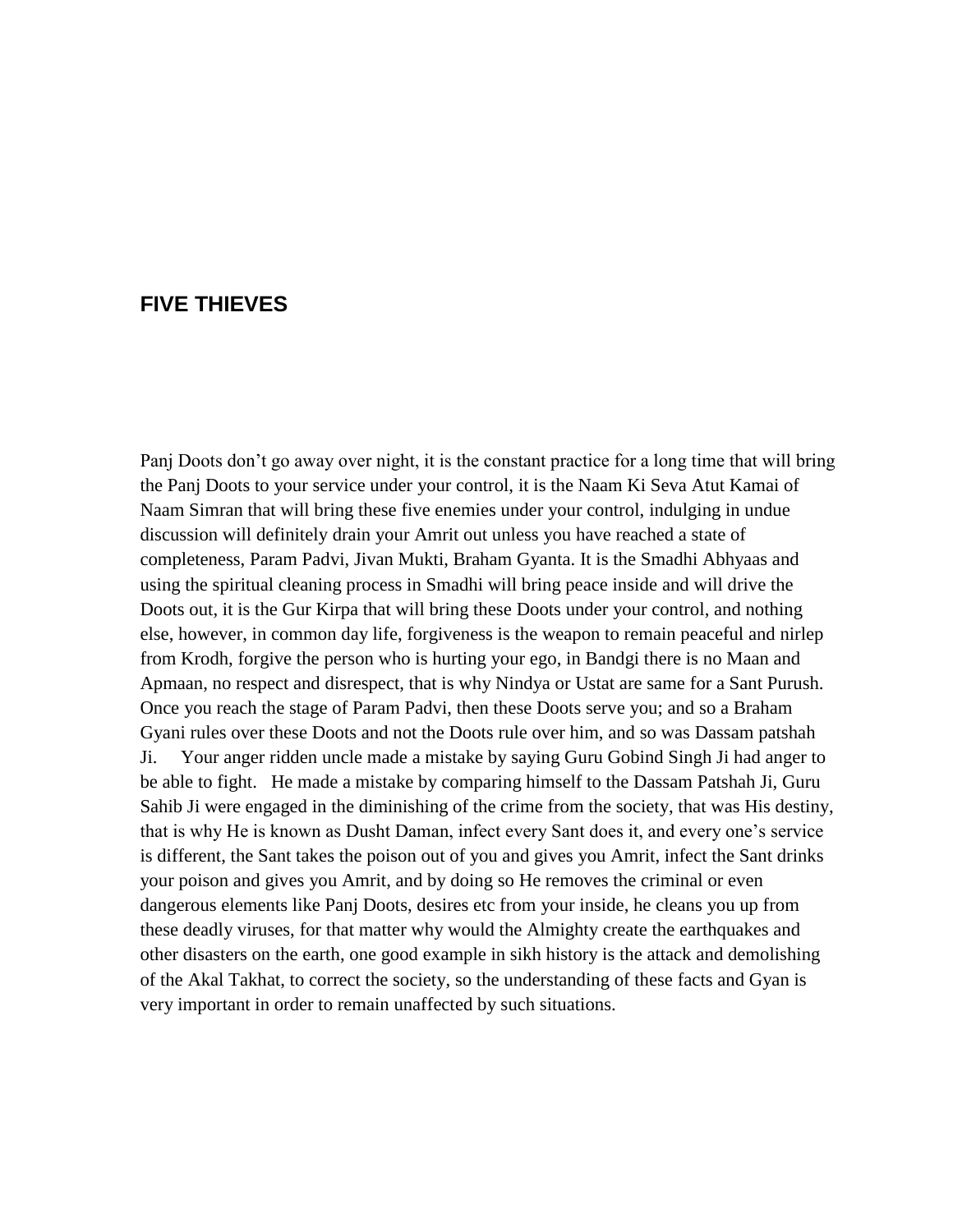## <span id="page-14-0"></span>**FIVE THIEVES**

Panj Doots don"t go away over night, it is the constant practice for a long time that will bring the Panj Doots to your service under your control, it is the Naam Ki Seva Atut Kamai of Naam Simran that will bring these five enemies under your control, indulging in undue discussion will definitely drain your Amrit out unless you have reached a state of completeness, Param Padvi, Jivan Mukti, Braham Gyanta. It is the Smadhi Abhyaas and using the spiritual cleaning process in Smadhi will bring peace inside and will drive the Doots out, it is the Gur Kirpa that will bring these Doots under your control, and nothing else, however, in common day life, forgiveness is the weapon to remain peaceful and nirlep from Krodh, forgive the person who is hurting your ego, in Bandgi there is no Maan and Apmaan, no respect and disrespect, that is why Nindya or Ustat are same for a Sant Purush. Once you reach the stage of Param Padvi, then these Doots serve you; and so a Braham Gyani rules over these Doots and not the Doots rule over him, and so was Dassam patshah Ji. Your anger ridden uncle made a mistake by saying Guru Gobind Singh Ji had anger to be able to fight. He made a mistake by comparing himself to the Dassam Patshah Ji, Guru Sahib Ji were engaged in the diminishing of the crime from the society, that was His destiny, that is why He is known as Dusht Daman, infect every Sant does it, and every one"s service is different, the Sant takes the poison out of you and gives you Amrit, infect the Sant drinks your poison and gives you Amrit, and by doing so He removes the criminal or even dangerous elements like Panj Doots, desires etc from your inside, he cleans you up from these deadly viruses, for that matter why would the Almighty create the earthquakes and other disasters on the earth, one good example in sikh history is the attack and demolishing of the Akal Takhat, to correct the society, so the understanding of these facts and Gyan is very important in order to remain unaffected by such situations.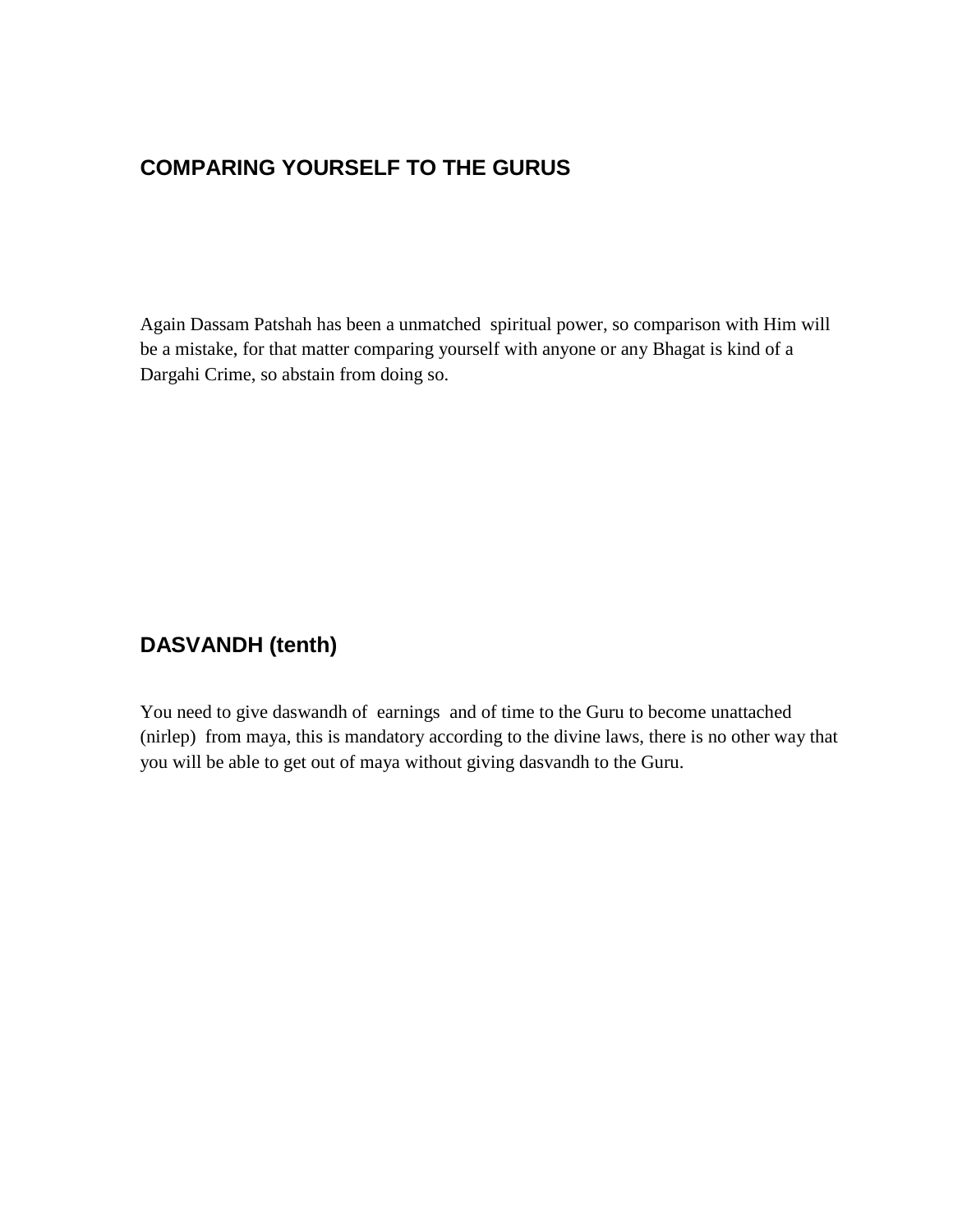# <span id="page-15-0"></span>**COMPARING YOURSELF TO THE GURUS**

Again Dassam Patshah has been a unmatched spiritual power, so comparison with Him will be a mistake, for that matter comparing yourself with anyone or any Bhagat is kind of a Dargahi Crime, so abstain from doing so.

# <span id="page-15-1"></span>**DASVANDH (tenth)**

You need to give daswandh of earnings and of time to the Guru to become unattached (nirlep) from maya, this is mandatory according to the divine laws, there is no other way that you will be able to get out of maya without giving dasvandh to the Guru.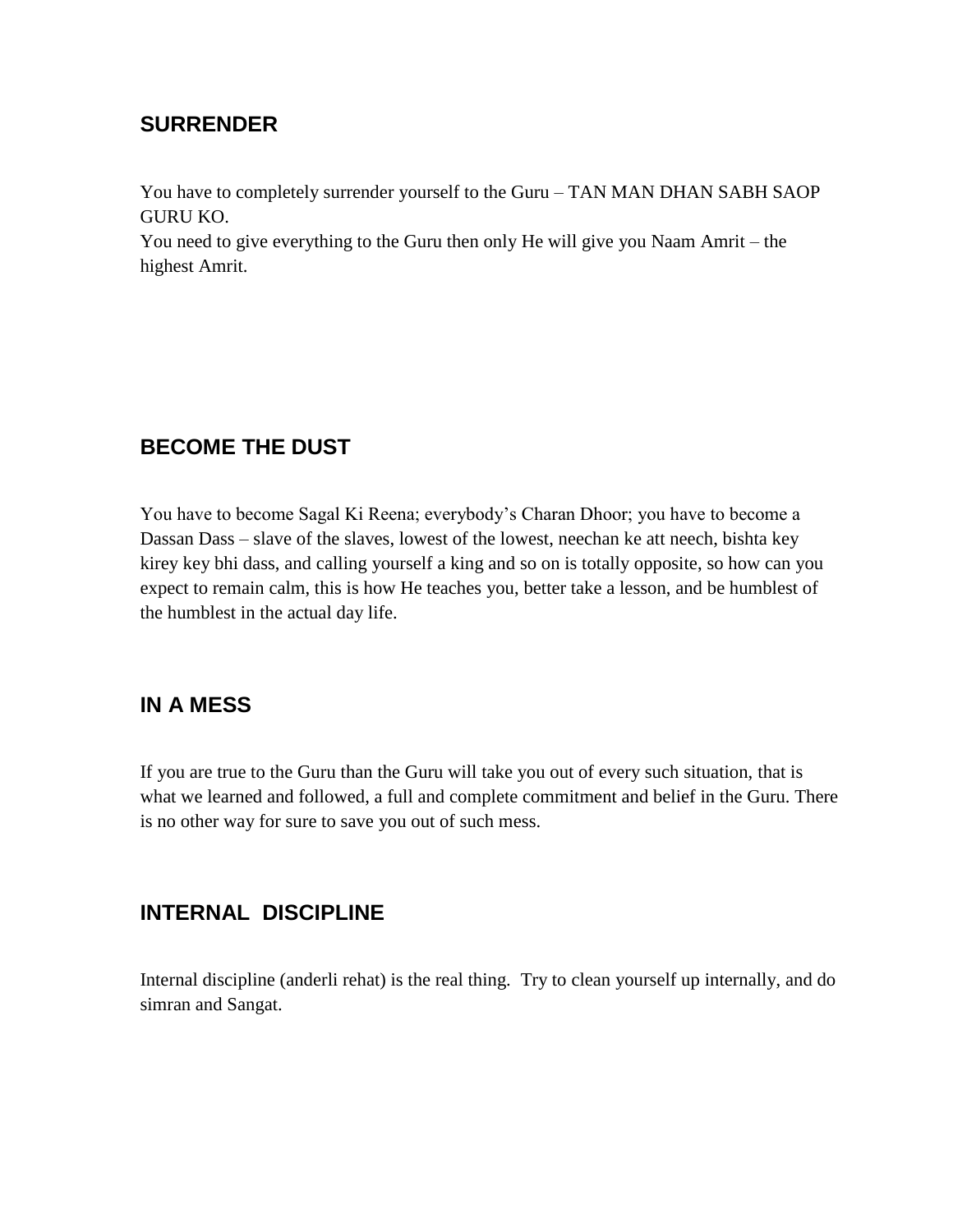## <span id="page-16-0"></span>**SURRENDER**

You have to completely surrender yourself to the Guru – TAN MAN DHAN SABH SAOP GURU KO.

You need to give everything to the Guru then only He will give you Naam Amrit – the highest Amrit.

# <span id="page-16-1"></span>**BECOME THE DUST**

You have to become Sagal Ki Reena; everybody"s Charan Dhoor; you have to become a Dassan Dass – slave of the slaves, lowest of the lowest, neechan ke att neech, bishta key kirey key bhi dass, and calling yourself a king and so on is totally opposite, so how can you expect to remain calm, this is how He teaches you, better take a lesson, and be humblest of the humblest in the actual day life.

## <span id="page-16-2"></span>**IN A MESS**

If you are true to the Guru than the Guru will take you out of every such situation, that is what we learned and followed, a full and complete commitment and belief in the Guru. There is no other way for sure to save you out of such mess.

# <span id="page-16-3"></span>**INTERNAL DISCIPLINE**

Internal discipline (anderli rehat) is the real thing. Try to clean yourself up internally, and do simran and Sangat.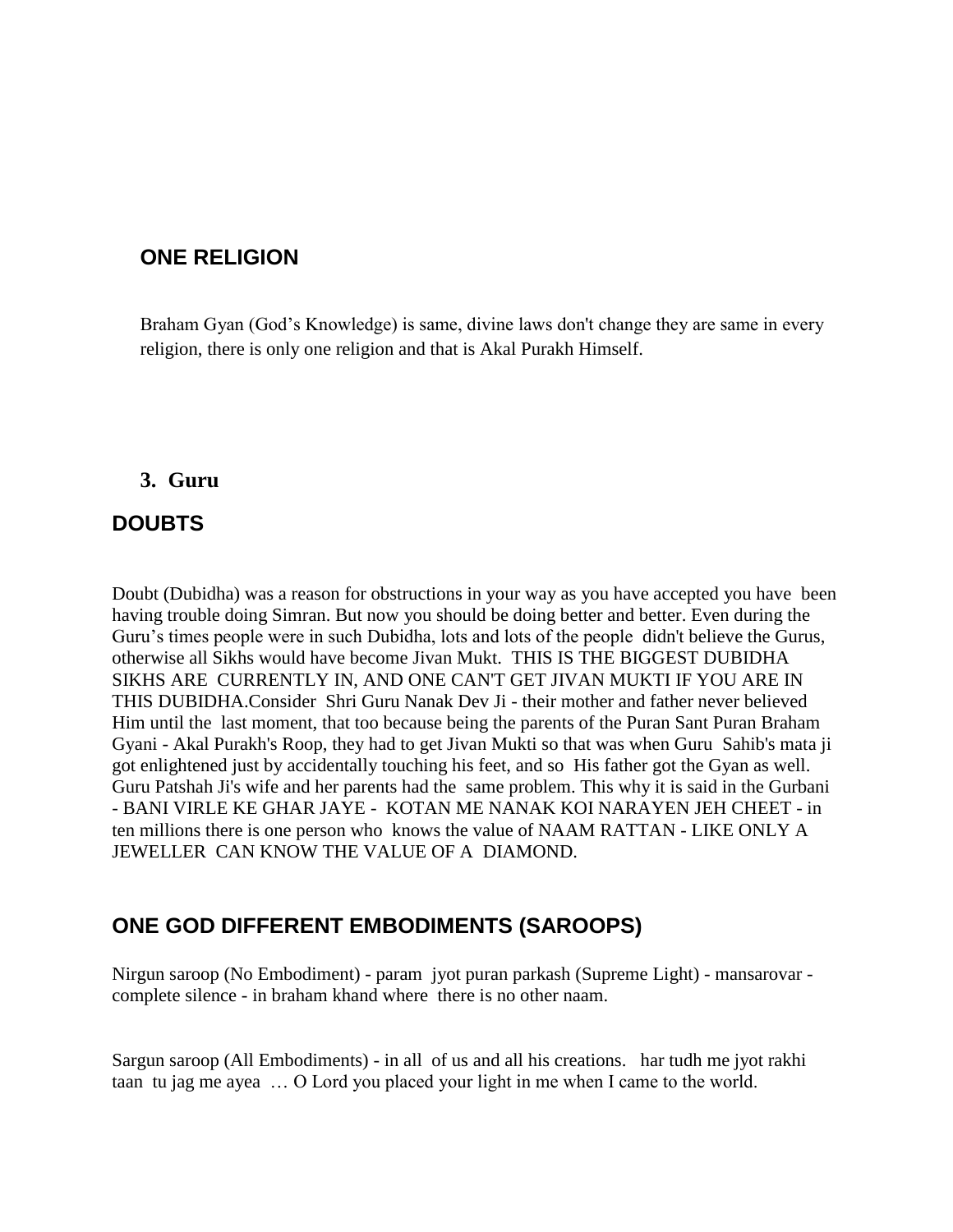## <span id="page-17-0"></span>**ONE RELIGION**

Braham Gyan (God's Knowledge) is same, divine laws don't change they are same in every religion, there is only one religion and that is Akal Purakh Himself.

#### <span id="page-17-1"></span>**3. Guru**

## <span id="page-17-2"></span>**DOUBTS**

Doubt (Dubidha) was a reason for obstructions in your way as you have accepted you have been having trouble doing Simran. But now you should be doing better and better. Even during the Guru"s times people were in such Dubidha, lots and lots of the people didn't believe the Gurus, otherwise all Sikhs would have become Jivan Mukt. THIS IS THE BIGGEST DUBIDHA SIKHS ARE CURRENTLY IN, AND ONE CAN'T GET JIVAN MUKTI IF YOU ARE IN THIS DUBIDHA.Consider Shri Guru Nanak Dev Ji - their mother and father never believed Him until the last moment, that too because being the parents of the Puran Sant Puran Braham Gyani - Akal Purakh's Roop, they had to get Jivan Mukti so that was when Guru Sahib's mata ji got enlightened just by accidentally touching his feet, and so His father got the Gyan as well. Guru Patshah Ji's wife and her parents had the same problem. This why it is said in the Gurbani - BANI VIRLE KE GHAR JAYE - KOTAN ME NANAK KOI NARAYEN JEH CHEET - in ten millions there is one person who knows the value of NAAM RATTAN - LIKE ONLY A JEWELLER CAN KNOW THE VALUE OF A DIAMOND.

## <span id="page-17-3"></span>**ONE GOD DIFFERENT EMBODIMENTS (SAROOPS)**

Nirgun saroop (No Embodiment) - param jyot puran parkash (Supreme Light) - mansarovar complete silence - in braham khand where there is no other naam.

Sargun saroop (All Embodiments) - in all of us and all his creations. har tudh me jyot rakhi taan tu jag me ayea … O Lord you placed your light in me when I came to the world.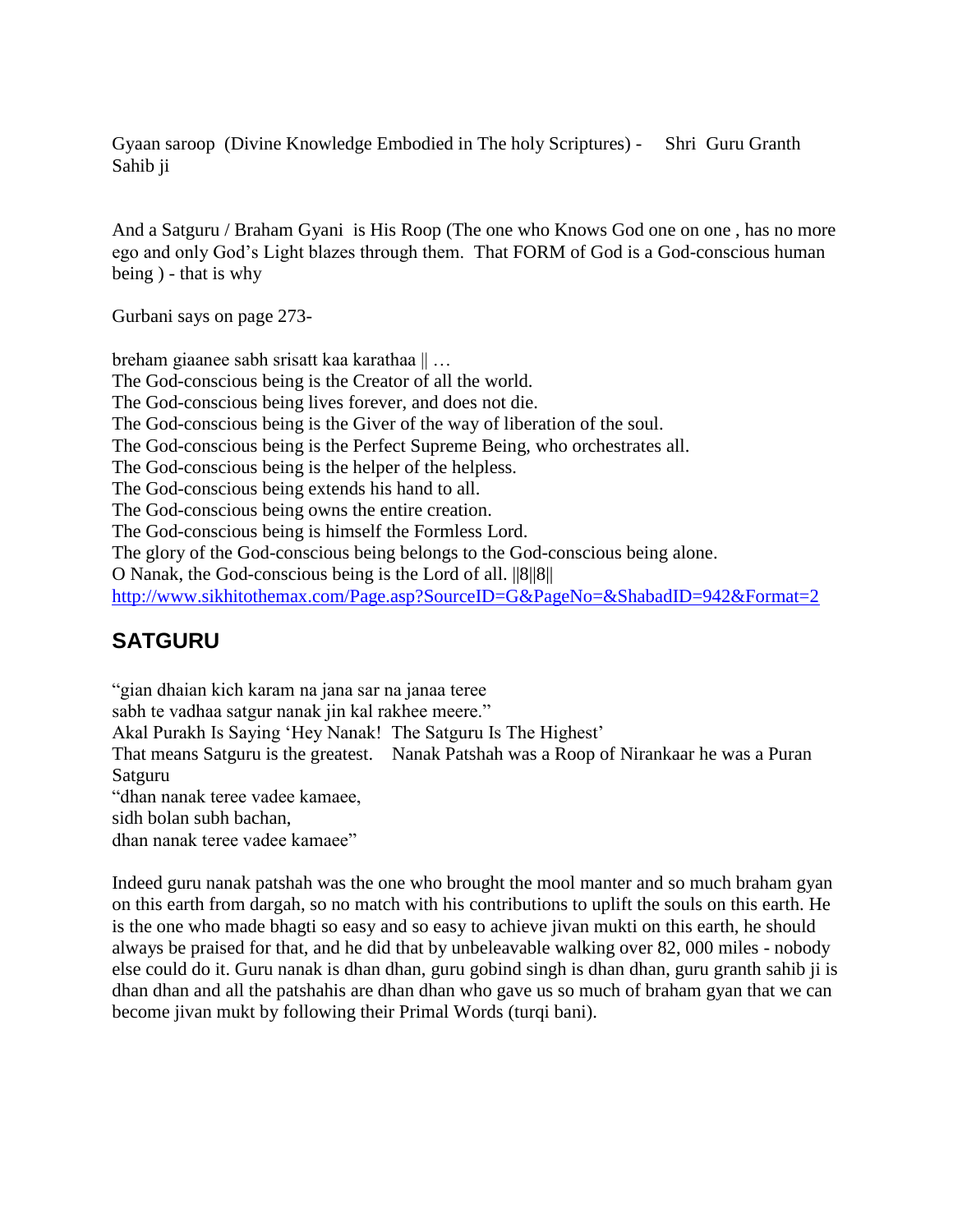Gyaan saroop (Divine Knowledge Embodied in The holy Scriptures) - Shri Guru Granth Sahib ji

And a Satguru / Braham Gyani is His Roop (The one who Knows God one on one , has no more ego and only God"s Light blazes through them. That FORM of God is a God-conscious human being ) - that is why

Gurbani says on page 273-

breham giaanee sabh srisatt kaa karathaa || … The God-conscious being is the Creator of all the world. The God-conscious being lives forever, and does not die. The God-conscious being is the Giver of the way of liberation of the soul. The God-conscious being is the Perfect Supreme Being, who orchestrates all. The God-conscious being is the helper of the helpless. The God-conscious being extends his hand to all. The God-conscious being owns the entire creation. The God-conscious being is himself the Formless Lord. The glory of the God-conscious being belongs to the God-conscious being alone. O Nanak, the God-conscious being is the Lord of all. ||8||8|| <http://www.sikhitothemax.com/Page.asp?SourceID=G&PageNo=&ShabadID=942&Format=2>

## <span id="page-18-0"></span>**SATGURU**

"gian dhaian kich karam na jana sar na janaa teree sabh te vadhaa satgur nanak jin kal rakhee meere." Akal Purakh Is Saying 'Hey Nanak! The Satguru Is The Highest' That means Satguru is the greatest. Nanak Patshah was a Roop of Nirankaar he was a Puran Satguru "dhan nanak teree vadee kamaee, sidh bolan subh bachan, dhan nanak teree vadee kamaee"

Indeed guru nanak patshah was the one who brought the mool manter and so much braham gyan on this earth from dargah, so no match with his contributions to uplift the souls on this earth. He is the one who made bhagti so easy and so easy to achieve jivan mukti on this earth, he should always be praised for that, and he did that by unbeleavable walking over 82, 000 miles - nobody else could do it. Guru nanak is dhan dhan, guru gobind singh is dhan dhan, guru granth sahib ji is dhan dhan and all the patshahis are dhan dhan who gave us so much of braham gyan that we can become jivan mukt by following their Primal Words (turqi bani).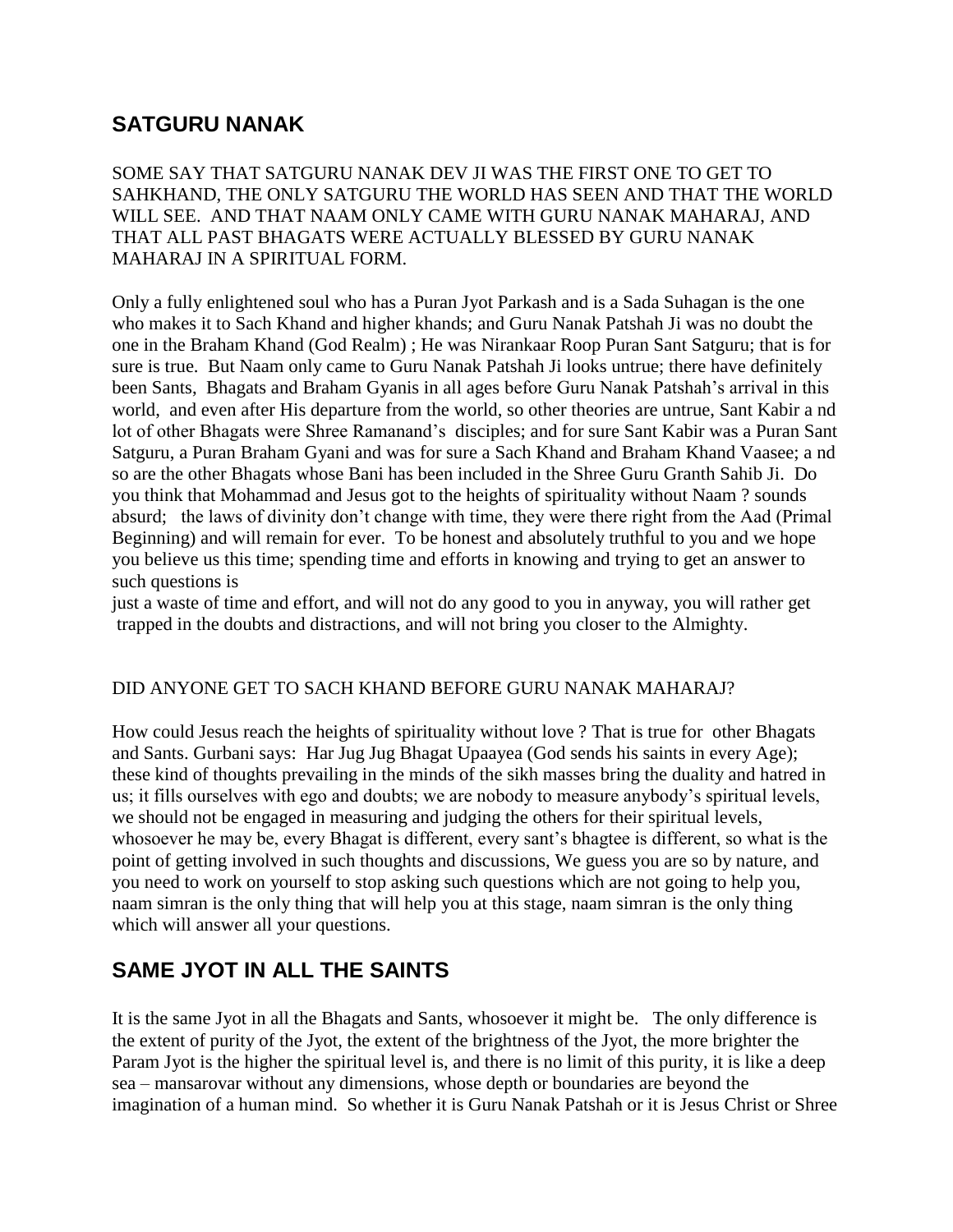# <span id="page-19-0"></span>**SATGURU NANAK**

SOME SAY THAT SATGURU NANAK DEV JI WAS THE FIRST ONE TO GET TO SAHKHAND, THE ONLY SATGURU THE WORLD HAS SEEN AND THAT THE WORLD WILL SEE. AND THAT NAAM ONLY CAME WITH GURU NANAK MAHARAJ, AND THAT ALL PAST BHAGATS WERE ACTUALLY BLESSED BY GURU NANAK MAHARAJ IN A SPIRITUAL FORM.

Only a fully enlightened soul who has a Puran Jyot Parkash and is a Sada Suhagan is the one who makes it to Sach Khand and higher khands; and Guru Nanak Patshah Ji was no doubt the one in the Braham Khand (God Realm) ; He was Nirankaar Roop Puran Sant Satguru; that is for sure is true. But Naam only came to Guru Nanak Patshah Ji looks untrue; there have definitely been Sants, Bhagats and Braham Gyanis in all ages before Guru Nanak Patshah's arrival in this world, and even after His departure from the world, so other theories are untrue, Sant Kabir a nd lot of other Bhagats were Shree Ramanand"s disciples; and for sure Sant Kabir was a Puran Sant Satguru, a Puran Braham Gyani and was for sure a Sach Khand and Braham Khand Vaasee; a nd so are the other Bhagats whose Bani has been included in the Shree Guru Granth Sahib Ji. Do you think that Mohammad and Jesus got to the heights of spirituality without Naam ? sounds absurd; the laws of divinity don"t change with time, they were there right from the Aad (Primal Beginning) and will remain for ever. To be honest and absolutely truthful to you and we hope you believe us this time; spending time and efforts in knowing and trying to get an answer to such questions is

just a waste of time and effort, and will not do any good to you in anyway, you will rather get trapped in the doubts and distractions, and will not bring you closer to the Almighty.

#### DID ANYONE GET TO SACH KHAND BEFORE GURU NANAK MAHARAJ?

How could Jesus reach the heights of spirituality without love ? That is true for other Bhagats and Sants. Gurbani says: Har Jug Jug Bhagat Upaayea (God sends his saints in every Age); these kind of thoughts prevailing in the minds of the sikh masses bring the duality and hatred in us; it fills ourselves with ego and doubts; we are nobody to measure anybody"s spiritual levels, we should not be engaged in measuring and judging the others for their spiritual levels, whosoever he may be, every Bhagat is different, every sant's bhagtee is different, so what is the point of getting involved in such thoughts and discussions, We guess you are so by nature, and you need to work on yourself to stop asking such questions which are not going to help you, naam simran is the only thing that will help you at this stage, naam simran is the only thing which will answer all your questions.

# <span id="page-19-1"></span>**SAME JYOT IN ALL THE SAINTS**

It is the same Jyot in all the Bhagats and Sants, whosoever it might be. The only difference is the extent of purity of the Jyot, the extent of the brightness of the Jyot, the more brighter the Param Jyot is the higher the spiritual level is, and there is no limit of this purity, it is like a deep sea – mansarovar without any dimensions, whose depth or boundaries are beyond the imagination of a human mind. So whether it is Guru Nanak Patshah or it is Jesus Christ or Shree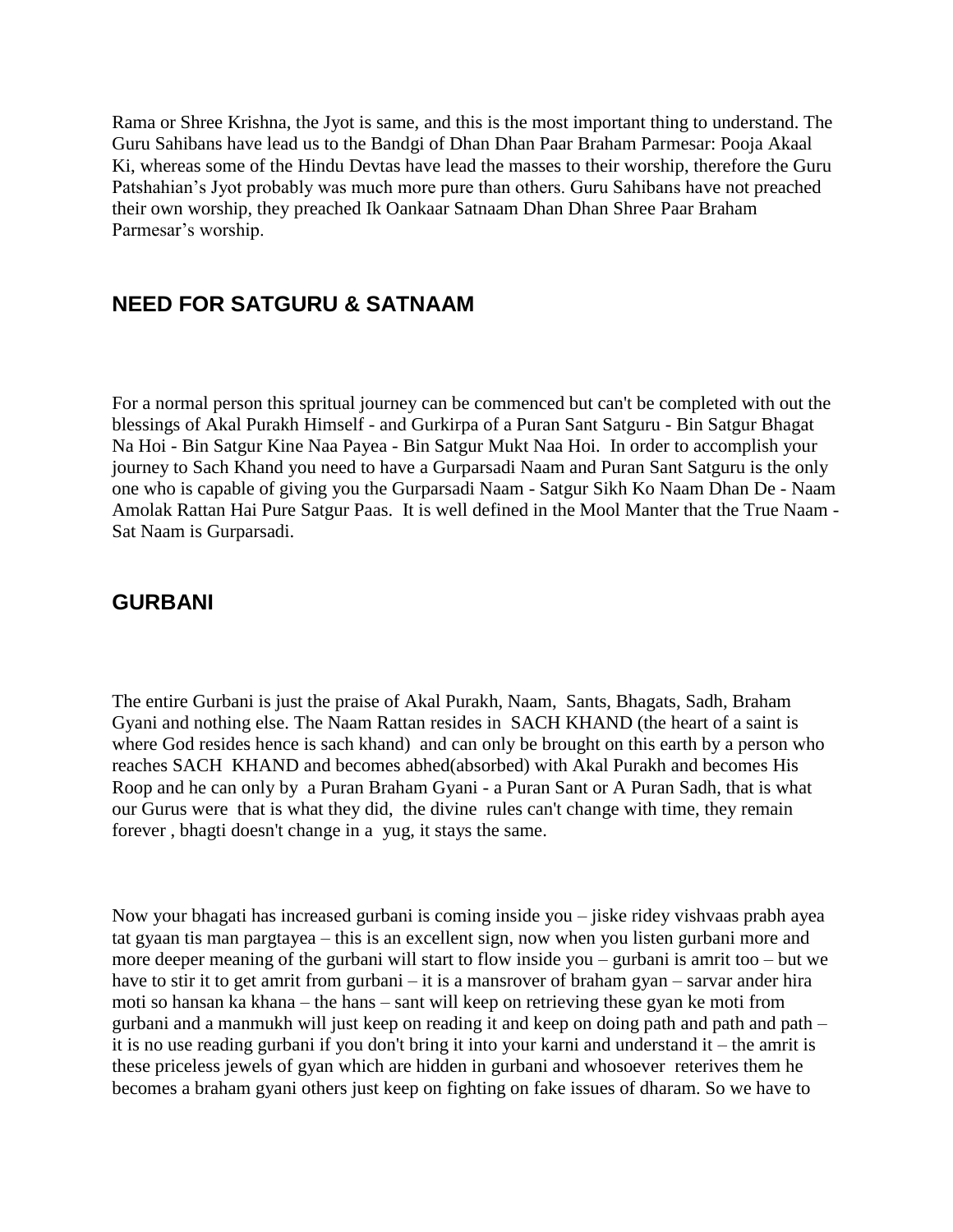Rama or Shree Krishna, the Jyot is same, and this is the most important thing to understand. The Guru Sahibans have lead us to the Bandgi of Dhan Dhan Paar Braham Parmesar: Pooja Akaal Ki, whereas some of the Hindu Devtas have lead the masses to their worship, therefore the Guru Patshahian"s Jyot probably was much more pure than others. Guru Sahibans have not preached their own worship, they preached Ik Oankaar Satnaam Dhan Dhan Shree Paar Braham Parmesar"s worship.

## <span id="page-20-0"></span>**NEED FOR SATGURU & SATNAAM**

For a normal person this spritual journey can be commenced but can't be completed with out the blessings of Akal Purakh Himself - and Gurkirpa of a Puran Sant Satguru - Bin Satgur Bhagat Na Hoi - Bin Satgur Kine Naa Payea - Bin Satgur Mukt Naa Hoi. In order to accomplish your journey to Sach Khand you need to have a Gurparsadi Naam and Puran Sant Satguru is the only one who is capable of giving you the Gurparsadi Naam - Satgur Sikh Ko Naam Dhan De - Naam Amolak Rattan Hai Pure Satgur Paas. It is well defined in the Mool Manter that the True Naam - Sat Naam is Gurparsadi.

#### <span id="page-20-1"></span>**GURBANI**

The entire Gurbani is just the praise of Akal Purakh, Naam, Sants, Bhagats, Sadh, Braham Gyani and nothing else. The Naam Rattan resides in SACH KHAND (the heart of a saint is where God resides hence is sach khand) and can only be brought on this earth by a person who reaches SACH KHAND and becomes abhed(absorbed) with Akal Purakh and becomes His Roop and he can only by a Puran Braham Gyani - a Puran Sant or A Puran Sadh, that is what our Gurus were that is what they did, the divine rules can't change with time, they remain forever , bhagti doesn't change in a yug, it stays the same.

Now your bhagati has increased gurbani is coming inside you – jiske ridey vishvaas prabh ayea tat gyaan tis man pargtayea – this is an excellent sign, now when you listen gurbani more and more deeper meaning of the gurbani will start to flow inside you – gurbani is amrit too – but we have to stir it to get amrit from gurbani – it is a mansrover of braham gyan – sarvar ander hira moti so hansan ka khana – the hans – sant will keep on retrieving these gyan ke moti from gurbani and a manmukh will just keep on reading it and keep on doing path and path and path – it is no use reading gurbani if you don't bring it into your karni and understand it – the amrit is these priceless jewels of gyan which are hidden in gurbani and whosoever reterives them he becomes a braham gyani others just keep on fighting on fake issues of dharam. So we have to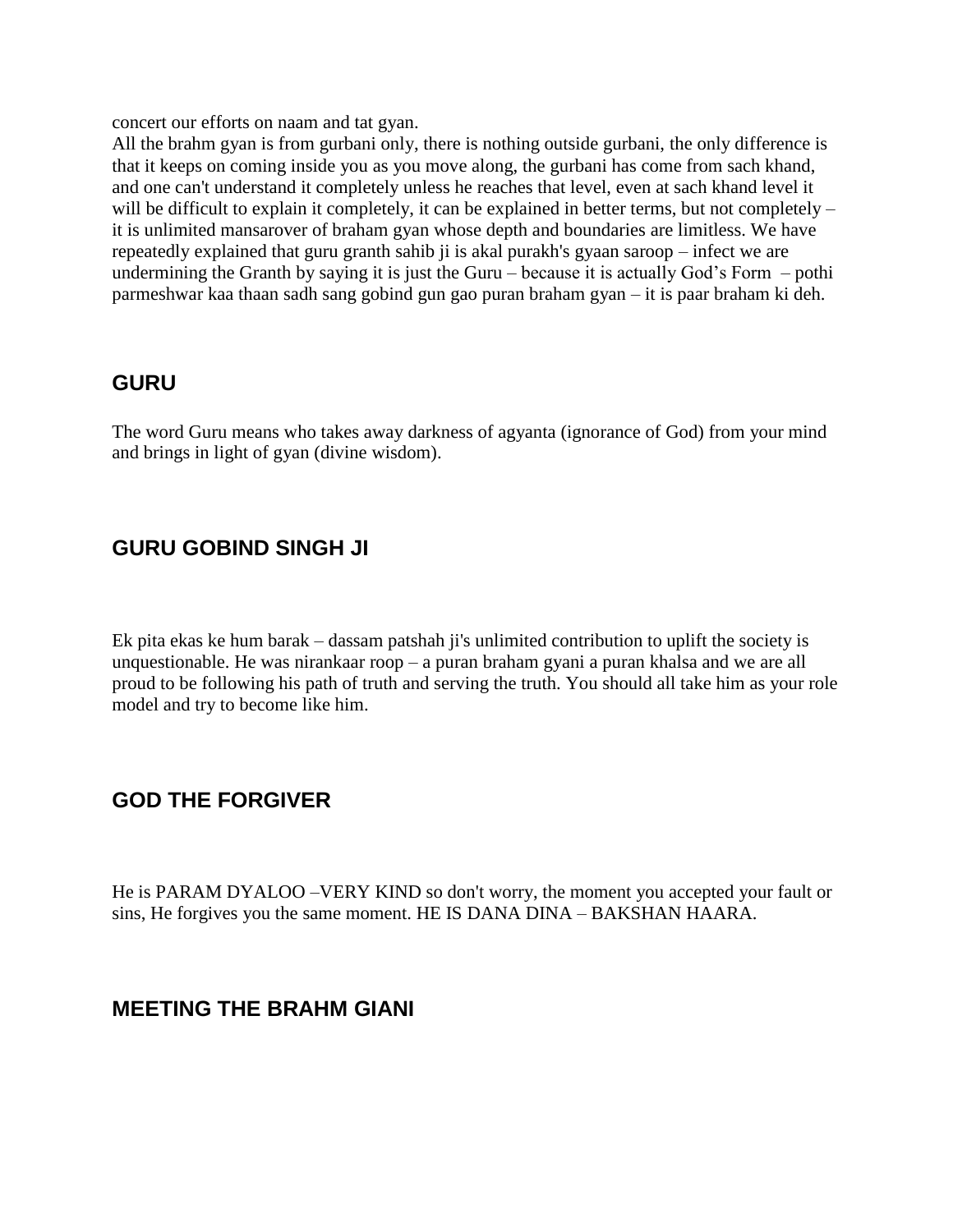concert our efforts on naam and tat gyan.

All the brahm gyan is from gurbani only, there is nothing outside gurbani, the only difference is that it keeps on coming inside you as you move along, the gurbani has come from sach khand, and one can't understand it completely unless he reaches that level, even at sach khand level it will be difficult to explain it completely, it can be explained in better terms, but not completely – it is unlimited mansarover of braham gyan whose depth and boundaries are limitless. We have repeatedly explained that guru granth sahib ji is akal purakh's gyaan saroop – infect we are undermining the Granth by saying it is just the Guru – because it is actually God's Form – pothi parmeshwar kaa thaan sadh sang gobind gun gao puran braham gyan – it is paar braham ki deh.

## <span id="page-21-0"></span>**GURU**

The word Guru means who takes away darkness of agyanta (ignorance of God) from your mind and brings in light of gyan (divine wisdom).

## <span id="page-21-1"></span>**GURU GOBIND SINGH JI**

Ek pita ekas ke hum barak – dassam patshah ji's unlimited contribution to uplift the society is unquestionable. He was nirankaar roop – a puran braham gyani a puran khalsa and we are all proud to be following his path of truth and serving the truth. You should all take him as your role model and try to become like him.

## <span id="page-21-2"></span>**GOD THE FORGIVER**

He is PARAM DYALOO –VERY KIND so don't worry, the moment you accepted your fault or sins, He forgives you the same moment. HE IS DANA DINA – BAKSHAN HAARA.

## <span id="page-21-3"></span>**MEETING THE BRAHM GIANI**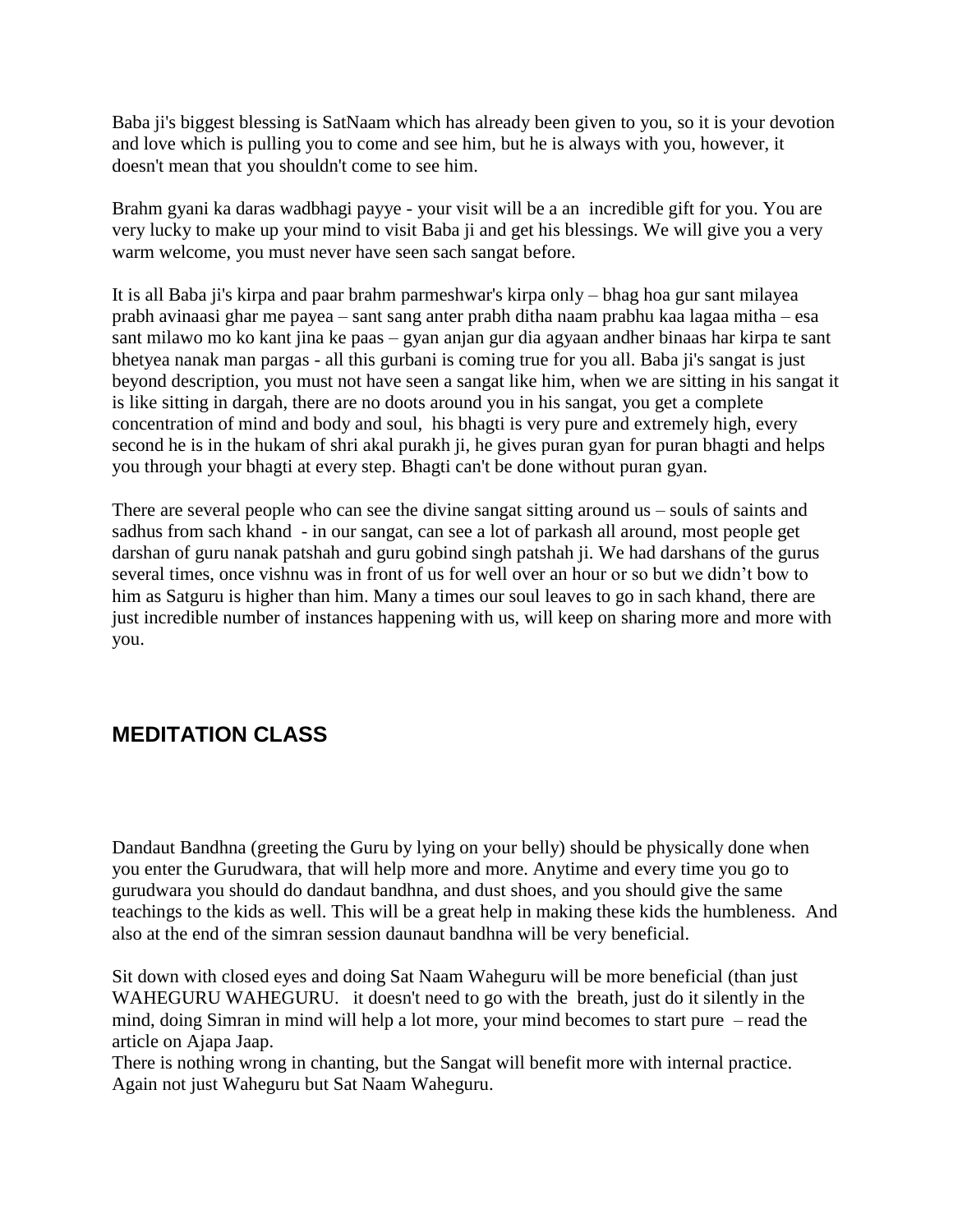Baba ji's biggest blessing is SatNaam which has already been given to you, so it is your devotion and love which is pulling you to come and see him, but he is always with you, however, it doesn't mean that you shouldn't come to see him.

Brahm gyani ka daras wadbhagi payye - your visit will be a an incredible gift for you. You are very lucky to make up your mind to visit Baba ji and get his blessings. We will give you a very warm welcome, you must never have seen sach sangat before.

It is all Baba ji's kirpa and paar brahm parmeshwar's kirpa only – bhag hoa gur sant milayea prabh avinaasi ghar me payea – sant sang anter prabh ditha naam prabhu kaa lagaa mitha – esa sant milawo mo ko kant jina ke paas – gyan anjan gur dia agyaan andher binaas har kirpa te sant bhetyea nanak man pargas - all this gurbani is coming true for you all. Baba ji's sangat is just beyond description, you must not have seen a sangat like him, when we are sitting in his sangat it is like sitting in dargah, there are no doots around you in his sangat, you get a complete concentration of mind and body and soul, his bhagti is very pure and extremely high, every second he is in the hukam of shri akal purakh ji, he gives puran gyan for puran bhagti and helps you through your bhagti at every step. Bhagti can't be done without puran gyan.

There are several people who can see the divine sangat sitting around us – souls of saints and sadhus from sach khand - in our sangat, can see a lot of parkash all around, most people get darshan of guru nanak patshah and guru gobind singh patshah ji. We had darshans of the gurus several times, once vishnu was in front of us for well over an hour or so but we didn"t bow to him as Satguru is higher than him. Many a times our soul leaves to go in sach khand, there are just incredible number of instances happening with us, will keep on sharing more and more with you.

# <span id="page-22-0"></span>**MEDITATION CLASS**

Dandaut Bandhna (greeting the Guru by lying on your belly) should be physically done when you enter the Gurudwara, that will help more and more. Anytime and every time you go to gurudwara you should do dandaut bandhna, and dust shoes, and you should give the same teachings to the kids as well. This will be a great help in making these kids the humbleness. And also at the end of the simran session daunaut bandhna will be very beneficial.

Sit down with closed eyes and doing Sat Naam Waheguru will be more beneficial (than just WAHEGURU WAHEGURU. it doesn't need to go with the breath, just do it silently in the mind, doing Simran in mind will help a lot more, your mind becomes to start pure – read the article on Ajapa Jaap.

There is nothing wrong in chanting, but the Sangat will benefit more with internal practice. Again not just Waheguru but Sat Naam Waheguru.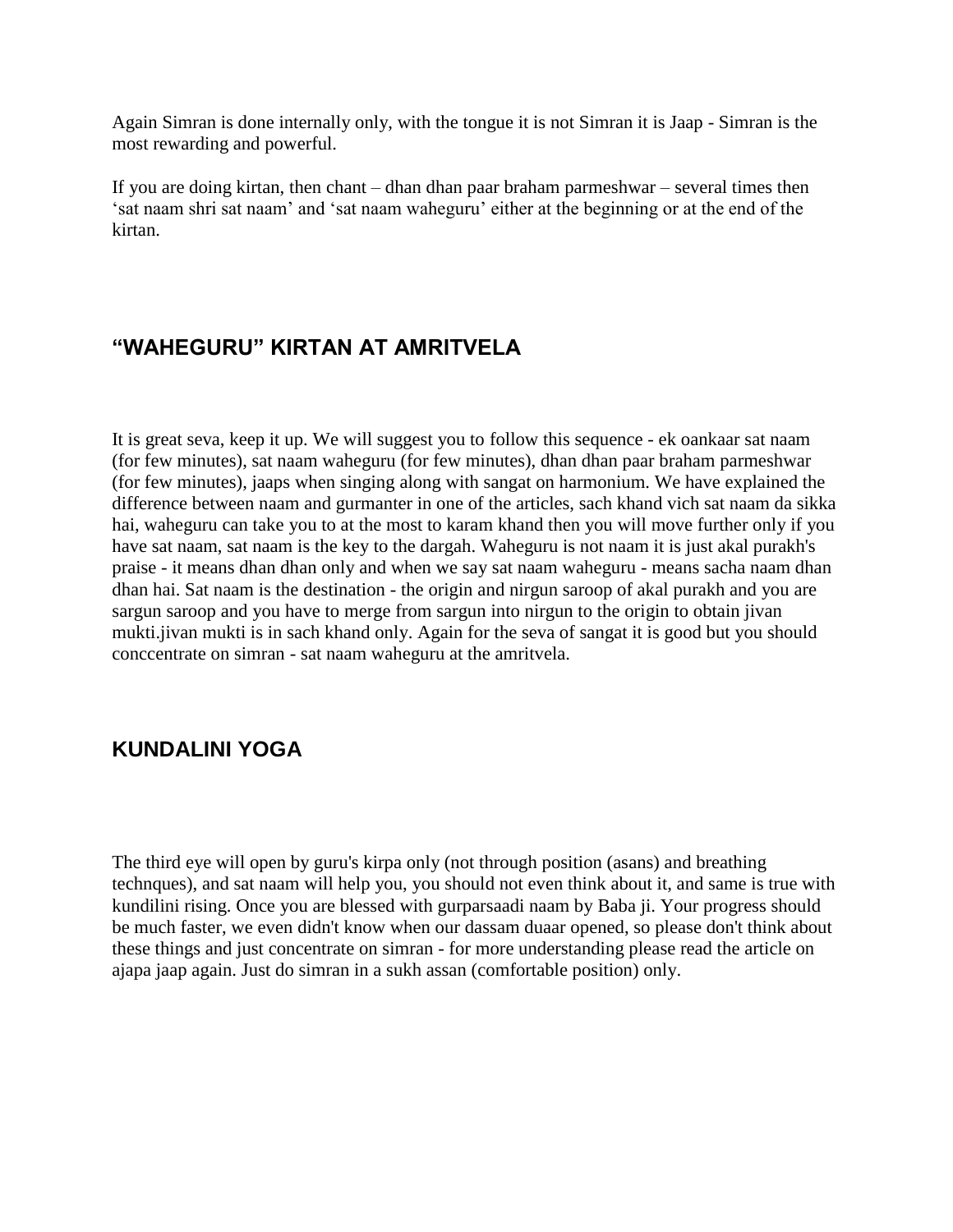Again Simran is done internally only, with the tongue it is not Simran it is Jaap - Simran is the most rewarding and powerful.

If you are doing kirtan, then chant – dhan dhan paar braham parmeshwar – several times then "sat naam shri sat naam" and "sat naam waheguru" either at the beginning or at the end of the kirtan.

# <span id="page-23-0"></span>**"WAHEGURU" KIRTAN AT AMRITVELA**

It is great seva, keep it up. We will suggest you to follow this sequence - ek oankaar sat naam (for few minutes), sat naam waheguru (for few minutes), dhan dhan paar braham parmeshwar (for few minutes), jaaps when singing along with sangat on harmonium. We have explained the difference between naam and gurmanter in one of the articles, sach khand vich sat naam da sikka hai, waheguru can take you to at the most to karam khand then you will move further only if you have sat naam, sat naam is the key to the dargah. Waheguru is not naam it is just akal purakh's praise - it means dhan dhan only and when we say sat naam waheguru - means sacha naam dhan dhan hai. Sat naam is the destination - the origin and nirgun saroop of akal purakh and you are sargun saroop and you have to merge from sargun into nirgun to the origin to obtain jivan mukti.jivan mukti is in sach khand only. Again for the seva of sangat it is good but you should conccentrate on simran - sat naam waheguru at the amritvela.

# <span id="page-23-1"></span>**KUNDALINI YOGA**

The third eye will open by guru's kirpa only (not through position (asans) and breathing technques), and sat naam will help you, you should not even think about it, and same is true with kundilini rising. Once you are blessed with gurparsaadi naam by Baba ji. Your progress should be much faster, we even didn't know when our dassam duaar opened, so please don't think about these things and just concentrate on simran - for more understanding please read the article on ajapa jaap again. Just do simran in a sukh assan (comfortable position) only.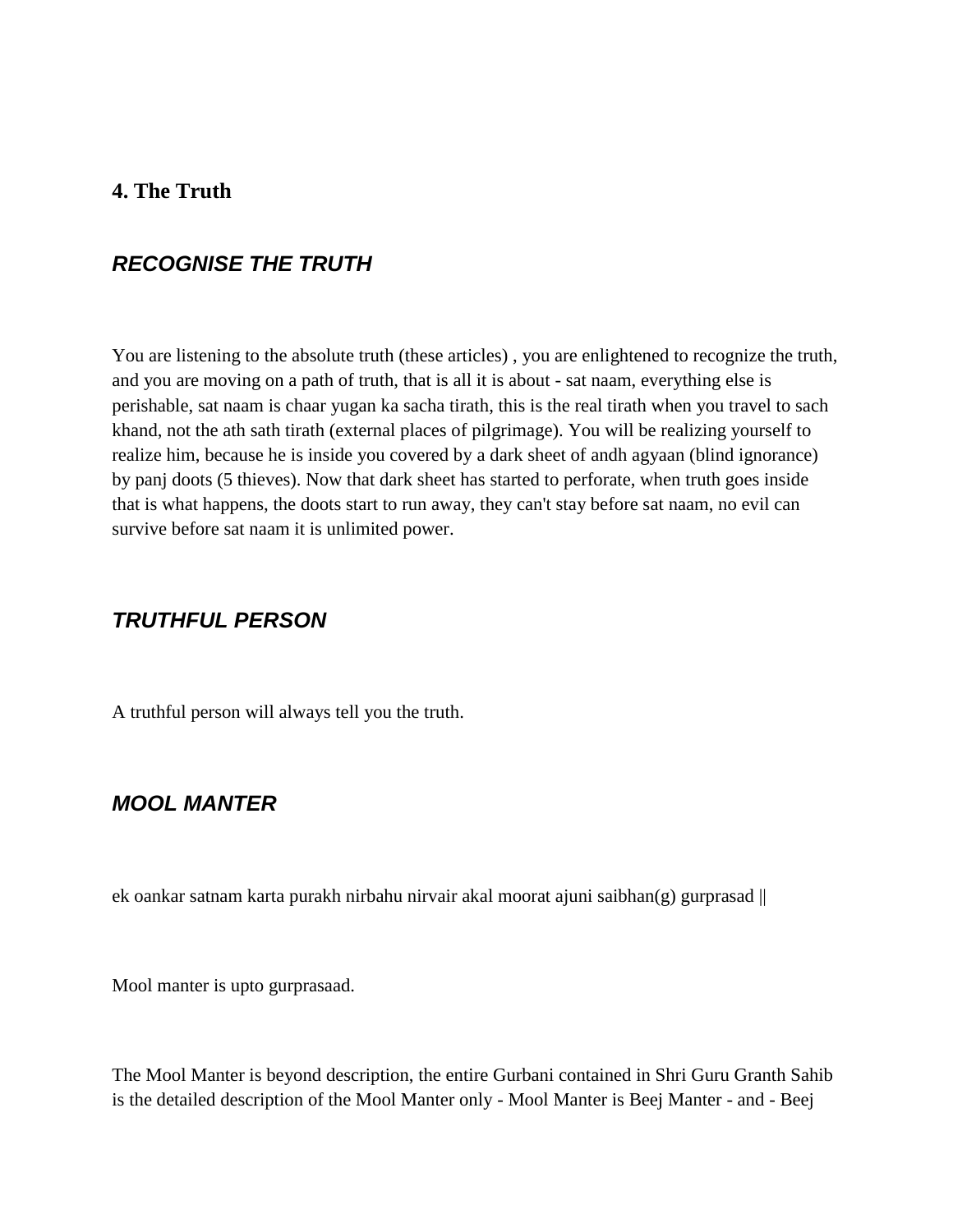#### <span id="page-24-0"></span>**4. The Truth**

#### <span id="page-24-1"></span>*RECOGNISE THE TRUTH*

You are listening to the absolute truth (these articles) , you are enlightened to recognize the truth, and you are moving on a path of truth, that is all it is about - sat naam, everything else is perishable, sat naam is chaar yugan ka sacha tirath, this is the real tirath when you travel to sach khand, not the ath sath tirath (external places of pilgrimage). You will be realizing yourself to realize him, because he is inside you covered by a dark sheet of andh agyaan (blind ignorance) by panj doots (5 thieves). Now that dark sheet has started to perforate, when truth goes inside that is what happens, the doots start to run away, they can't stay before sat naam, no evil can survive before sat naam it is unlimited power.

## <span id="page-24-2"></span>*TRUTHFUL PERSON*

A truthful person will always tell you the truth.

#### <span id="page-24-3"></span>*MOOL MANTER*

ek oankar satnam karta purakh nirbahu nirvair akal moorat ajuni saibhan $(g)$  gurprasad  $\parallel$ 

Mool manter is upto gurprasaad.

The Mool Manter is beyond description, the entire Gurbani contained in Shri Guru Granth Sahib is the detailed description of the Mool Manter only - Mool Manter is Beej Manter - and - Beej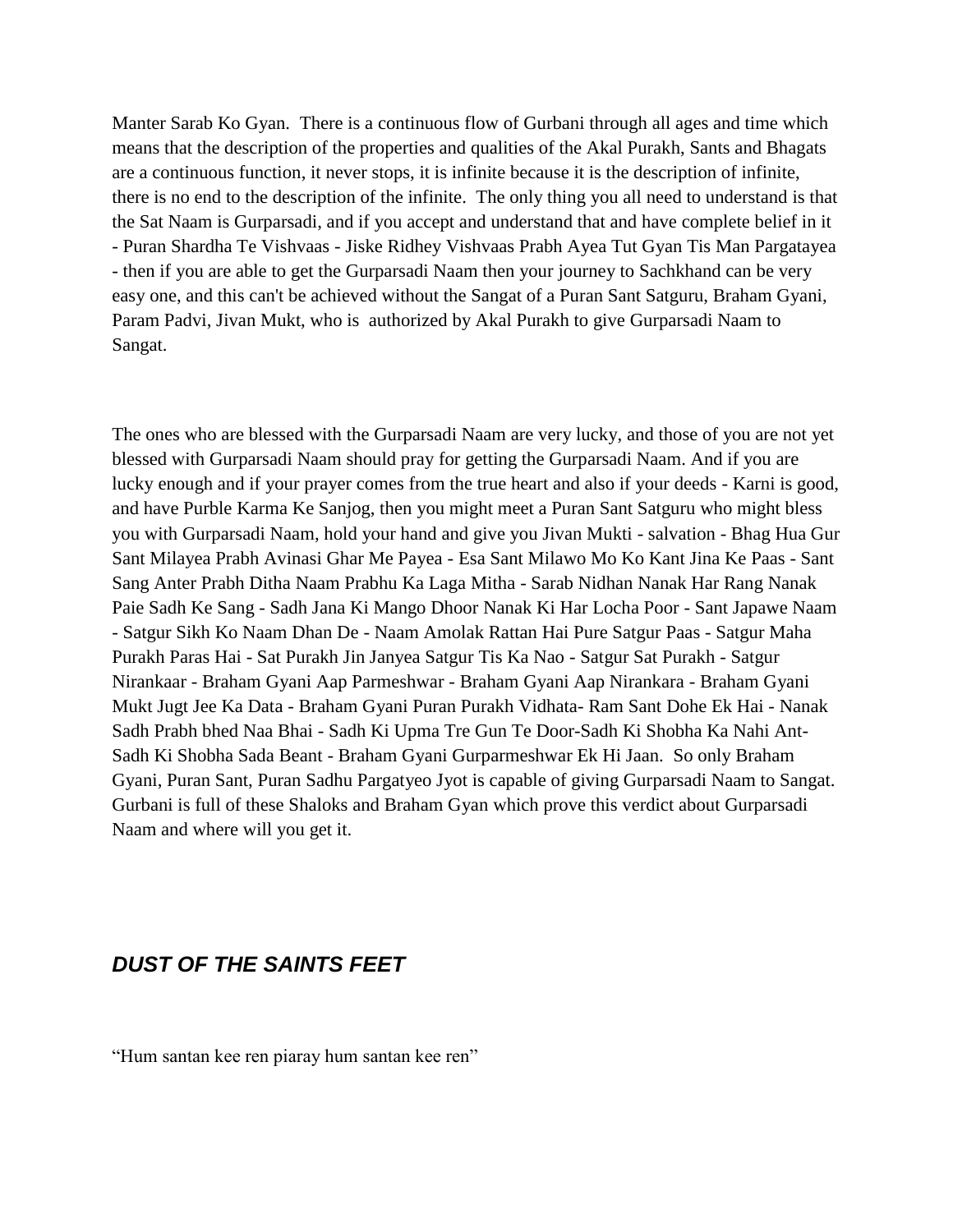Manter Sarab Ko Gyan. There is a continuous flow of Gurbani through all ages and time which means that the description of the properties and qualities of the Akal Purakh, Sants and Bhagats are a continuous function, it never stops, it is infinite because it is the description of infinite, there is no end to the description of the infinite. The only thing you all need to understand is that the Sat Naam is Gurparsadi, and if you accept and understand that and have complete belief in it - Puran Shardha Te Vishvaas - Jiske Ridhey Vishvaas Prabh Ayea Tut Gyan Tis Man Pargatayea - then if you are able to get the Gurparsadi Naam then your journey to Sachkhand can be very easy one, and this can't be achieved without the Sangat of a Puran Sant Satguru, Braham Gyani, Param Padvi, Jivan Mukt, who is authorized by Akal Purakh to give Gurparsadi Naam to Sangat.

The ones who are blessed with the Gurparsadi Naam are very lucky, and those of you are not yet blessed with Gurparsadi Naam should pray for getting the Gurparsadi Naam. And if you are lucky enough and if your prayer comes from the true heart and also if your deeds - Karni is good, and have Purble Karma Ke Sanjog, then you might meet a Puran Sant Satguru who might bless you with Gurparsadi Naam, hold your hand and give you Jivan Mukti - salvation - Bhag Hua Gur Sant Milayea Prabh Avinasi Ghar Me Payea - Esa Sant Milawo Mo Ko Kant Jina Ke Paas - Sant Sang Anter Prabh Ditha Naam Prabhu Ka Laga Mitha - Sarab Nidhan Nanak Har Rang Nanak Paie Sadh Ke Sang - Sadh Jana Ki Mango Dhoor Nanak Ki Har Locha Poor - Sant Japawe Naam - Satgur Sikh Ko Naam Dhan De - Naam Amolak Rattan Hai Pure Satgur Paas - Satgur Maha Purakh Paras Hai - Sat Purakh Jin Janyea Satgur Tis Ka Nao - Satgur Sat Purakh - Satgur Nirankaar - Braham Gyani Aap Parmeshwar - Braham Gyani Aap Nirankara - Braham Gyani Mukt Jugt Jee Ka Data - Braham Gyani Puran Purakh Vidhata- Ram Sant Dohe Ek Hai - Nanak Sadh Prabh bhed Naa Bhai - Sadh Ki Upma Tre Gun Te Door-Sadh Ki Shobha Ka Nahi Ant-Sadh Ki Shobha Sada Beant - Braham Gyani Gurparmeshwar Ek Hi Jaan. So only Braham Gyani, Puran Sant, Puran Sadhu Pargatyeo Jyot is capable of giving Gurparsadi Naam to Sangat. Gurbani is full of these Shaloks and Braham Gyan which prove this verdict about Gurparsadi Naam and where will you get it.

## <span id="page-25-0"></span>*DUST OF THE SAINTS FEET*

"Hum santan kee ren piaray hum santan kee ren"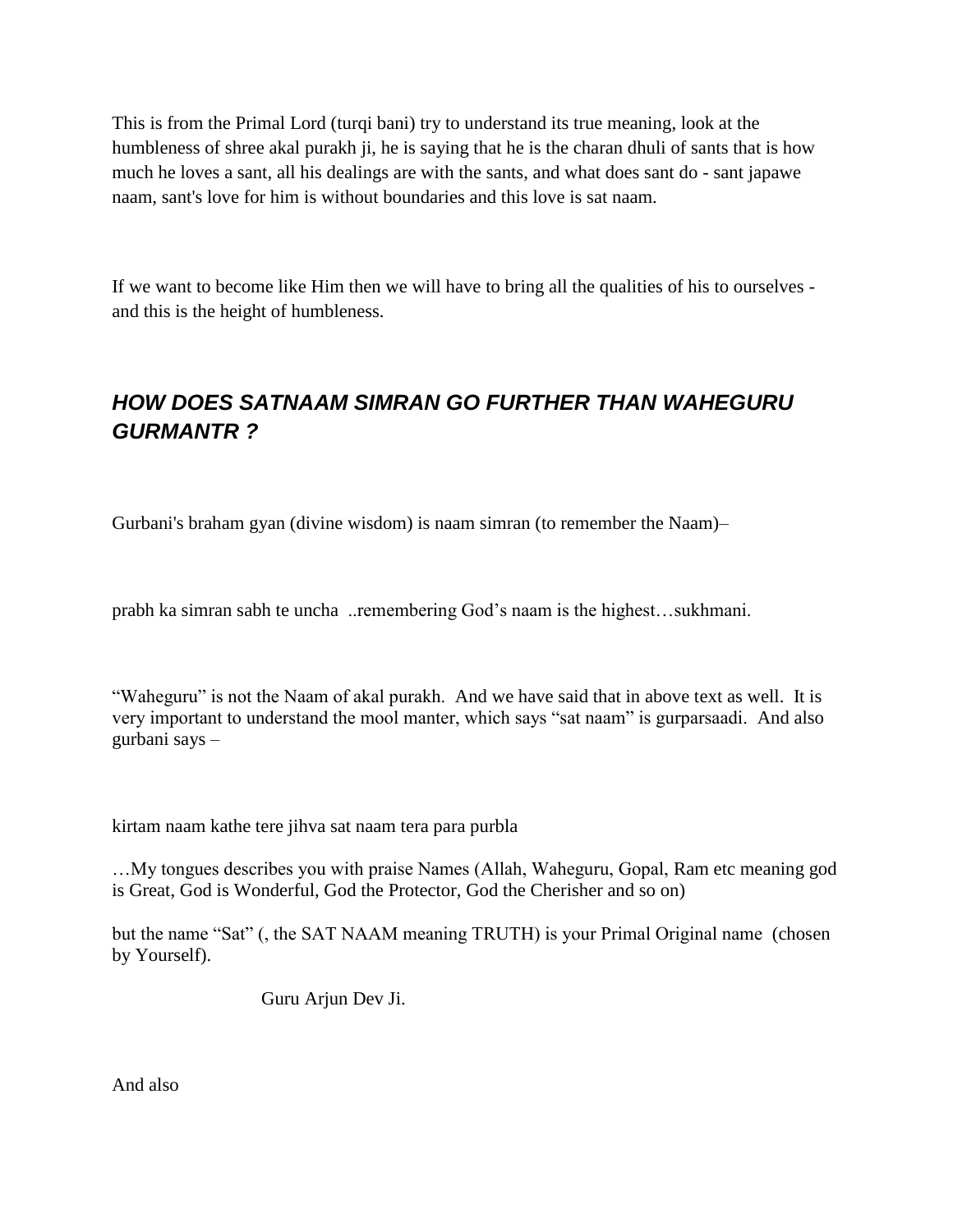This is from the Primal Lord (turqi bani) try to understand its true meaning, look at the humbleness of shree akal purakh ji, he is saying that he is the charan dhuli of sants that is how much he loves a sant, all his dealings are with the sants, and what does sant do - sant japawe naam, sant's love for him is without boundaries and this love is sat naam.

If we want to become like Him then we will have to bring all the qualities of his to ourselves and this is the height of humbleness.

# <span id="page-26-0"></span>*HOW DOES SATNAAM SIMRAN GO FURTHER THAN WAHEGURU GURMANTR ?*

Gurbani's braham gyan (divine wisdom) is naam simran (to remember the Naam)–

prabh ka simran sabh te uncha ..remembering God"s naam is the highest…sukhmani.

"Waheguru" is not the Naam of akal purakh. And we have said that in above text as well. It is very important to understand the mool manter, which says "sat naam" is gurparsaadi. And also gurbani says –

kirtam naam kathe tere jihva sat naam tera para purbla

…My tongues describes you with praise Names (Allah, Waheguru, Gopal, Ram etc meaning god is Great, God is Wonderful, God the Protector, God the Cherisher and so on)

but the name "Sat" (, the SAT NAAM meaning TRUTH) is your Primal Original name (chosen by Yourself).

Guru Arjun Dev Ji.

And also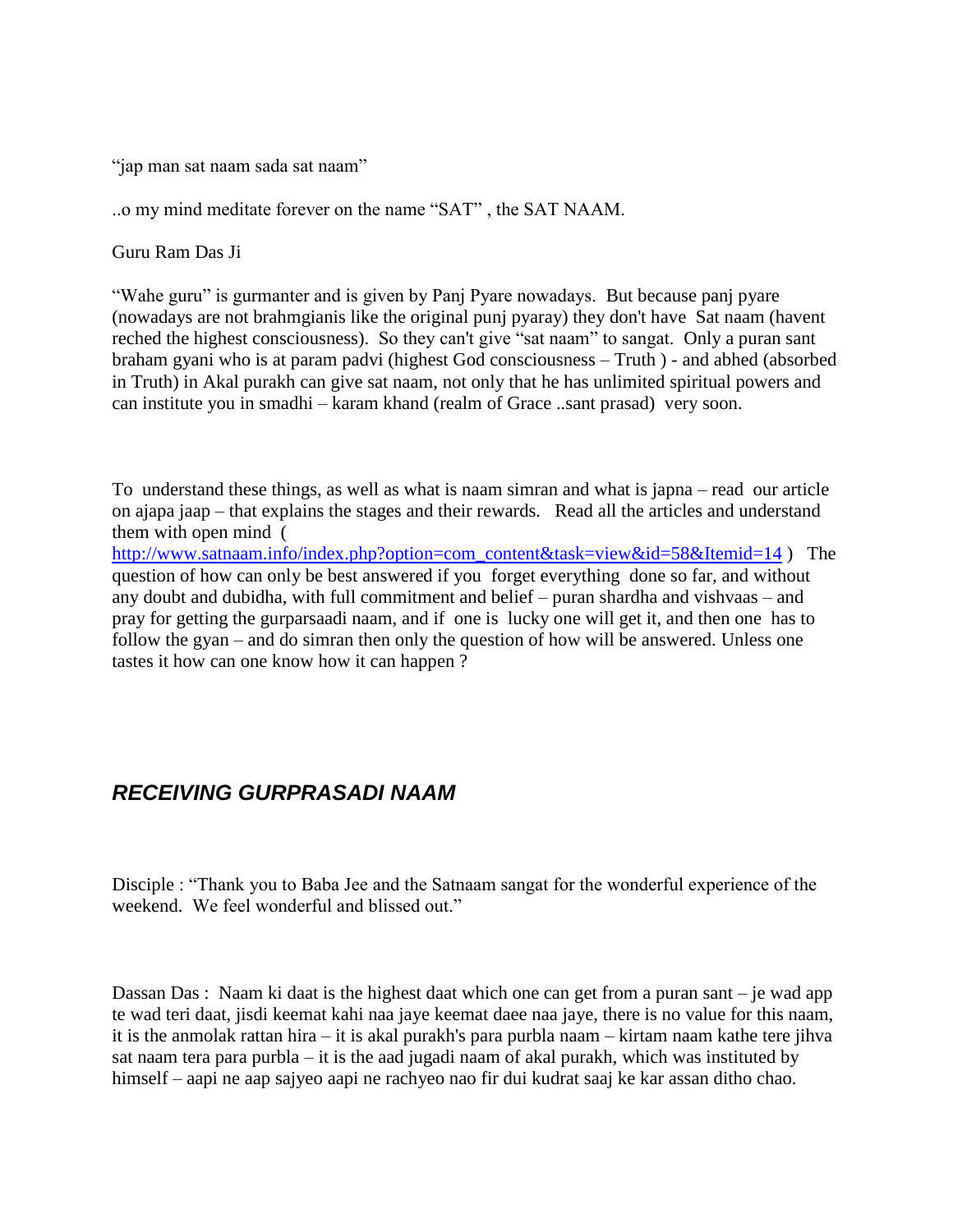"jap man sat naam sada sat naam"

..o my mind meditate forever on the name "SAT" , the SAT NAAM.

Guru Ram Das Ji

"Wahe guru" is gurmanter and is given by Panj Pyare nowadays. But because panj pyare (nowadays are not brahmgianis like the original punj pyaray) they don't have Sat naam (havent reched the highest consciousness). So they can't give "sat naam" to sangat. Only a puran sant braham gyani who is at param padvi (highest God consciousness – Truth ) - and abhed (absorbed in Truth) in Akal purakh can give sat naam, not only that he has unlimited spiritual powers and can institute you in smadhi – karam khand (realm of Grace ..sant prasad) very soon.

To understand these things, as well as what is naam simran and what is japna – read our article on ajapa jaap – that explains the stages and their rewards. Read all the articles and understand them with open mind (

[http://www.satnaam.info/index.php?option=com\\_content&task=view&id=58&Itemid=14](http://satnaam.info/index.php?option=com_content&task=view&id=58&Itemid=14) ) The question of how can only be best answered if you forget everything done so far, and without any doubt and dubidha, with full commitment and belief – puran shardha and vishvaas – and pray for getting the gurparsaadi naam, and if one is lucky one will get it, and then one has to follow the gyan – and do simran then only the question of how will be answered. Unless one tastes it how can one know how it can happen ?

## <span id="page-27-0"></span>*RECEIVING GURPRASADI NAAM*

Disciple : "Thank you to Baba Jee and the Satnaam sangat for the wonderful experience of the weekend. We feel wonderful and blissed out."

Dassan Das : Naam ki daat is the highest daat which one can get from a puran sant – je wad app te wad teri daat, jisdi keemat kahi naa jaye keemat daee naa jaye, there is no value for this naam, it is the anmolak rattan hira – it is akal purakh's para purbla naam – kirtam naam kathe tere jihva sat naam tera para purbla – it is the aad jugadi naam of akal purakh, which was instituted by himself – aapi ne aap sajyeo aapi ne rachyeo nao fir dui kudrat saaj ke kar assan ditho chao.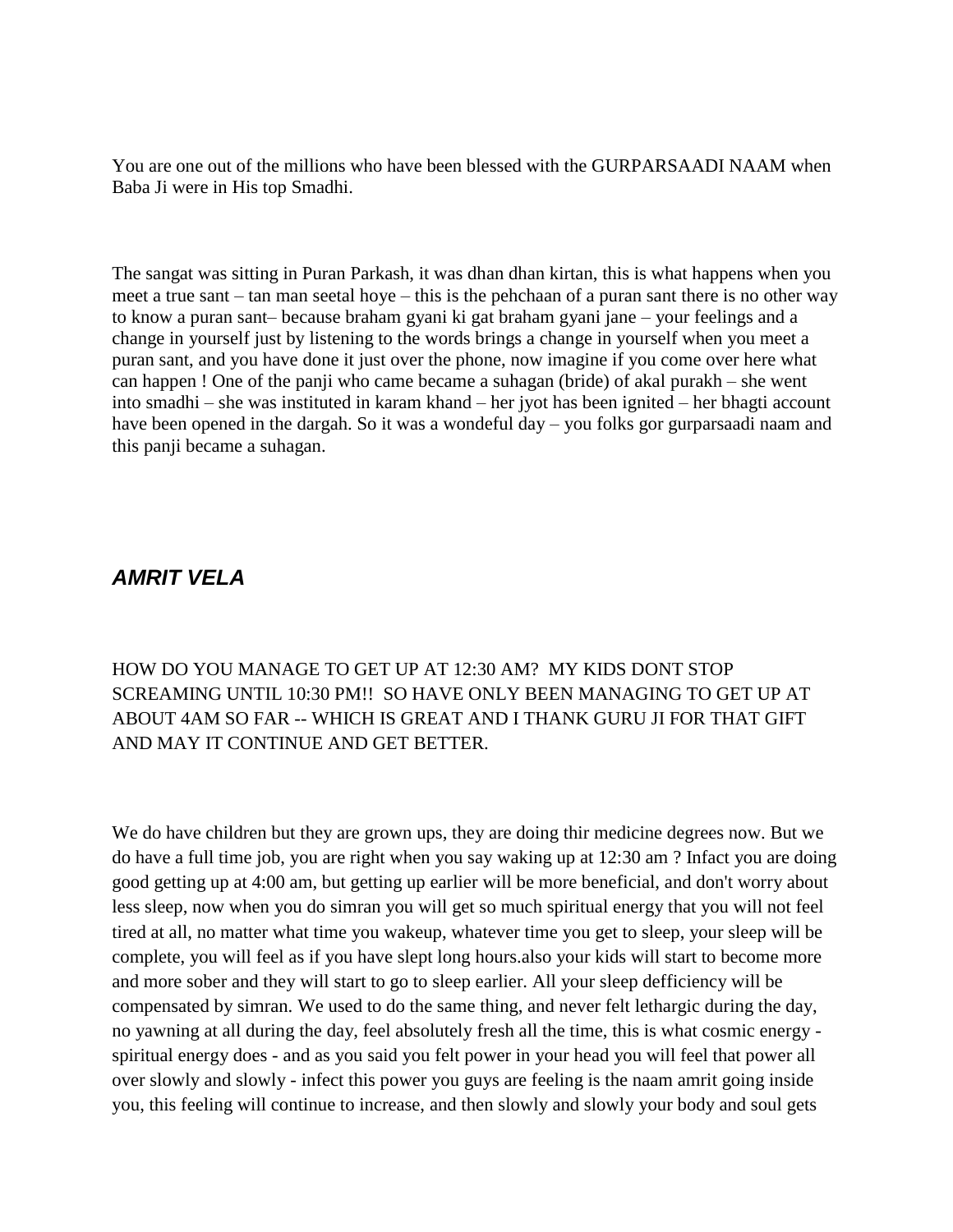You are one out of the millions who have been blessed with the GURPARSAADI NAAM when Baba Ji were in His top Smadhi.

The sangat was sitting in Puran Parkash, it was dhan dhan kirtan, this is what happens when you meet a true sant – tan man seetal hoye – this is the pehchaan of a puran sant there is no other way to know a puran sant– because braham gyani ki gat braham gyani jane – your feelings and a change in yourself just by listening to the words brings a change in yourself when you meet a puran sant, and you have done it just over the phone, now imagine if you come over here what can happen ! One of the panji who came became a suhagan (bride) of akal purakh – she went into smadhi – she was instituted in karam khand – her jyot has been ignited – her bhagti account have been opened in the dargah. So it was a wondeful day – you folks gor gurparsaadi naam and this panji became a suhagan.

#### <span id="page-28-0"></span>*AMRIT VELA*

HOW DO YOU MANAGE TO GET UP AT 12:30 AM? MY KIDS DONT STOP SCREAMING UNTIL 10:30 PM!! SO HAVE ONLY BEEN MANAGING TO GET UP AT ABOUT 4AM SO FAR -- WHICH IS GREAT AND I THANK GURU JI FOR THAT GIFT AND MAY IT CONTINUE AND GET BETTER.

We do have children but they are grown ups, they are doing thir medicine degrees now. But we do have a full time job, you are right when you say waking up at 12:30 am ? Infact you are doing good getting up at 4:00 am, but getting up earlier will be more beneficial, and don't worry about less sleep, now when you do simran you will get so much spiritual energy that you will not feel tired at all, no matter what time you wakeup, whatever time you get to sleep, your sleep will be complete, you will feel as if you have slept long hours.also your kids will start to become more and more sober and they will start to go to sleep earlier. All your sleep defficiency will be compensated by simran. We used to do the same thing, and never felt lethargic during the day, no yawning at all during the day, feel absolutely fresh all the time, this is what cosmic energy spiritual energy does - and as you said you felt power in your head you will feel that power all over slowly and slowly - infect this power you guys are feeling is the naam amrit going inside you, this feeling will continue to increase, and then slowly and slowly your body and soul gets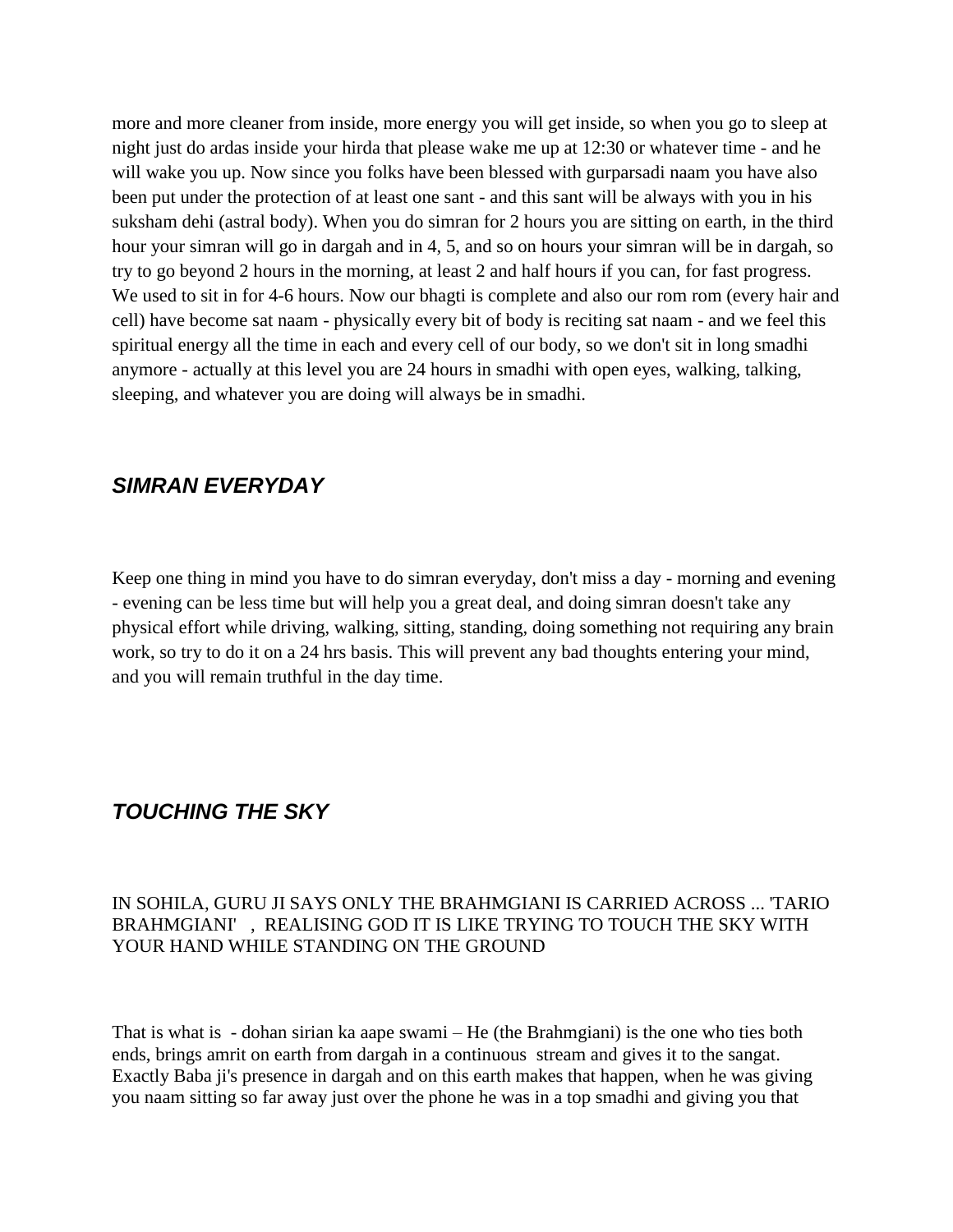more and more cleaner from inside, more energy you will get inside, so when you go to sleep at night just do ardas inside your hirda that please wake me up at 12:30 or whatever time - and he will wake you up. Now since you folks have been blessed with gurparsadi naam you have also been put under the protection of at least one sant - and this sant will be always with you in his suksham dehi (astral body). When you do simran for 2 hours you are sitting on earth, in the third hour your simran will go in dargah and in 4, 5, and so on hours your simran will be in dargah, so try to go beyond 2 hours in the morning, at least 2 and half hours if you can, for fast progress. We used to sit in for 4-6 hours. Now our bhagti is complete and also our rom rom (every hair and cell) have become sat naam - physically every bit of body is reciting sat naam - and we feel this spiritual energy all the time in each and every cell of our body, so we don't sit in long smadhi anymore - actually at this level you are 24 hours in smadhi with open eyes, walking, talking, sleeping, and whatever you are doing will always be in smadhi.

## <span id="page-29-0"></span>*SIMRAN EVERYDAY*

Keep one thing in mind you have to do simran everyday, don't miss a day - morning and evening - evening can be less time but will help you a great deal, and doing simran doesn't take any physical effort while driving, walking, sitting, standing, doing something not requiring any brain work, so try to do it on a 24 hrs basis. This will prevent any bad thoughts entering your mind, and you will remain truthful in the day time.

## <span id="page-29-1"></span>*TOUCHING THE SKY*

#### IN SOHILA, GURU JI SAYS ONLY THE BRAHMGIANI IS CARRIED ACROSS ... 'TARIO BRAHMGIANI' , REALISING GOD IT IS LIKE TRYING TO TOUCH THE SKY WITH YOUR HAND WHILE STANDING ON THE GROUND

That is what is - dohan sirian ka aape swami – He (the Brahmgiani) is the one who ties both ends, brings amrit on earth from dargah in a continuous stream and gives it to the sangat. Exactly Baba ji's presence in dargah and on this earth makes that happen, when he was giving you naam sitting so far away just over the phone he was in a top smadhi and giving you that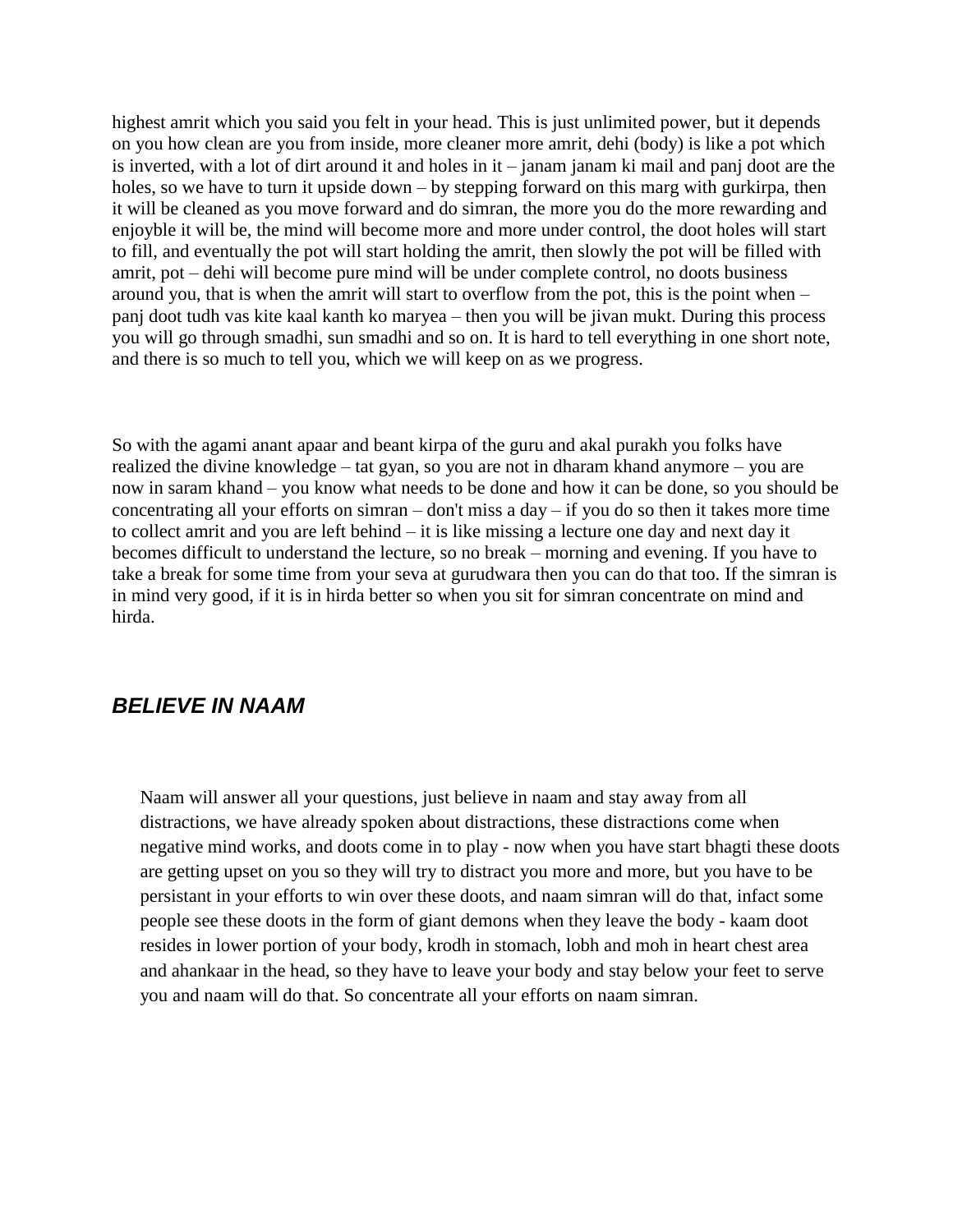highest amrit which you said you felt in your head. This is just unlimited power, but it depends on you how clean are you from inside, more cleaner more amrit, dehi (body) is like a pot which is inverted, with a lot of dirt around it and holes in it – janam janam ki mail and panj doot are the holes, so we have to turn it upside down – by stepping forward on this marg with gurkirpa, then it will be cleaned as you move forward and do simran, the more you do the more rewarding and enjoyble it will be, the mind will become more and more under control, the doot holes will start to fill, and eventually the pot will start holding the amrit, then slowly the pot will be filled with amrit, pot – dehi will become pure mind will be under complete control, no doots business around you, that is when the amrit will start to overflow from the pot, this is the point when – panj doot tudh vas kite kaal kanth ko maryea – then you will be jivan mukt. During this process you will go through smadhi, sun smadhi and so on. It is hard to tell everything in one short note, and there is so much to tell you, which we will keep on as we progress.

So with the agami anant apaar and beant kirpa of the guru and akal purakh you folks have realized the divine knowledge – tat gyan, so you are not in dharam khand anymore – you are now in saram khand – you know what needs to be done and how it can be done, so you should be concentrating all your efforts on simran – don't miss a day – if you do so then it takes more time to collect amrit and you are left behind – it is like missing a lecture one day and next day it becomes difficult to understand the lecture, so no break – morning and evening. If you have to take a break for some time from your seva at gurudwara then you can do that too. If the simran is in mind very good, if it is in hirda better so when you sit for simran concentrate on mind and hirda.

#### <span id="page-30-0"></span>*BELIEVE IN NAAM*

Naam will answer all your questions, just believe in naam and stay away from all distractions, we have already spoken about distractions, these distractions come when negative mind works, and doots come in to play - now when you have start bhagti these doots are getting upset on you so they will try to distract you more and more, but you have to be persistant in your efforts to win over these doots, and naam simran will do that, infact some people see these doots in the form of giant demons when they leave the body - kaam doot resides in lower portion of your body, krodh in stomach, lobh and moh in heart chest area and ahankaar in the head, so they have to leave your body and stay below your feet to serve you and naam will do that. So concentrate all your efforts on naam simran.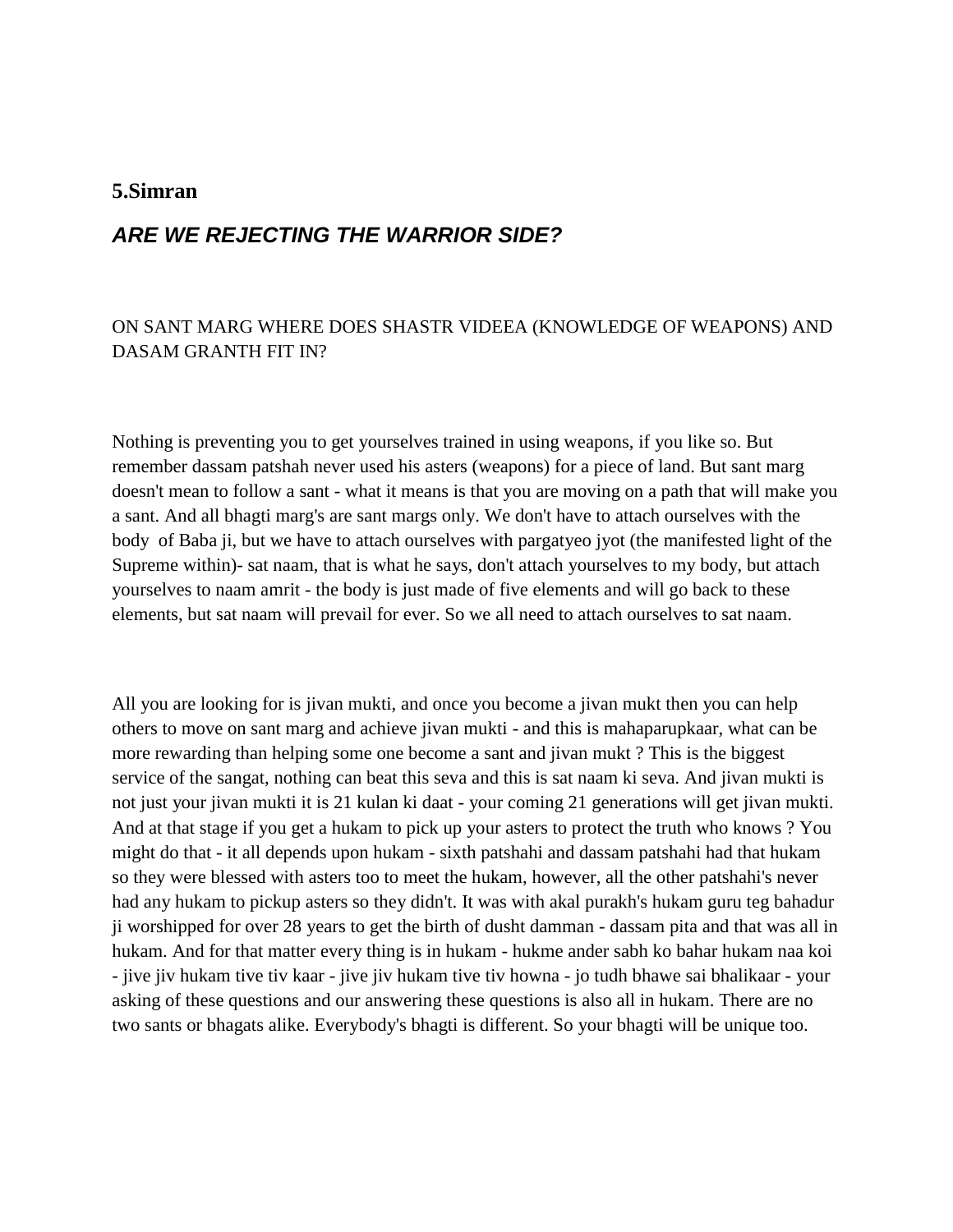#### <span id="page-31-0"></span>**5.Simran**

#### <span id="page-31-1"></span>*ARE WE REJECTING THE WARRIOR SIDE?*

#### ON SANT MARG WHERE DOES SHASTR VIDEEA (KNOWLEDGE OF WEAPONS) AND DASAM GRANTH FIT IN?

Nothing is preventing you to get yourselves trained in using weapons, if you like so. But remember dassam patshah never used his asters (weapons) for a piece of land. But sant marg doesn't mean to follow a sant - what it means is that you are moving on a path that will make you a sant. And all bhagti marg's are sant margs only. We don't have to attach ourselves with the body of Baba ji, but we have to attach ourselves with pargatyeo jyot (the manifested light of the Supreme within)- sat naam, that is what he says, don't attach yourselves to my body, but attach yourselves to naam amrit - the body is just made of five elements and will go back to these elements, but sat naam will prevail for ever. So we all need to attach ourselves to sat naam.

All you are looking for is jivan mukti, and once you become a jivan mukt then you can help others to move on sant marg and achieve jivan mukti - and this is mahaparupkaar, what can be more rewarding than helping some one become a sant and jivan mukt ? This is the biggest service of the sangat, nothing can beat this seva and this is sat naam ki seva. And jivan mukti is not just your jivan mukti it is 21 kulan ki daat - your coming 21 generations will get jivan mukti. And at that stage if you get a hukam to pick up your asters to protect the truth who knows ? You might do that - it all depends upon hukam - sixth patshahi and dassam patshahi had that hukam so they were blessed with asters too to meet the hukam, however, all the other patshahi's never had any hukam to pickup asters so they didn't. It was with akal purakh's hukam guru teg bahadur ji worshipped for over 28 years to get the birth of dusht damman - dassam pita and that was all in hukam. And for that matter every thing is in hukam - hukme ander sabh ko bahar hukam naa koi - jive jiv hukam tive tiv kaar - jive jiv hukam tive tiv howna - jo tudh bhawe sai bhalikaar - your asking of these questions and our answering these questions is also all in hukam. There are no two sants or bhagats alike. Everybody's bhagti is different. So your bhagti will be unique too.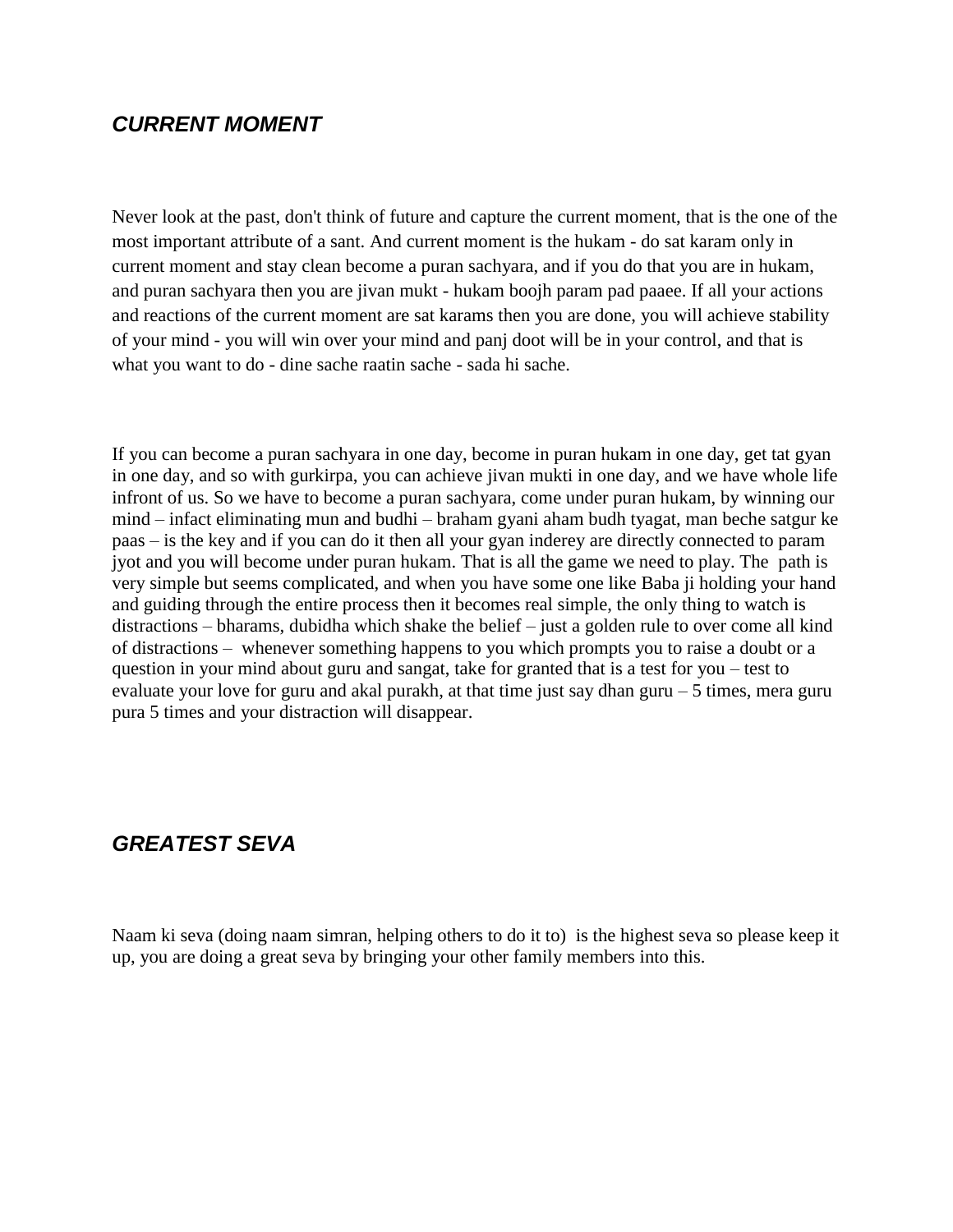### <span id="page-32-0"></span>*CURRENT MOMENT*

Never look at the past, don't think of future and capture the current moment, that is the one of the most important attribute of a sant. And current moment is the hukam - do sat karam only in current moment and stay clean become a puran sachyara, and if you do that you are in hukam, and puran sachyara then you are jivan mukt - hukam boojh param pad paaee. If all your actions and reactions of the current moment are sat karams then you are done, you will achieve stability of your mind - you will win over your mind and panj doot will be in your control, and that is what you want to do - dine sache raatin sache - sada hi sache.

If you can become a puran sachyara in one day, become in puran hukam in one day, get tat gyan in one day, and so with gurkirpa, you can achieve jivan mukti in one day, and we have whole life infront of us. So we have to become a puran sachyara, come under puran hukam, by winning our mind – infact eliminating mun and budhi – braham gyani aham budh tyagat, man beche satgur ke paas – is the key and if you can do it then all your gyan inderey are directly connected to param jyot and you will become under puran hukam. That is all the game we need to play. The path is very simple but seems complicated, and when you have some one like Baba ji holding your hand and guiding through the entire process then it becomes real simple, the only thing to watch is distractions – bharams, dubidha which shake the belief – just a golden rule to over come all kind of distractions – whenever something happens to you which prompts you to raise a doubt or a question in your mind about guru and sangat, take for granted that is a test for you – test to evaluate your love for guru and akal purakh, at that time just say dhan guru  $-5$  times, mera guru pura 5 times and your distraction will disappear.

## <span id="page-32-1"></span>*GREATEST SEVA*

Naam ki seva (doing naam simran, helping others to do it to) is the highest seva so please keep it up, you are doing a great seva by bringing your other family members into this.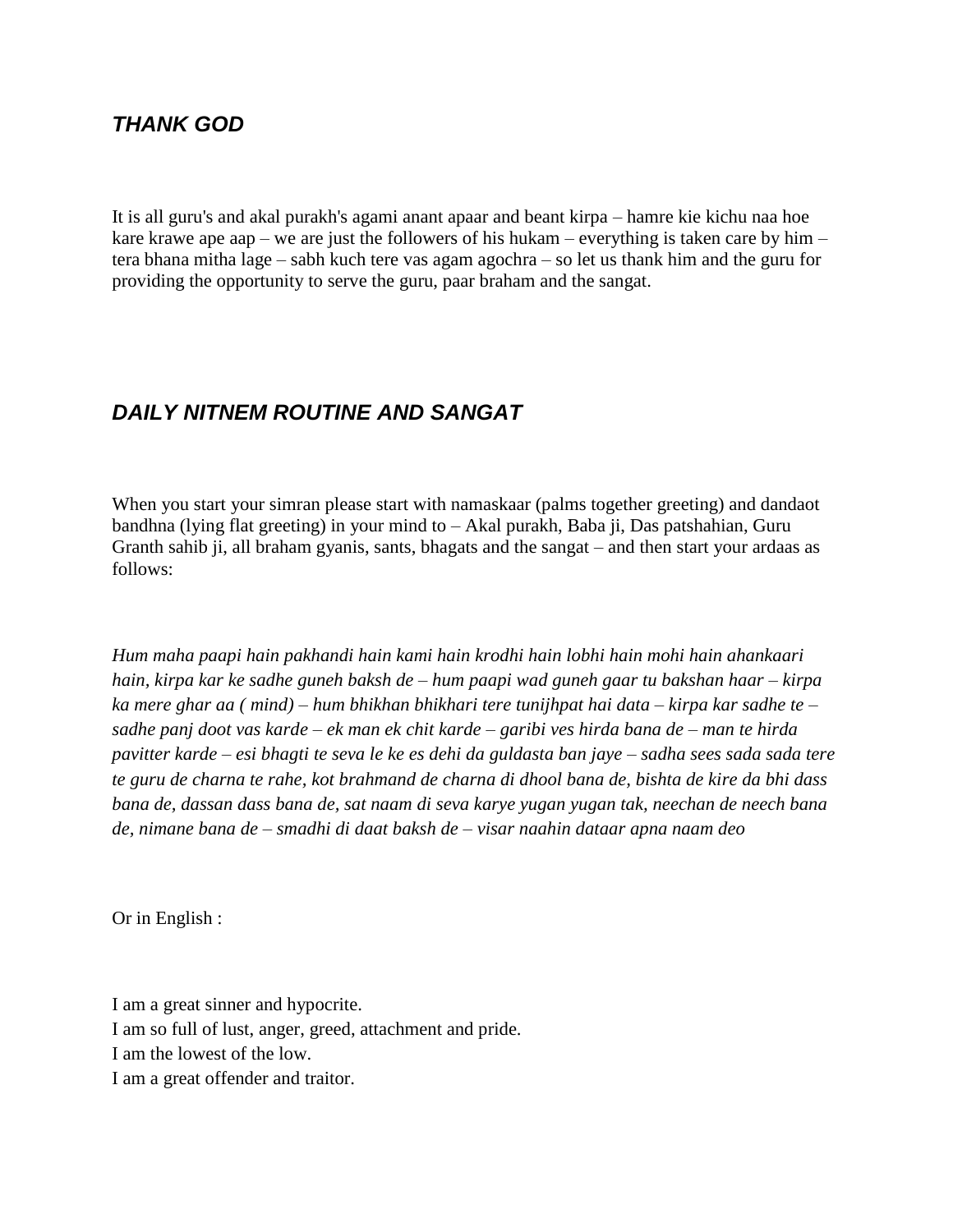## <span id="page-33-0"></span>*THANK GOD*

It is all guru's and akal purakh's agami anant apaar and beant kirpa – hamre kie kichu naa hoe kare krawe ape aap – we are just the followers of his hukam – everything is taken care by him – tera bhana mitha lage – sabh kuch tere vas agam agochra – so let us thank him and the guru for providing the opportunity to serve the guru, paar braham and the sangat.

# <span id="page-33-1"></span>*DAILY NITNEM ROUTINE AND SANGAT*

When you start your simran please start with namaskaar (palms together greeting) and dandaot bandhna (lying flat greeting) in your mind to – Akal purakh, Baba ji, Das patshahian, Guru Granth sahib ji, all braham gyanis, sants, bhagats and the sangat – and then start your ardaas as follows:

*Hum maha paapi hain pakhandi hain kami hain krodhi hain lobhi hain mohi hain ahankaari hain, kirpa kar ke sadhe guneh baksh de – hum paapi wad guneh gaar tu bakshan haar – kirpa ka mere ghar aa ( mind) – hum bhikhan bhikhari tere tunijhpat hai data – kirpa kar sadhe te – sadhe panj doot vas karde – ek man ek chit karde – garibi ves hirda bana de – man te hirda pavitter karde – esi bhagti te seva le ke es dehi da guldasta ban jaye – sadha sees sada sada tere te guru de charna te rahe, kot brahmand de charna di dhool bana de, bishta de kire da bhi dass bana de, dassan dass bana de, sat naam di seva karye yugan yugan tak, neechan de neech bana de, nimane bana de – smadhi di daat baksh de – visar naahin dataar apna naam deo*

Or in English :

I am a great sinner and hypocrite. I am so full of lust, anger, greed, attachment and pride. I am the lowest of the low. I am a great offender and traitor.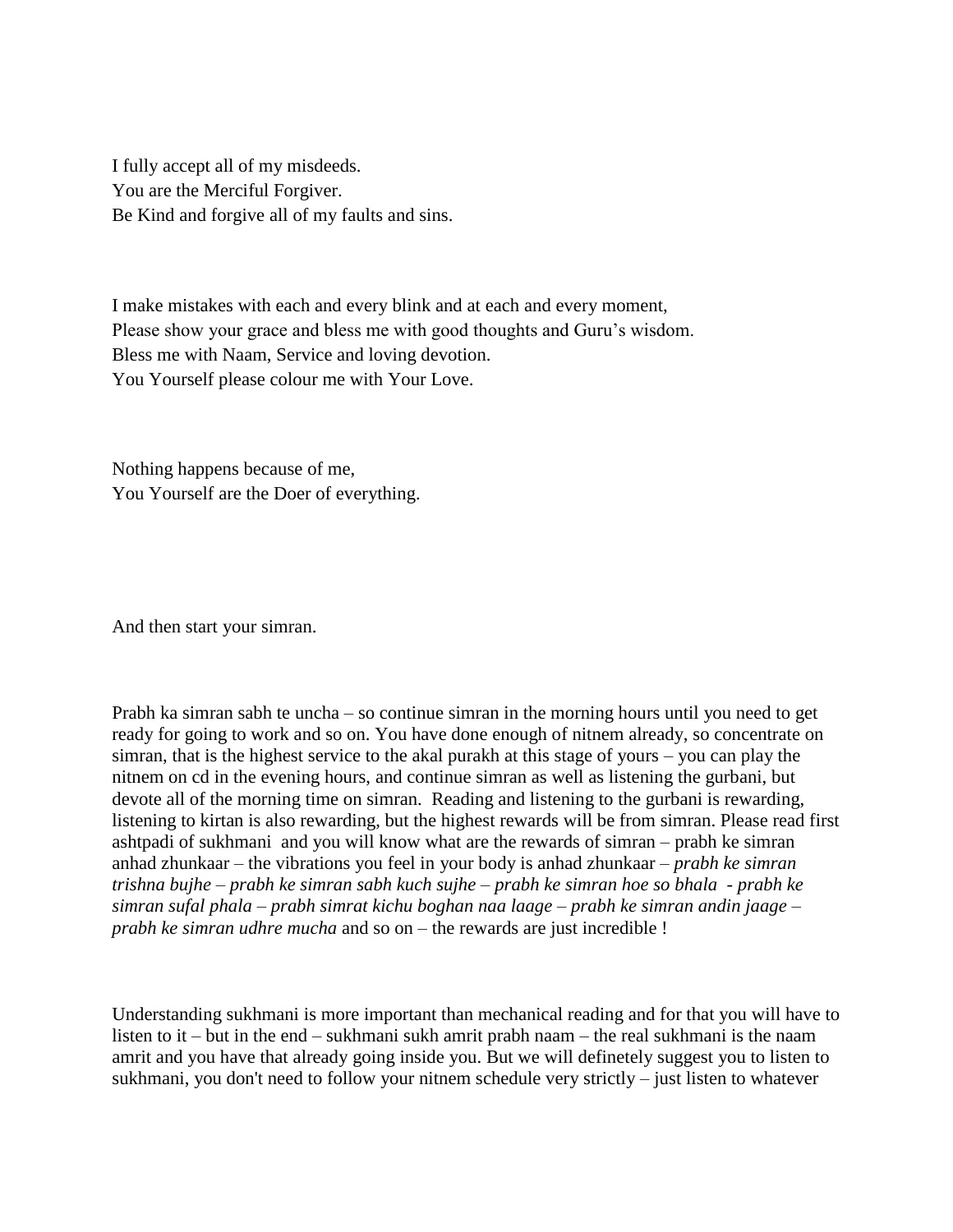I fully accept all of my misdeeds. You are the Merciful Forgiver. Be Kind and forgive all of my faults and sins.

I make mistakes with each and every blink and at each and every moment, Please show your grace and bless me with good thoughts and Guru's wisdom. Bless me with Naam, Service and loving devotion. You Yourself please colour me with Your Love.

Nothing happens because of me, You Yourself are the Doer of everything.

And then start your simran.

Prabh ka simran sabh te uncha – so continue simran in the morning hours until you need to get ready for going to work and so on. You have done enough of nitnem already, so concentrate on simran, that is the highest service to the akal purakh at this stage of yours – you can play the nitnem on cd in the evening hours, and continue simran as well as listening the gurbani, but devote all of the morning time on simran. Reading and listening to the gurbani is rewarding, listening to kirtan is also rewarding, but the highest rewards will be from simran. Please read first ashtpadi of sukhmani and you will know what are the rewards of simran – prabh ke simran anhad zhunkaar – the vibrations you feel in your body is anhad zhunkaar – *prabh ke simran trishna bujhe – prabh ke simran sabh kuch sujhe – prabh ke simran hoe so bhala - prabh ke simran sufal phala – prabh simrat kichu boghan naa laage – prabh ke simran andin jaage – prabh ke simran udhre mucha* and so on – the rewards are just incredible !

Understanding sukhmani is more important than mechanical reading and for that you will have to listen to it – but in the end – sukhmani sukh amrit prabh naam – the real sukhmani is the naam amrit and you have that already going inside you. But we will definetely suggest you to listen to sukhmani, you don't need to follow your nitnem schedule very strictly – just listen to whatever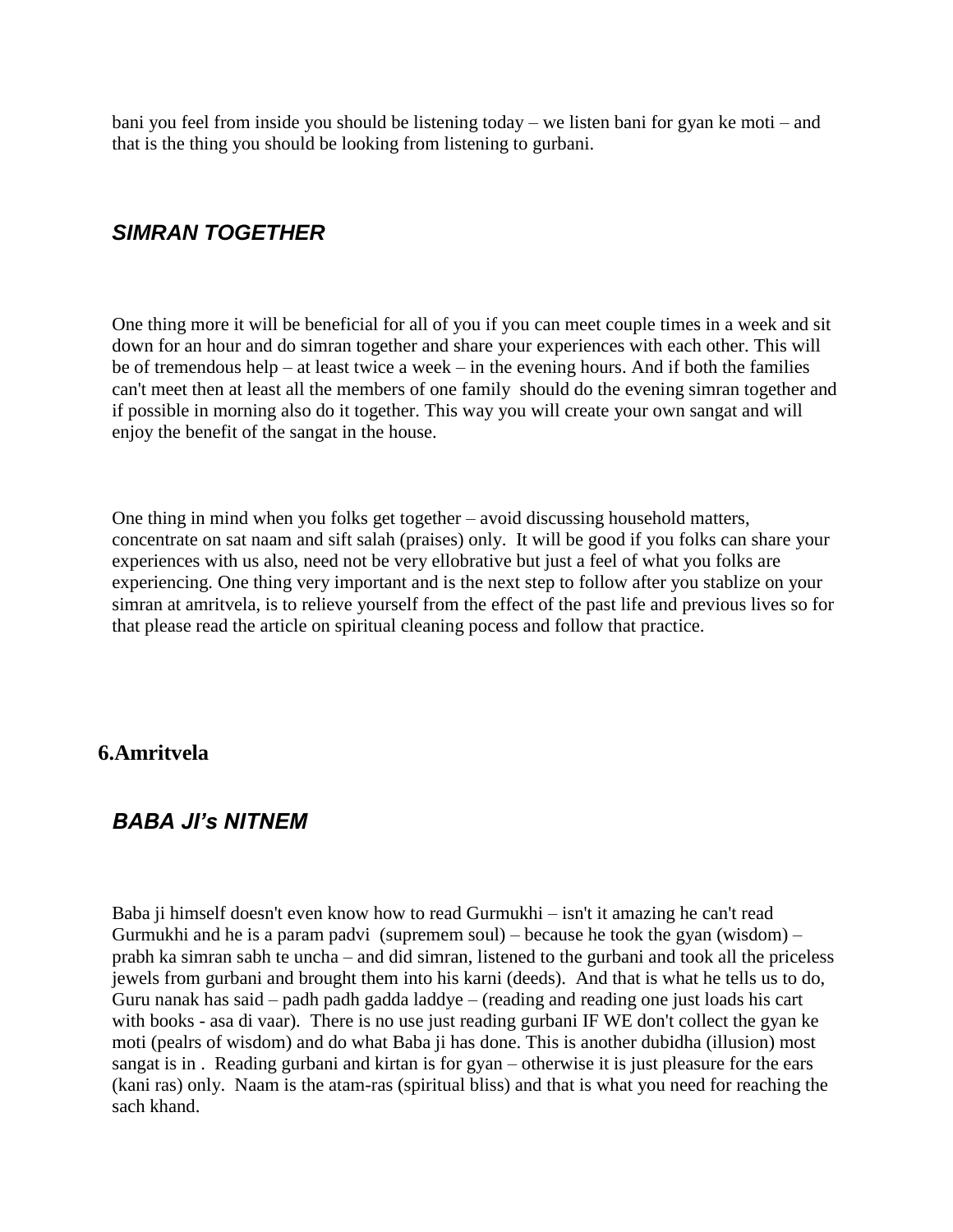bani you feel from inside you should be listening today – we listen bani for gyan ke moti – and that is the thing you should be looking from listening to gurbani.

## <span id="page-35-0"></span>*SIMRAN TOGETHER*

One thing more it will be beneficial for all of you if you can meet couple times in a week and sit down for an hour and do simran together and share your experiences with each other. This will be of tremendous help – at least twice a week – in the evening hours. And if both the families can't meet then at least all the members of one family should do the evening simran together and if possible in morning also do it together. This way you will create your own sangat and will enjoy the benefit of the sangat in the house.

One thing in mind when you folks get together – avoid discussing household matters, concentrate on sat naam and sift salah (praises) only. It will be good if you folks can share your experiences with us also, need not be very ellobrative but just a feel of what you folks are experiencing. One thing very important and is the next step to follow after you stablize on your simran at amritvela, is to relieve yourself from the effect of the past life and previous lives so for that please read the article on spiritual cleaning pocess and follow that practice.

#### <span id="page-35-1"></span>**6.Amritvela**

## <span id="page-35-2"></span>*BABA JI's NITNEM*

Baba ji himself doesn't even know how to read Gurmukhi – isn't it amazing he can't read Gurmukhi and he is a param padvi (supremem soul) – because he took the gyan (wisdom) – prabh ka simran sabh te uncha – and did simran, listened to the gurbani and took all the priceless jewels from gurbani and brought them into his karni (deeds). And that is what he tells us to do, Guru nanak has said – padh padh gadda laddye – (reading and reading one just loads his cart with books - asa di vaar). There is no use just reading gurbani IF WE don't collect the gyan ke moti (pealrs of wisdom) and do what Baba ji has done. This is another dubidha (illusion) most sangat is in . Reading gurbani and kirtan is for gyan – otherwise it is just pleasure for the ears (kani ras) only. Naam is the atam-ras (spiritual bliss) and that is what you need for reaching the sach khand.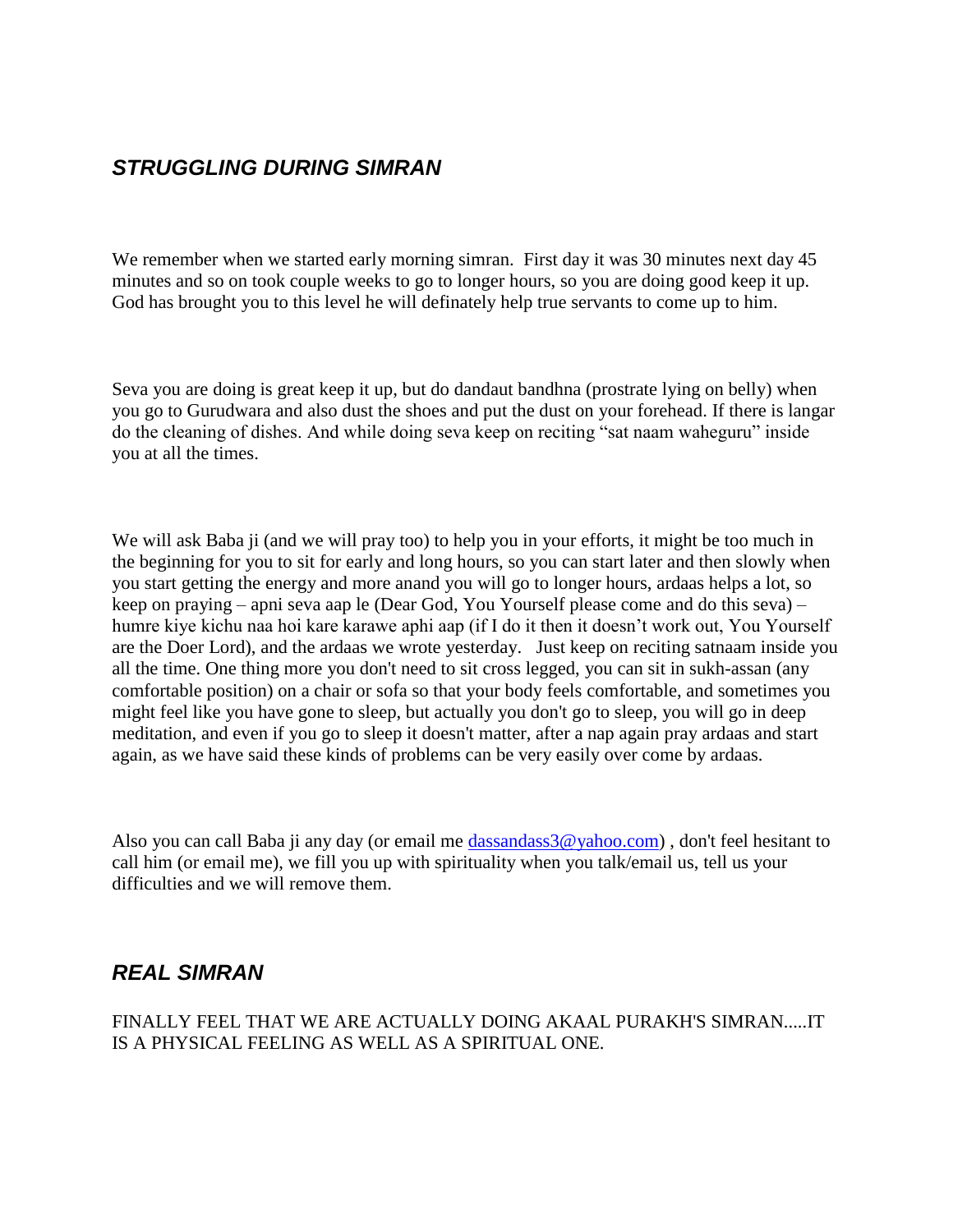## *STRUGGLING DURING SIMRAN*

We remember when we started early morning simran. First day it was 30 minutes next day 45 minutes and so on took couple weeks to go to longer hours, so you are doing good keep it up. God has brought you to this level he will definately help true servants to come up to him.

Seva you are doing is great keep it up, but do dandaut bandhna (prostrate lying on belly) when you go to Gurudwara and also dust the shoes and put the dust on your forehead. If there is langar do the cleaning of dishes. And while doing seva keep on reciting "sat naam waheguru" inside you at all the times.

We will ask Baba ji (and we will pray too) to help you in your efforts, it might be too much in the beginning for you to sit for early and long hours, so you can start later and then slowly when you start getting the energy and more anand you will go to longer hours, ardaas helps a lot, so keep on praying – apni seva aap le (Dear God, You Yourself please come and do this seva) – humre kiye kichu naa hoi kare karawe aphi aap (if I do it then it doesn"t work out, You Yourself are the Doer Lord), and the ardaas we wrote yesterday. Just keep on reciting satnaam inside you all the time. One thing more you don't need to sit cross legged, you can sit in sukh-assan (any comfortable position) on a chair or sofa so that your body feels comfortable, and sometimes you might feel like you have gone to sleep, but actually you don't go to sleep, you will go in deep meditation, and even if you go to sleep it doesn't matter, after a nap again pray ardaas and start again, as we have said these kinds of problems can be very easily over come by ardaas.

Also you can call Baba ji any day (or email me [dassandass3@yahoo.com\)](mailto:dassandass3@yahoo.com) , don't feel hesitant to call him (or email me), we fill you up with spirituality when you talk/email us, tell us your difficulties and we will remove them.

## *REAL SIMRAN*

FINALLY FEEL THAT WE ARE ACTUALLY DOING AKAAL PURAKH'S SIMRAN.....IT IS A PHYSICAL FEELING AS WELL AS A SPIRITUAL ONE.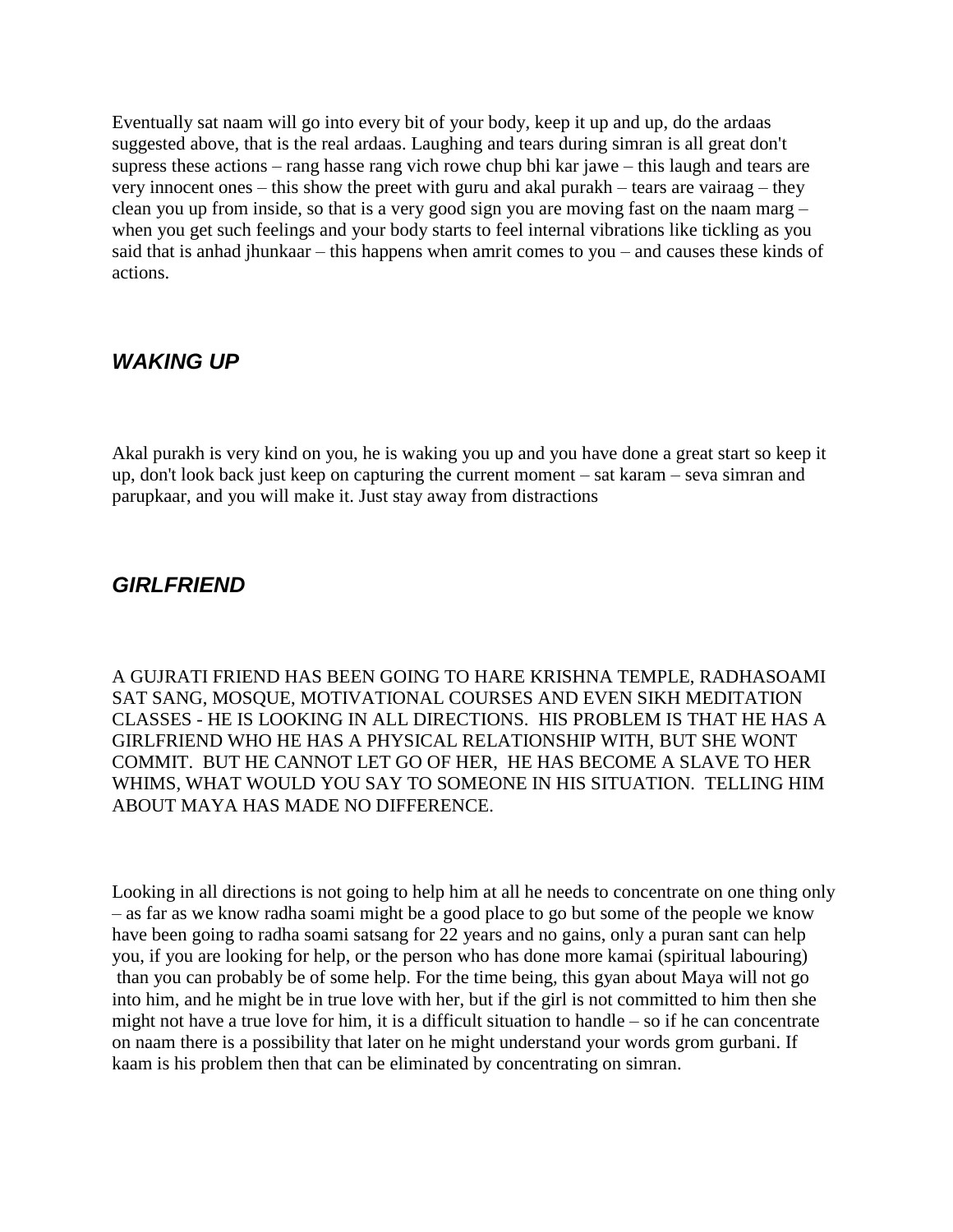Eventually sat naam will go into every bit of your body, keep it up and up, do the ardaas suggested above, that is the real ardaas. Laughing and tears during simran is all great don't supress these actions – rang hasse rang vich rowe chup bhi kar jawe – this laugh and tears are very innocent ones – this show the preet with guru and akal purakh – tears are vairaag – they clean you up from inside, so that is a very good sign you are moving fast on the naam marg – when you get such feelings and your body starts to feel internal vibrations like tickling as you said that is anhad jhunkaar – this happens when amrit comes to you – and causes these kinds of actions.

## *WAKING UP*

Akal purakh is very kind on you, he is waking you up and you have done a great start so keep it up, don't look back just keep on capturing the current moment – sat karam – seva simran and parupkaar, and you will make it. Just stay away from distractions

## *GIRLFRIEND*

A GUJRATI FRIEND HAS BEEN GOING TO HARE KRISHNA TEMPLE, RADHASOAMI SAT SANG, MOSQUE, MOTIVATIONAL COURSES AND EVEN SIKH MEDITATION CLASSES - HE IS LOOKING IN ALL DIRECTIONS. HIS PROBLEM IS THAT HE HAS A GIRLFRIEND WHO HE HAS A PHYSICAL RELATIONSHIP WITH, BUT SHE WONT COMMIT. BUT HE CANNOT LET GO OF HER, HE HAS BECOME A SLAVE TO HER WHIMS, WHAT WOULD YOU SAY TO SOMEONE IN HIS SITUATION. TELLING HIM ABOUT MAYA HAS MADE NO DIFFERENCE.

Looking in all directions is not going to help him at all he needs to concentrate on one thing only – as far as we know radha soami might be a good place to go but some of the people we know have been going to radha soami satsang for 22 years and no gains, only a puran sant can help you, if you are looking for help, or the person who has done more kamai (spiritual labouring) than you can probably be of some help. For the time being, this gyan about Maya will not go into him, and he might be in true love with her, but if the girl is not committed to him then she might not have a true love for him, it is a difficult situation to handle – so if he can concentrate on naam there is a possibility that later on he might understand your words grom gurbani. If kaam is his problem then that can be eliminated by concentrating on simran.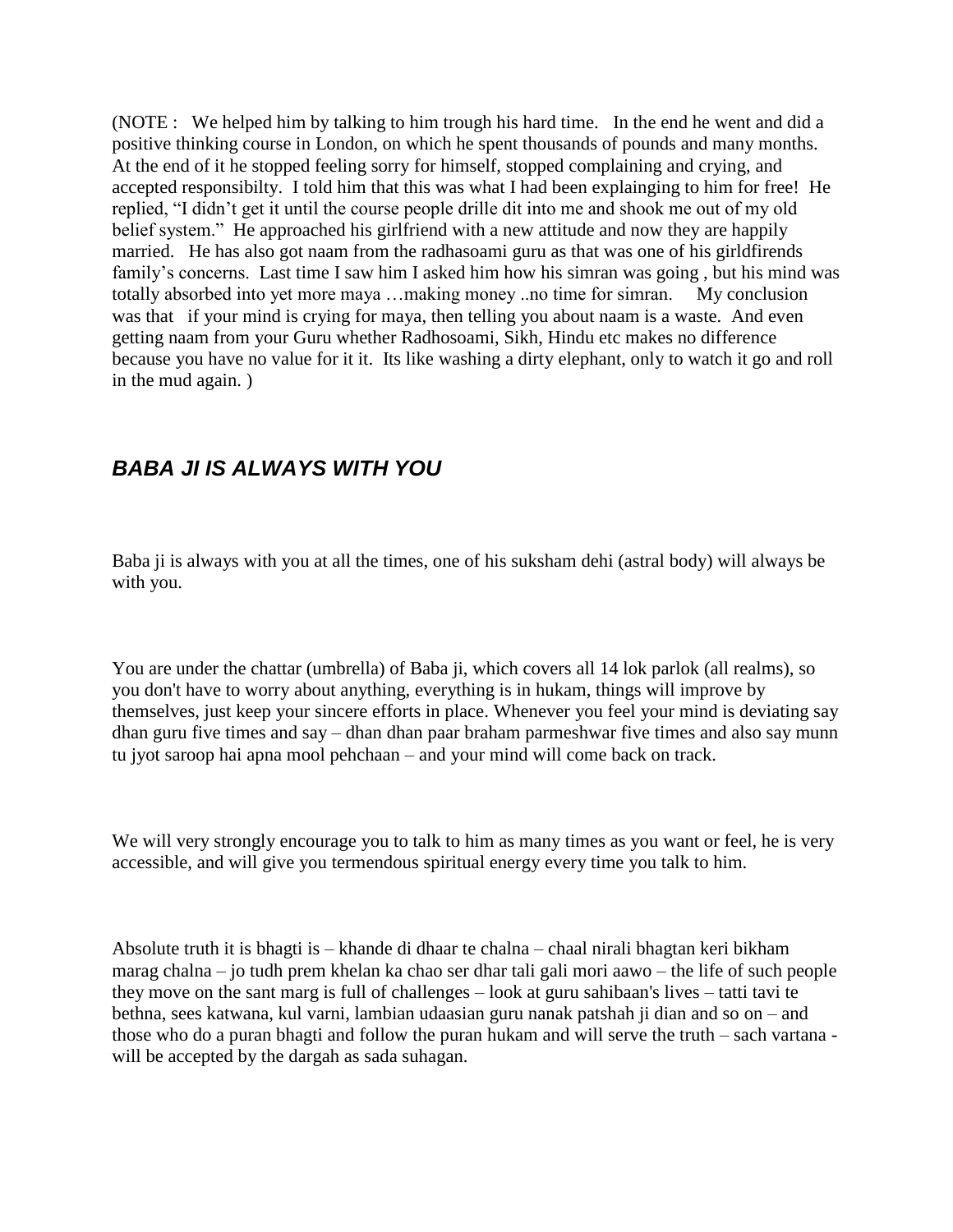(NOTE : We helped him by talking to him trough his hard time. In the end he went and did a positive thinking course in London, on which he spent thousands of pounds and many months. At the end of it he stopped feeling sorry for himself, stopped complaining and crying, and accepted responsibilty. I told him that this was what I had been explainging to him for free! He replied, "I didn"t get it until the course people drille dit into me and shook me out of my old belief system." He approached his girlfriend with a new attitude and now they are happily married. He has also got naam from the radhasoami guru as that was one of his girldfirends family's concerns. Last time I saw him I asked him how his simran was going, but his mind was totally absorbed into yet more maya …making money ..no time for simran. My conclusion was that if your mind is crying for maya, then telling you about naam is a waste. And even getting naam from your Guru whether Radhosoami, Sikh, Hindu etc makes no difference because you have no value for it it. Its like washing a dirty elephant, only to watch it go and roll in the mud again. )

# *BABA JI IS ALWAYS WITH YOU*

Baba ji is always with you at all the times, one of his suksham dehi (astral body) will always be with you.

You are under the chattar (umbrella) of Baba ji, which covers all 14 lok parlok (all realms), so you don't have to worry about anything, everything is in hukam, things will improve by themselves, just keep your sincere efforts in place. Whenever you feel your mind is deviating say dhan guru five times and say – dhan dhan paar braham parmeshwar five times and also say munn tu jyot saroop hai apna mool pehchaan – and your mind will come back on track.

We will very strongly encourage you to talk to him as many times as you want or feel, he is very accessible, and will give you termendous spiritual energy every time you talk to him.

Absolute truth it is bhagti is – khande di dhaar te chalna – chaal nirali bhagtan keri bikham marag chalna – jo tudh prem khelan ka chao ser dhar tali gali mori aawo – the life of such people they move on the sant marg is full of challenges – look at guru sahibaan's lives – tatti tavi te bethna, sees katwana, kul varni, lambian udaasian guru nanak patshah ji dian and so on – and those who do a puran bhagti and follow the puran hukam and will serve the truth – sach vartana will be accepted by the dargah as sada suhagan.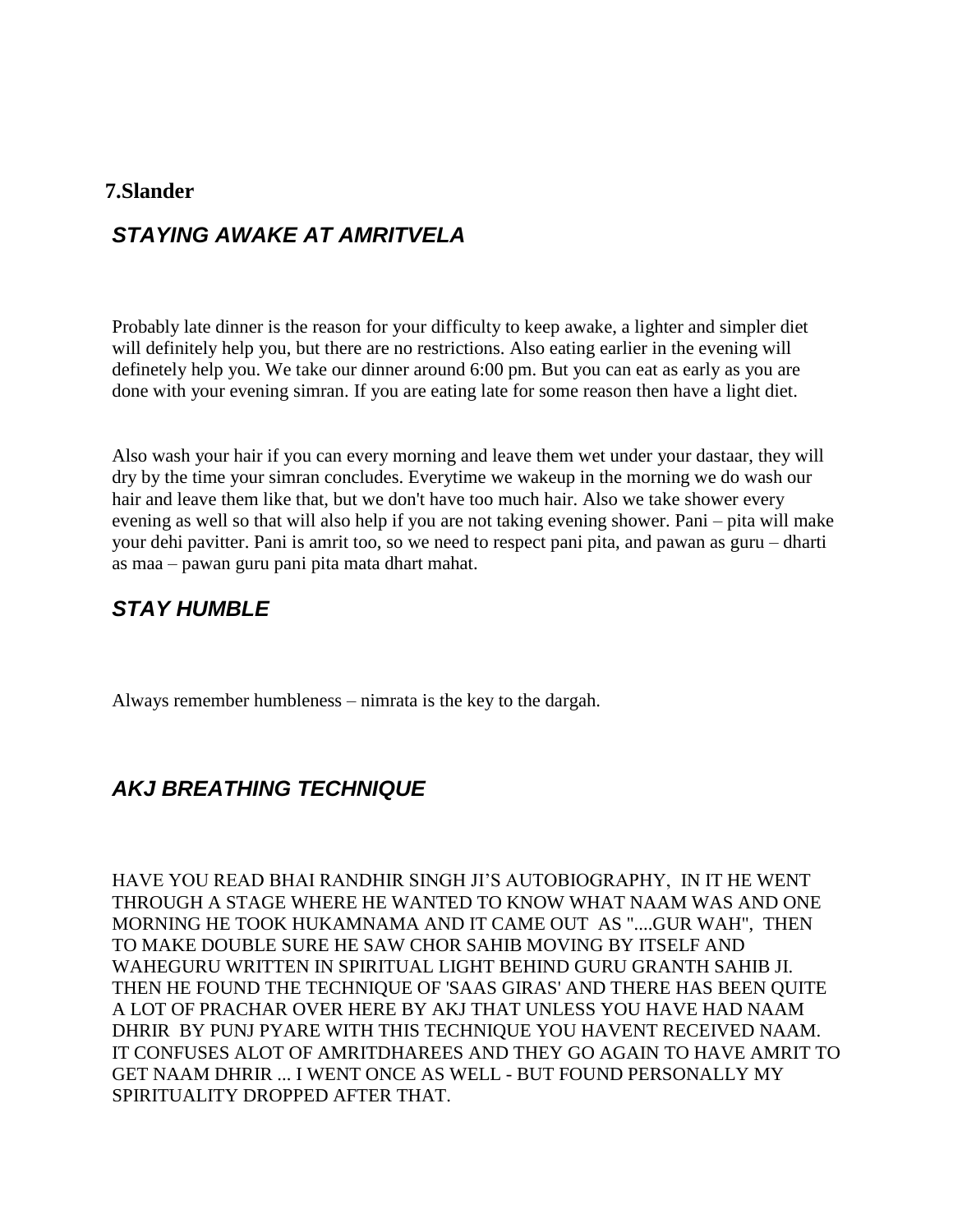#### **7.Slander**

## *STAYING AWAKE AT AMRITVELA*

Probably late dinner is the reason for your difficulty to keep awake, a lighter and simpler diet will definitely help you, but there are no restrictions. Also eating earlier in the evening will definetely help you. We take our dinner around 6:00 pm. But you can eat as early as you are done with your evening simran. If you are eating late for some reason then have a light diet.

Also wash your hair if you can every morning and leave them wet under your dastaar, they will dry by the time your simran concludes. Everytime we wakeup in the morning we do wash our hair and leave them like that, but we don't have too much hair. Also we take shower every evening as well so that will also help if you are not taking evening shower. Pani – pita will make your dehi pavitter. Pani is amrit too, so we need to respect pani pita, and pawan as guru – dharti as maa – pawan guru pani pita mata dhart mahat.

# *STAY HUMBLE*

Always remember humbleness – nimrata is the key to the dargah.

# *AKJ BREATHING TECHNIQUE*

HAVE YOU READ BHAI RANDHIR SINGH JI"S AUTOBIOGRAPHY, IN IT HE WENT THROUGH A STAGE WHERE HE WANTED TO KNOW WHAT NAAM WAS AND ONE MORNING HE TOOK HUKAMNAMA AND IT CAME OUT AS "....GUR WAH", THEN TO MAKE DOUBLE SURE HE SAW CHOR SAHIB MOVING BY ITSELF AND WAHEGURU WRITTEN IN SPIRITUAL LIGHT BEHIND GURU GRANTH SAHIB JI. THEN HE FOUND THE TECHNIQUE OF 'SAAS GIRAS' AND THERE HAS BEEN QUITE A LOT OF PRACHAR OVER HERE BY AKJ THAT UNLESS YOU HAVE HAD NAAM DHRIR BY PUNJ PYARE WITH THIS TECHNIQUE YOU HAVENT RECEIVED NAAM. IT CONFUSES ALOT OF AMRITDHAREES AND THEY GO AGAIN TO HAVE AMRIT TO GET NAAM DHRIR ... I WENT ONCE AS WELL - BUT FOUND PERSONALLY MY SPIRITUALITY DROPPED AFTER THAT.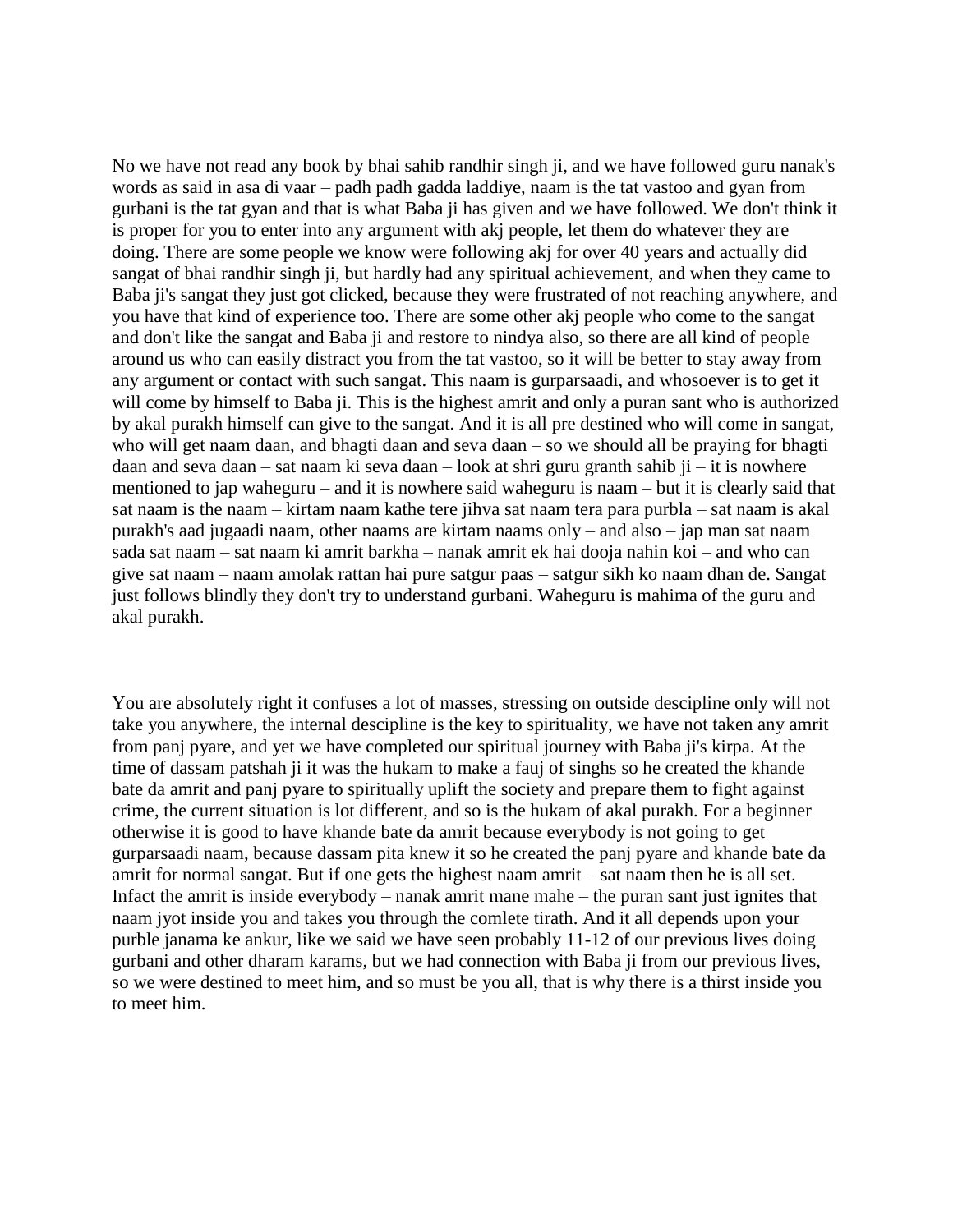No we have not read any book by bhai sahib randhir singh ji, and we have followed guru nanak's words as said in asa di vaar – padh padh gadda laddiye, naam is the tat vastoo and gyan from gurbani is the tat gyan and that is what Baba ji has given and we have followed. We don't think it is proper for you to enter into any argument with akj people, let them do whatever they are doing. There are some people we know were following akj for over 40 years and actually did sangat of bhai randhir singh ji, but hardly had any spiritual achievement, and when they came to Baba ji's sangat they just got clicked, because they were frustrated of not reaching anywhere, and you have that kind of experience too. There are some other akj people who come to the sangat and don't like the sangat and Baba ji and restore to nindya also, so there are all kind of people around us who can easily distract you from the tat vastoo, so it will be better to stay away from any argument or contact with such sangat. This naam is gurparsaadi, and whosoever is to get it will come by himself to Baba ji. This is the highest amrit and only a puran sant who is authorized by akal purakh himself can give to the sangat. And it is all pre destined who will come in sangat, who will get naam daan, and bhagti daan and seva daan – so we should all be praying for bhagti daan and seva daan – sat naam ki seva daan – look at shri guru granth sahib ji – it is nowhere mentioned to jap waheguru – and it is nowhere said waheguru is naam – but it is clearly said that sat naam is the naam – kirtam naam kathe tere jihva sat naam tera para purbla – sat naam is akal purakh's aad jugaadi naam, other naams are kirtam naams only – and also – jap man sat naam sada sat naam – sat naam ki amrit barkha – nanak amrit ek hai dooja nahin koi – and who can give sat naam – naam amolak rattan hai pure satgur paas – satgur sikh ko naam dhan de. Sangat just follows blindly they don't try to understand gurbani. Waheguru is mahima of the guru and akal purakh.

You are absolutely right it confuses a lot of masses, stressing on outside descipline only will not take you anywhere, the internal descipline is the key to spirituality, we have not taken any amrit from panj pyare, and yet we have completed our spiritual journey with Baba ji's kirpa. At the time of dassam patshah ji it was the hukam to make a fauj of singhs so he created the khande bate da amrit and panj pyare to spiritually uplift the society and prepare them to fight against crime, the current situation is lot different, and so is the hukam of akal purakh. For a beginner otherwise it is good to have khande bate da amrit because everybody is not going to get gurparsaadi naam, because dassam pita knew it so he created the panj pyare and khande bate da amrit for normal sangat. But if one gets the highest naam amrit – sat naam then he is all set. Infact the amrit is inside everybody – nanak amrit mane mahe – the puran sant just ignites that naam jyot inside you and takes you through the comlete tirath. And it all depends upon your purble janama ke ankur, like we said we have seen probably 11-12 of our previous lives doing gurbani and other dharam karams, but we had connection with Baba ji from our previous lives, so we were destined to meet him, and so must be you all, that is why there is a thirst inside you to meet him.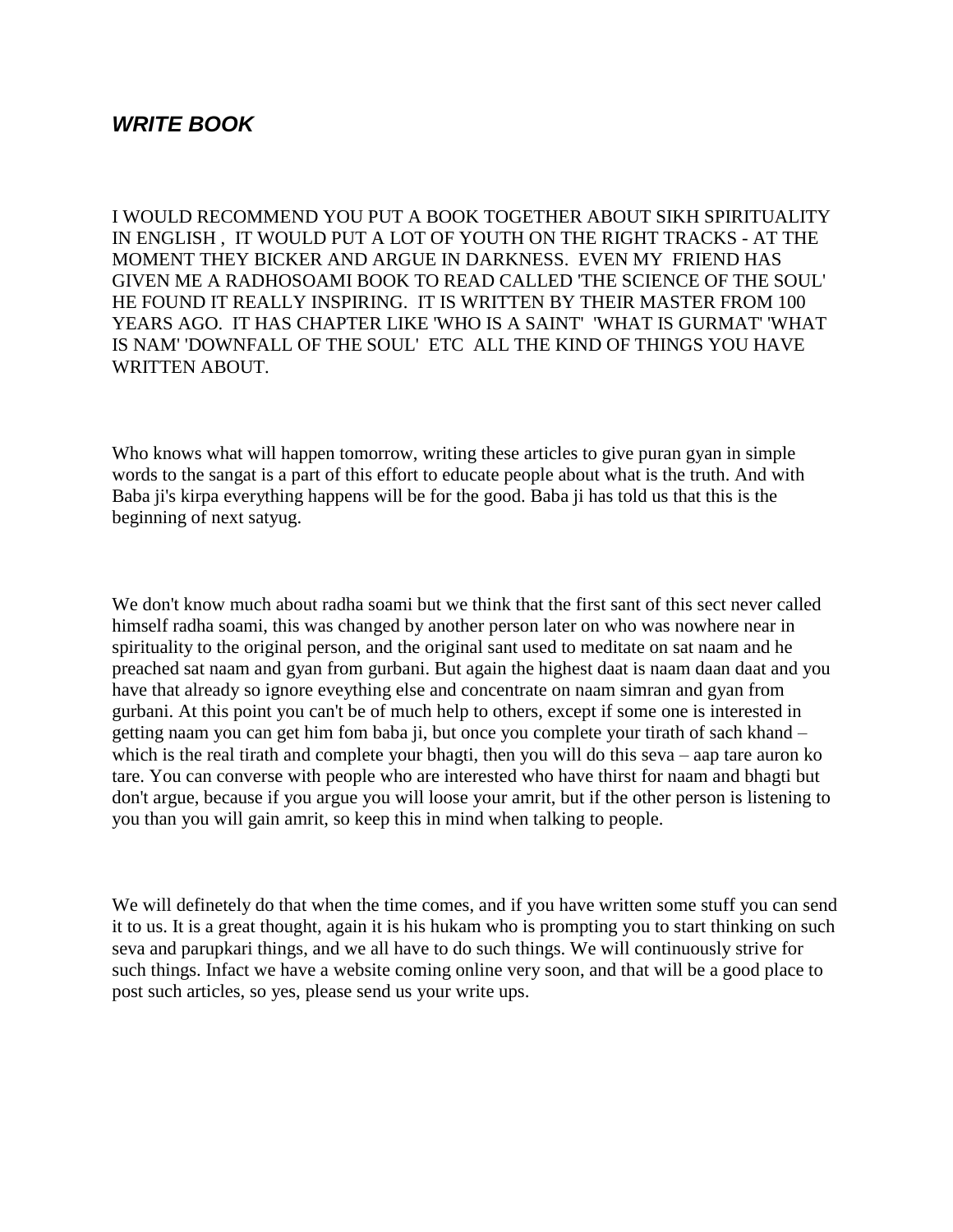### *WRITE BOOK*

I WOULD RECOMMEND YOU PUT A BOOK TOGETHER ABOUT SIKH SPIRITUALITY IN ENGLISH , IT WOULD PUT A LOT OF YOUTH ON THE RIGHT TRACKS - AT THE MOMENT THEY BICKER AND ARGUE IN DARKNESS. EVEN MY FRIEND HAS GIVEN ME A RADHOSOAMI BOOK TO READ CALLED 'THE SCIENCE OF THE SOUL' HE FOUND IT REALLY INSPIRING. IT IS WRITTEN BY THEIR MASTER FROM 100 YEARS AGO. IT HAS CHAPTER LIKE 'WHO IS A SAINT' 'WHAT IS GURMAT' 'WHAT IS NAM' 'DOWNFALL OF THE SOUL' ETC ALL THE KIND OF THINGS YOU HAVE WRITTEN ABOUT.

Who knows what will happen tomorrow, writing these articles to give puran gyan in simple words to the sangat is a part of this effort to educate people about what is the truth. And with Baba ji's kirpa everything happens will be for the good. Baba ji has told us that this is the beginning of next satyug.

We don't know much about radha soami but we think that the first sant of this sect never called himself radha soami, this was changed by another person later on who was nowhere near in spirituality to the original person, and the original sant used to meditate on sat naam and he preached sat naam and gyan from gurbani. But again the highest daat is naam daan daat and you have that already so ignore eveything else and concentrate on naam simran and gyan from gurbani. At this point you can't be of much help to others, except if some one is interested in getting naam you can get him fom baba ji, but once you complete your tirath of sach khand – which is the real tirath and complete your bhagti, then you will do this seva – aap tare auron ko tare. You can converse with people who are interested who have thirst for naam and bhagti but don't argue, because if you argue you will loose your amrit, but if the other person is listening to you than you will gain amrit, so keep this in mind when talking to people.

We will definetely do that when the time comes, and if you have written some stuff you can send it to us. It is a great thought, again it is his hukam who is prompting you to start thinking on such seva and parupkari things, and we all have to do such things. We will continuously strive for such things. Infact we have a website coming online very soon, and that will be a good place to post such articles, so yes, please send us your write ups.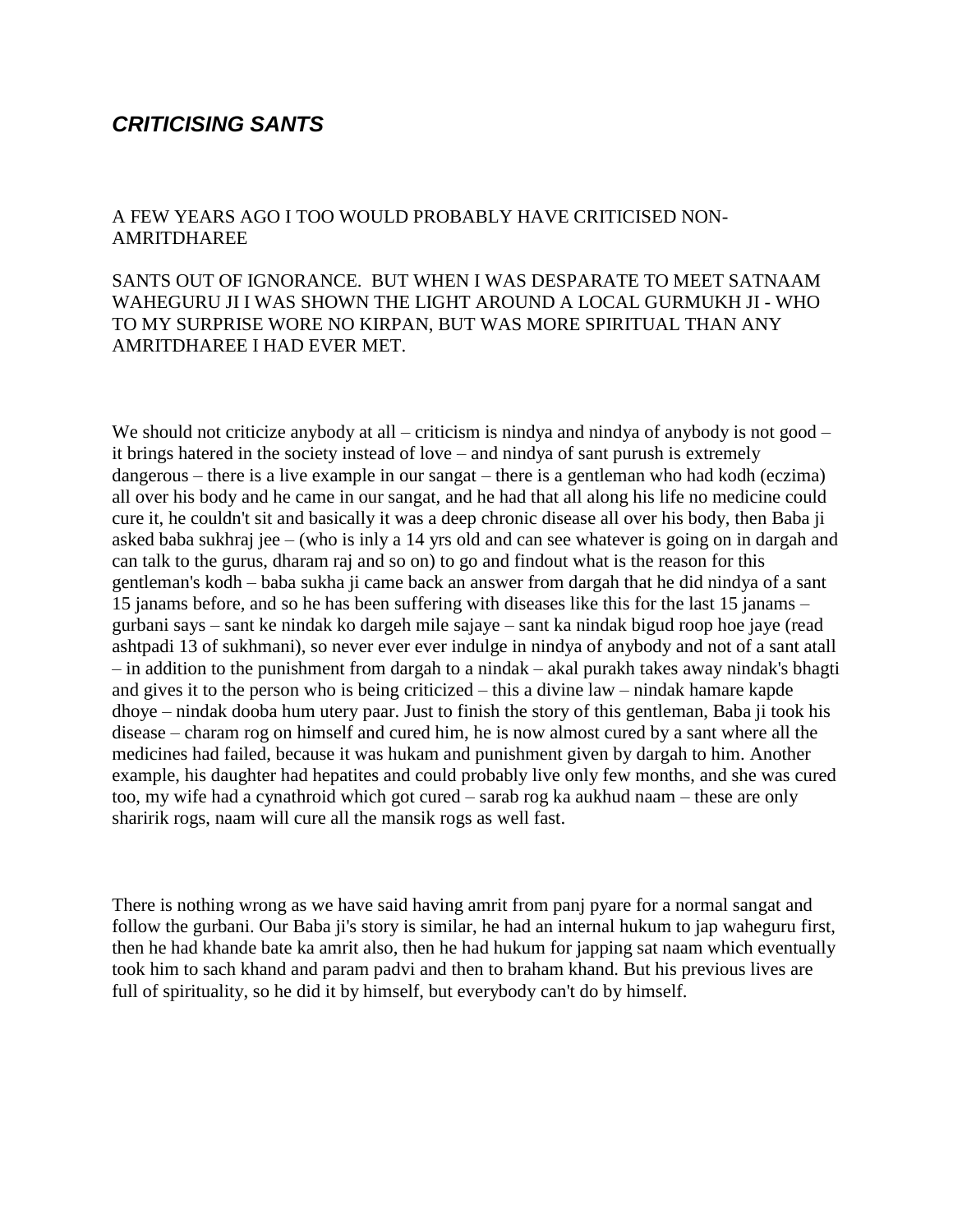#### *CRITICISING SANTS*

#### A FEW YEARS AGO I TOO WOULD PROBABLY HAVE CRITICISED NON-AMRITDHAREE

#### SANTS OUT OF IGNORANCE. BUT WHEN I WAS DESPARATE TO MEET SATNAAM WAHEGURU JI I WAS SHOWN THE LIGHT AROUND A LOCAL GURMUKH JI - WHO TO MY SURPRISE WORE NO KIRPAN, BUT WAS MORE SPIRITUAL THAN ANY AMRITDHAREE I HAD EVER MET.

We should not criticize anybody at all – criticism is nindya and nindya of anybody is not good – it brings hatered in the society instead of love – and nindya of sant purush is extremely dangerous – there is a live example in our sangat – there is a gentleman who had kodh (eczima) all over his body and he came in our sangat, and he had that all along his life no medicine could cure it, he couldn't sit and basically it was a deep chronic disease all over his body, then Baba ji asked baba sukhraj jee – (who is inly a 14 yrs old and can see whatever is going on in dargah and can talk to the gurus, dharam raj and so on) to go and findout what is the reason for this gentleman's kodh – baba sukha ji came back an answer from dargah that he did nindya of a sant 15 janams before, and so he has been suffering with diseases like this for the last 15 janams – gurbani says – sant ke nindak ko dargeh mile sajaye – sant ka nindak bigud roop hoe jaye (read ashtpadi 13 of sukhmani), so never ever ever indulge in nindya of anybody and not of a sant atall – in addition to the punishment from dargah to a nindak – akal purakh takes away nindak's bhagti and gives it to the person who is being criticized – this a divine law – nindak hamare kapde dhoye – nindak dooba hum utery paar. Just to finish the story of this gentleman, Baba ji took his disease – charam rog on himself and cured him, he is now almost cured by a sant where all the medicines had failed, because it was hukam and punishment given by dargah to him. Another example, his daughter had hepatites and could probably live only few months, and she was cured too, my wife had a cynathroid which got cured – sarab rog ka aukhud naam – these are only sharirik rogs, naam will cure all the mansik rogs as well fast.

There is nothing wrong as we have said having amrit from panj pyare for a normal sangat and follow the gurbani. Our Baba ji's story is similar, he had an internal hukum to jap waheguru first, then he had khande bate ka amrit also, then he had hukum for japping sat naam which eventually took him to sach khand and param padvi and then to braham khand. But his previous lives are full of spirituality, so he did it by himself, but everybody can't do by himself.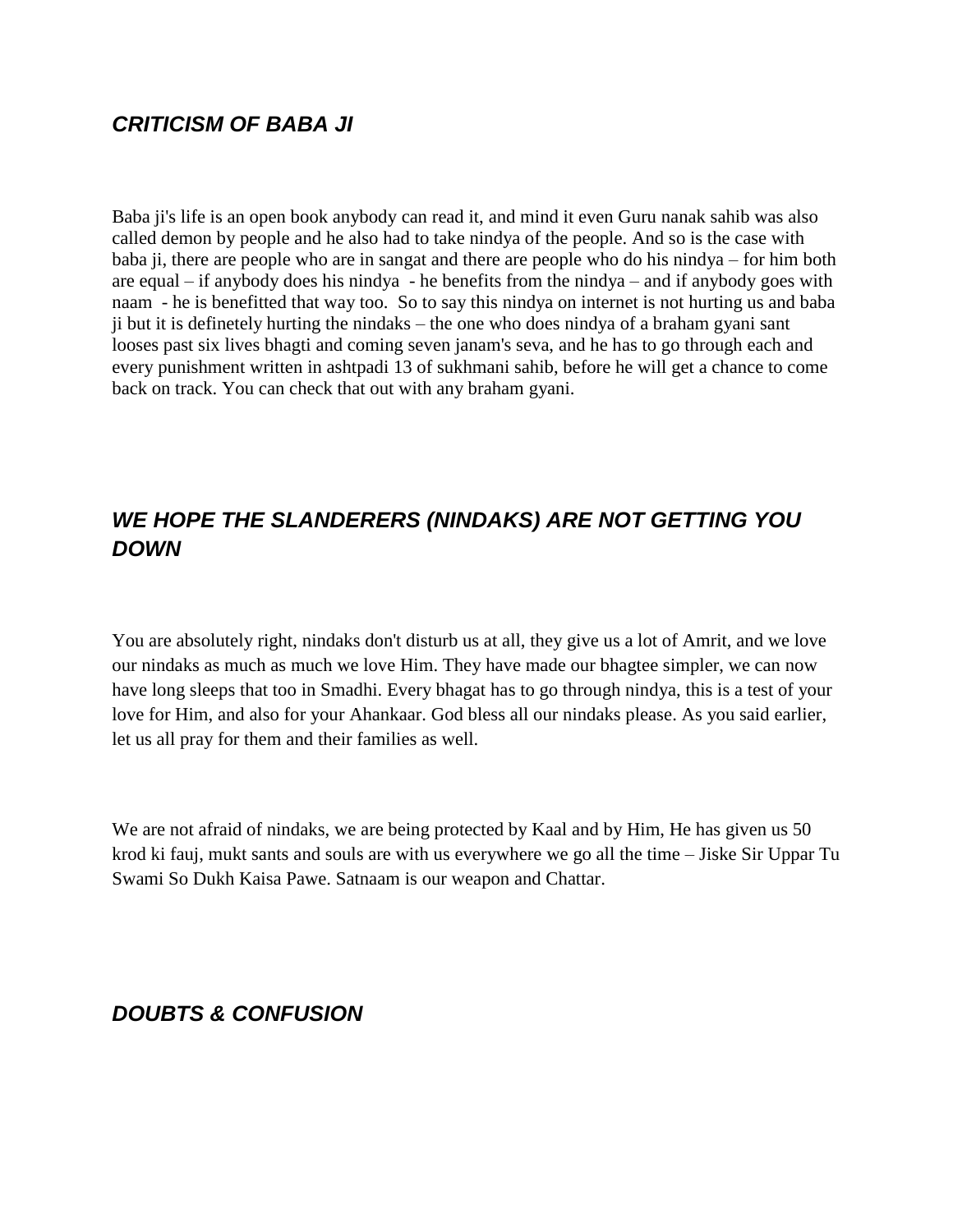# *CRITICISM OF BABA JI*

Baba ji's life is an open book anybody can read it, and mind it even Guru nanak sahib was also called demon by people and he also had to take nindya of the people. And so is the case with baba ji, there are people who are in sangat and there are people who do his nindya – for him both are equal – if anybody does his nindya - he benefits from the nindya – and if anybody goes with naam - he is benefitted that way too. So to say this nindya on internet is not hurting us and baba ji but it is definetely hurting the nindaks – the one who does nindya of a braham gyani sant looses past six lives bhagti and coming seven janam's seva, and he has to go through each and every punishment written in ashtpadi 13 of sukhmani sahib, before he will get a chance to come back on track. You can check that out with any braham gyani.

# *WE HOPE THE SLANDERERS (NINDAKS) ARE NOT GETTING YOU DOWN*

You are absolutely right, nindaks don't disturb us at all, they give us a lot of Amrit, and we love our nindaks as much as much we love Him. They have made our bhagtee simpler, we can now have long sleeps that too in Smadhi. Every bhagat has to go through nindya, this is a test of your love for Him, and also for your Ahankaar. God bless all our nindaks please. As you said earlier, let us all pray for them and their families as well.

We are not afraid of nindaks, we are being protected by Kaal and by Him, He has given us 50 krod ki fauj, mukt sants and souls are with us everywhere we go all the time – Jiske Sir Uppar Tu Swami So Dukh Kaisa Pawe. Satnaam is our weapon and Chattar.

## *DOUBTS & CONFUSION*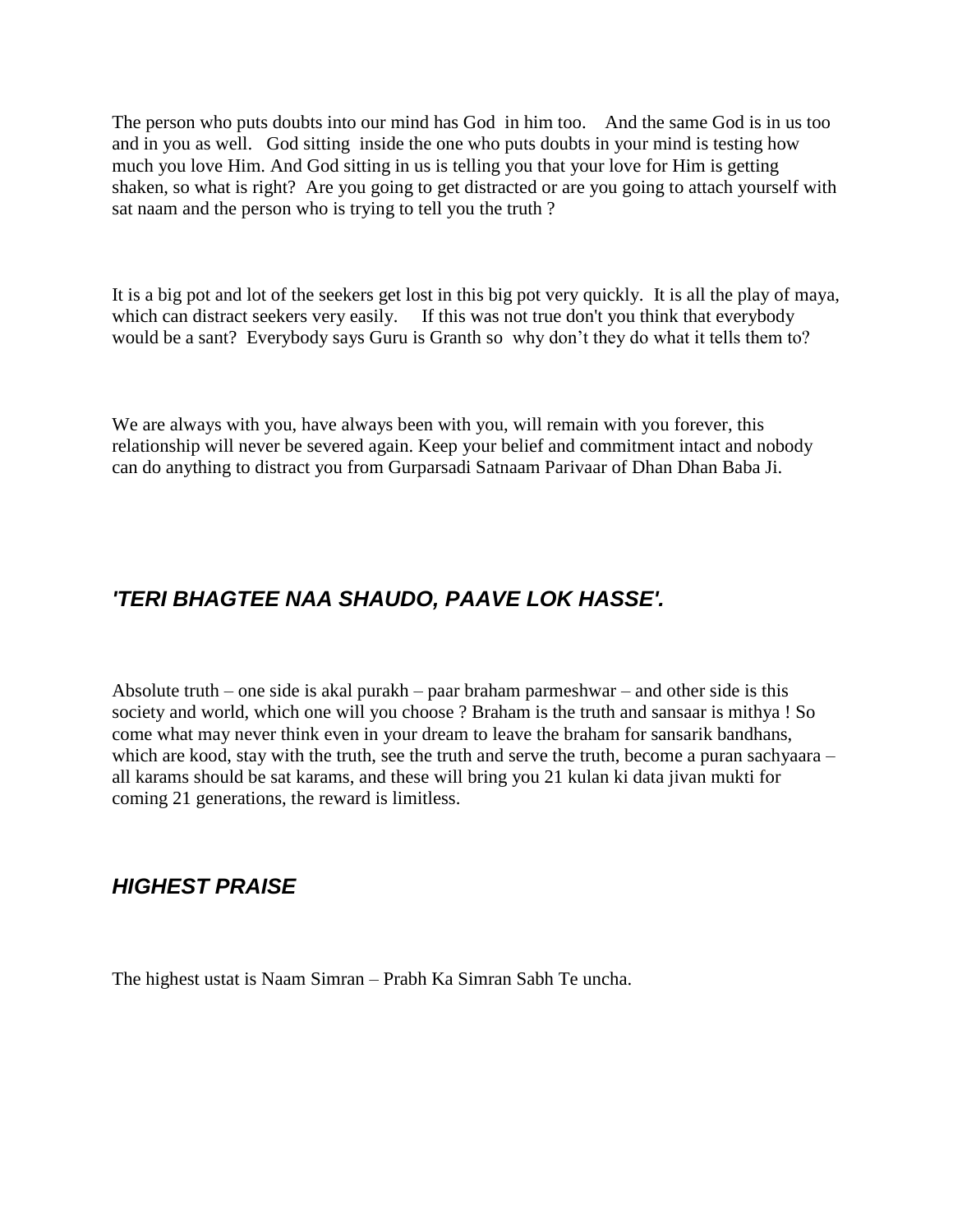The person who puts doubts into our mind has God in him too. And the same God is in us too and in you as well. God sitting inside the one who puts doubts in your mind is testing how much you love Him. And God sitting in us is telling you that your love for Him is getting shaken, so what is right? Are you going to get distracted or are you going to attach yourself with sat naam and the person who is trying to tell you the truth ?

It is a big pot and lot of the seekers get lost in this big pot very quickly. It is all the play of maya, which can distract seekers very easily. If this was not true don't you think that everybody would be a sant? Everybody says Guru is Granth so why don"t they do what it tells them to?

We are always with you, have always been with you, will remain with you forever, this relationship will never be severed again. Keep your belief and commitment intact and nobody can do anything to distract you from Gurparsadi Satnaam Parivaar of Dhan Dhan Baba Ji.

# *'TERI BHAGTEE NAA SHAUDO, PAAVE LOK HASSE'.*

Absolute truth – one side is akal purakh – paar braham parmeshwar – and other side is this society and world, which one will you choose ? Braham is the truth and sansaar is mithya ! So come what may never think even in your dream to leave the braham for sansarik bandhans, which are kood, stay with the truth, see the truth and serve the truth, become a puran sachyaara – all karams should be sat karams, and these will bring you 21 kulan ki data jivan mukti for coming 21 generations, the reward is limitless.

## *HIGHEST PRAISE*

The highest ustat is Naam Simran – Prabh Ka Simran Sabh Te uncha.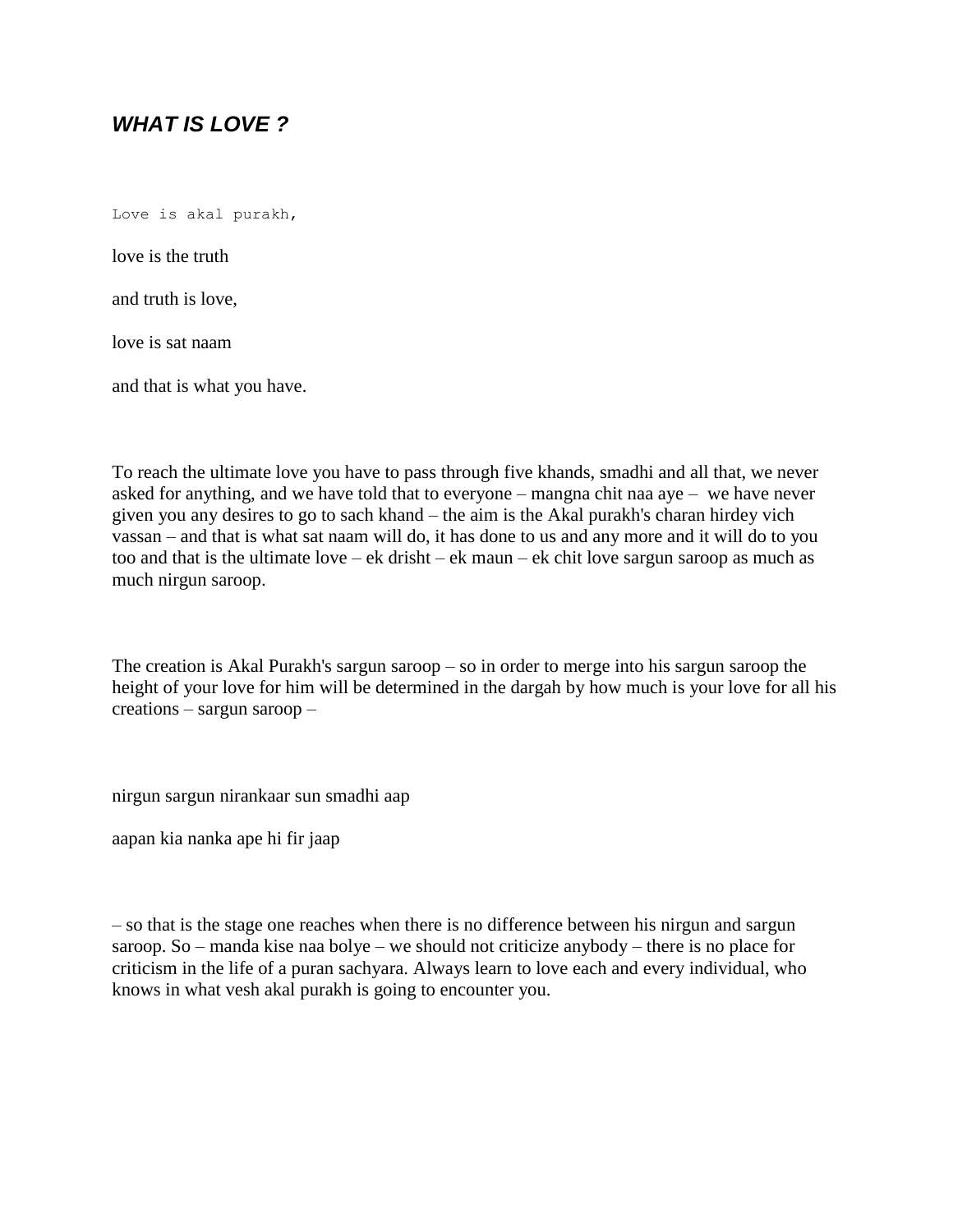# *WHAT IS LOVE ?*

Love is akal purakh,

love is the truth

and truth is love,

love is sat naam

and that is what you have.

To reach the ultimate love you have to pass through five khands, smadhi and all that, we never asked for anything, and we have told that to everyone – mangna chit naa aye – we have never given you any desires to go to sach khand – the aim is the Akal purakh's charan hirdey vich vassan – and that is what sat naam will do, it has done to us and any more and it will do to you too and that is the ultimate love – ek drisht – ek maun – ek chit love sargun saroop as much as much nirgun saroop.

The creation is Akal Purakh's sargun saroop – so in order to merge into his sargun saroop the height of your love for him will be determined in the dargah by how much is your love for all his creations – sargun saroop –

nirgun sargun nirankaar sun smadhi aap

aapan kia nanka ape hi fir jaap

– so that is the stage one reaches when there is no difference between his nirgun and sargun saroop. So – manda kise naa bolye – we should not criticize anybody – there is no place for criticism in the life of a puran sachyara. Always learn to love each and every individual, who knows in what vesh akal purakh is going to encounter you.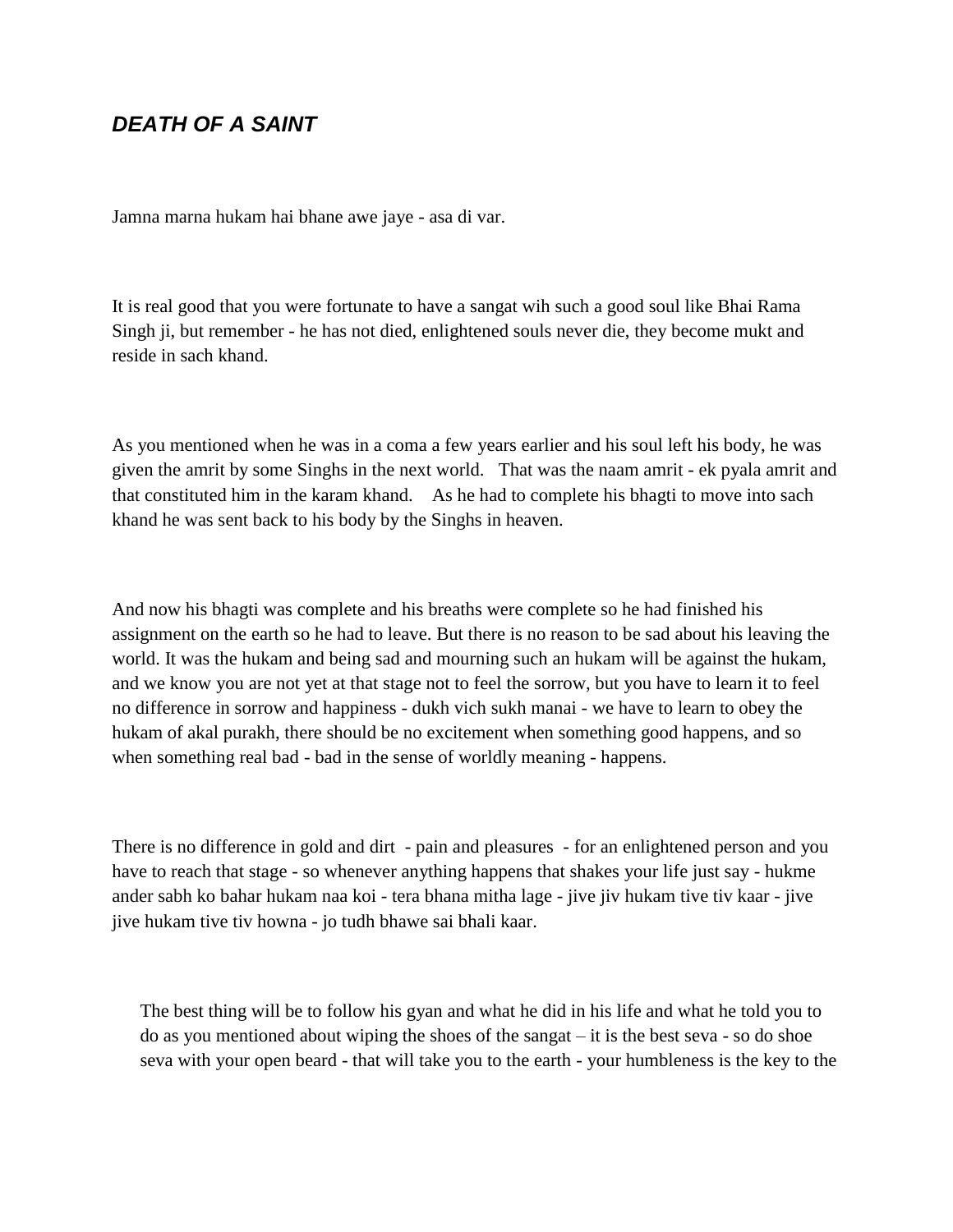## *DEATH OF A SAINT*

Jamna marna hukam hai bhane awe jaye - asa di var.

It is real good that you were fortunate to have a sangat wih such a good soul like Bhai Rama Singh ji, but remember - he has not died, enlightened souls never die, they become mukt and reside in sach khand.

As you mentioned when he was in a coma a few years earlier and his soul left his body, he was given the amrit by some Singhs in the next world. That was the naam amrit - ek pyala amrit and that constituted him in the karam khand. As he had to complete his bhagti to move into sach khand he was sent back to his body by the Singhs in heaven.

And now his bhagti was complete and his breaths were complete so he had finished his assignment on the earth so he had to leave. But there is no reason to be sad about his leaving the world. It was the hukam and being sad and mourning such an hukam will be against the hukam, and we know you are not yet at that stage not to feel the sorrow, but you have to learn it to feel no difference in sorrow and happiness - dukh vich sukh manai - we have to learn to obey the hukam of akal purakh, there should be no excitement when something good happens, and so when something real bad - bad in the sense of worldly meaning - happens.

There is no difference in gold and dirt - pain and pleasures - for an enlightened person and you have to reach that stage - so whenever anything happens that shakes your life just say - hukme ander sabh ko bahar hukam naa koi - tera bhana mitha lage - jive jiv hukam tive tiv kaar - jive jive hukam tive tiv howna - jo tudh bhawe sai bhali kaar.

The best thing will be to follow his gyan and what he did in his life and what he told you to do as you mentioned about wiping the shoes of the sangat – it is the best seva - so do shoe seva with your open beard - that will take you to the earth - your humbleness is the key to the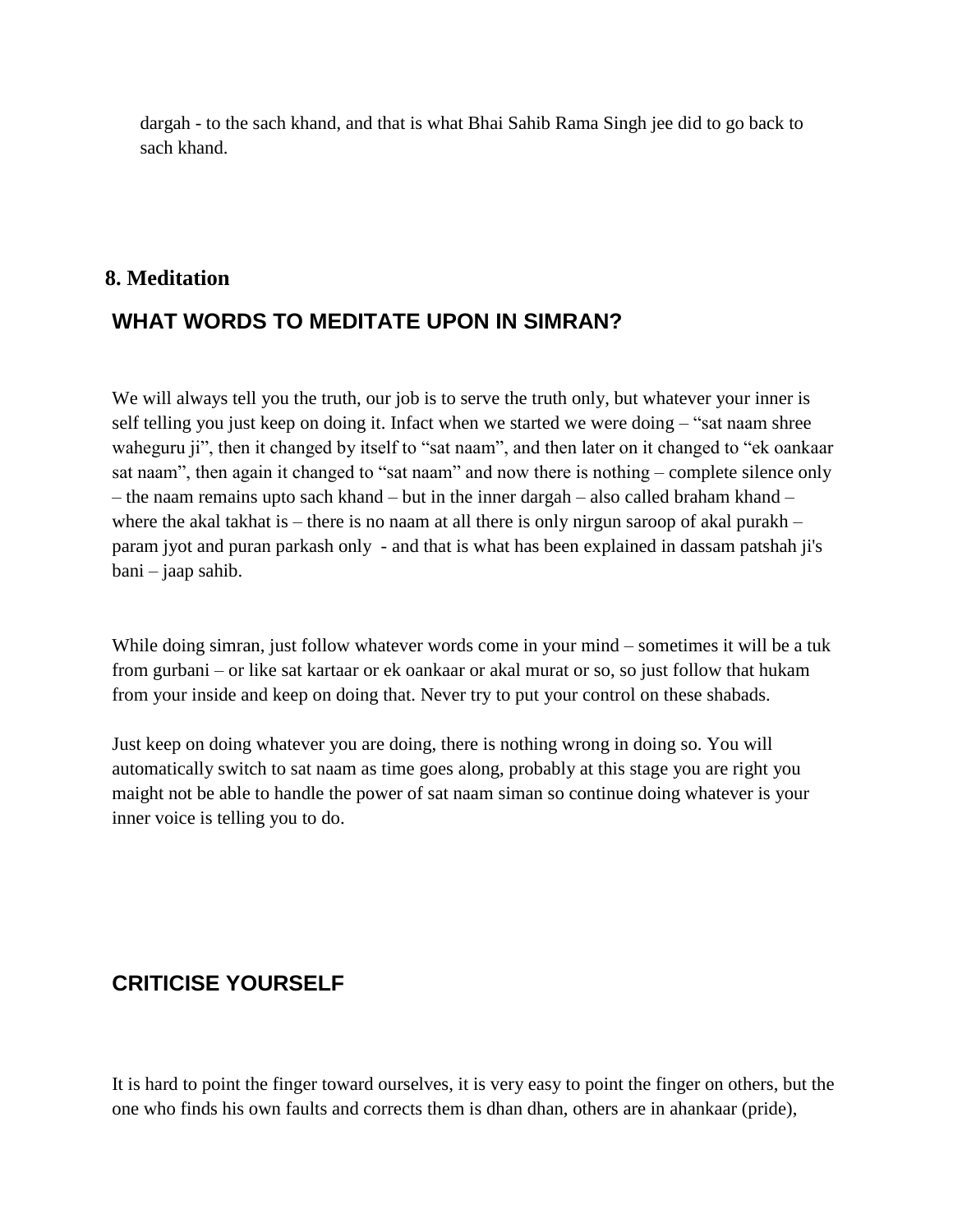dargah - to the sach khand, and that is what Bhai Sahib Rama Singh jee did to go back to sach khand.

#### **8. Meditation**

# **WHAT WORDS TO MEDITATE UPON IN SIMRAN?**

We will always tell you the truth, our job is to serve the truth only, but whatever your inner is self telling you just keep on doing it. Infact when we started we were doing – "sat naam shree waheguru ji", then it changed by itself to "sat naam", and then later on it changed to "ek oankaar sat naam", then again it changed to "sat naam" and now there is nothing – complete silence only – the naam remains upto sach khand – but in the inner dargah – also called braham khand – where the akal takhat is – there is no naam at all there is only nirgun saroop of akal purakh – param jyot and puran parkash only - and that is what has been explained in dassam patshah ji's bani – jaap sahib.

While doing simran, just follow whatever words come in your mind – sometimes it will be a tuk from gurbani – or like sat kartaar or ek oankaar or akal murat or so, so just follow that hukam from your inside and keep on doing that. Never try to put your control on these shabads.

Just keep on doing whatever you are doing, there is nothing wrong in doing so. You will automatically switch to sat naam as time goes along, probably at this stage you are right you maight not be able to handle the power of sat naam siman so continue doing whatever is your inner voice is telling you to do.

# **CRITICISE YOURSELF**

It is hard to point the finger toward ourselves, it is very easy to point the finger on others, but the one who finds his own faults and corrects them is dhan dhan, others are in ahankaar (pride),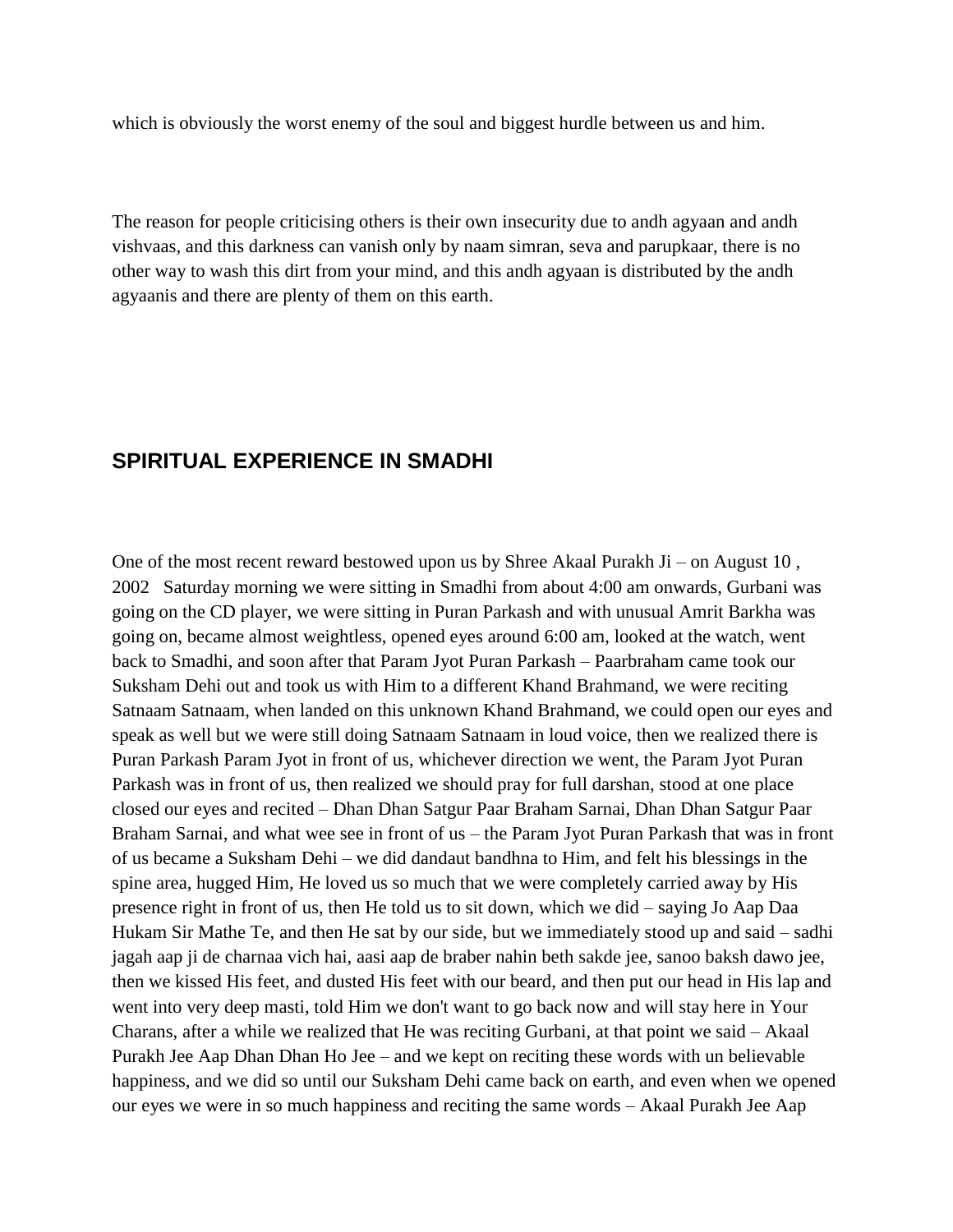which is obviously the worst enemy of the soul and biggest hurdle between us and him.

The reason for people criticising others is their own insecurity due to andh agyaan and andh vishvaas, and this darkness can vanish only by naam simran, seva and parupkaar, there is no other way to wash this dirt from your mind, and this andh agyaan is distributed by the andh agyaanis and there are plenty of them on this earth.

#### **SPIRITUAL EXPERIENCE IN SMADHI**

One of the most recent reward bestowed upon us by Shree Akaal Purakh Ji – on August 10, 2002 Saturday morning we were sitting in Smadhi from about 4:00 am onwards, Gurbani was going on the CD player, we were sitting in Puran Parkash and with unusual Amrit Barkha was going on, became almost weightless, opened eyes around 6:00 am, looked at the watch, went back to Smadhi, and soon after that Param Jyot Puran Parkash – Paarbraham came took our Suksham Dehi out and took us with Him to a different Khand Brahmand, we were reciting Satnaam Satnaam, when landed on this unknown Khand Brahmand, we could open our eyes and speak as well but we were still doing Satnaam Satnaam in loud voice, then we realized there is Puran Parkash Param Jyot in front of us, whichever direction we went, the Param Jyot Puran Parkash was in front of us, then realized we should pray for full darshan, stood at one place closed our eyes and recited – Dhan Dhan Satgur Paar Braham Sarnai, Dhan Dhan Satgur Paar Braham Sarnai, and what wee see in front of us – the Param Jyot Puran Parkash that was in front of us became a Suksham Dehi – we did dandaut bandhna to Him, and felt his blessings in the spine area, hugged Him, He loved us so much that we were completely carried away by His presence right in front of us, then He told us to sit down, which we did – saying Jo Aap Daa Hukam Sir Mathe Te, and then He sat by our side, but we immediately stood up and said – sadhi jagah aap ji de charnaa vich hai, aasi aap de braber nahin beth sakde jee, sanoo baksh dawo jee, then we kissed His feet, and dusted His feet with our beard, and then put our head in His lap and went into very deep masti, told Him we don't want to go back now and will stay here in Your Charans, after a while we realized that He was reciting Gurbani, at that point we said – Akaal Purakh Jee Aap Dhan Dhan Ho Jee – and we kept on reciting these words with un believable happiness, and we did so until our Suksham Dehi came back on earth, and even when we opened our eyes we were in so much happiness and reciting the same words – Akaal Purakh Jee Aap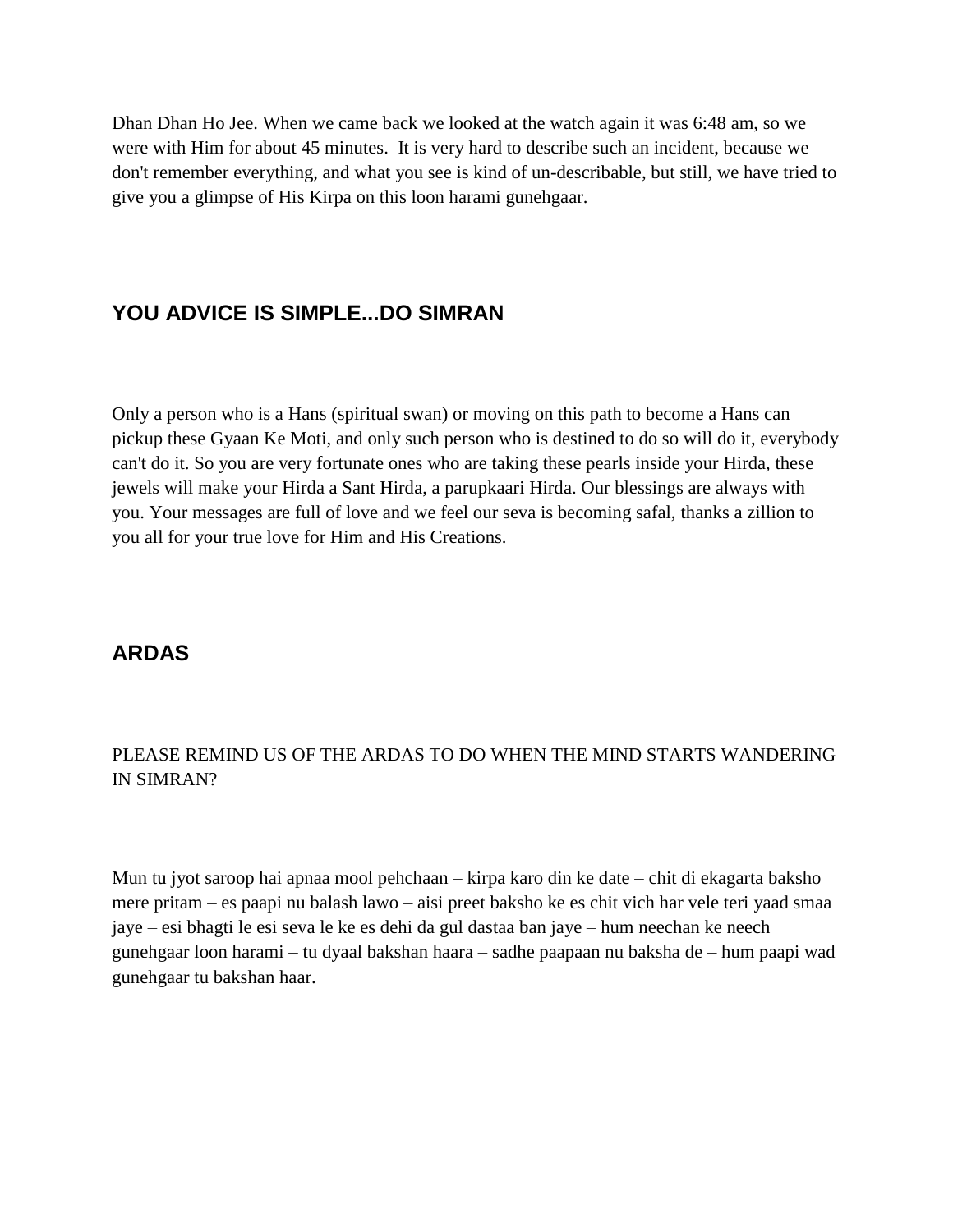Dhan Dhan Ho Jee. When we came back we looked at the watch again it was 6:48 am, so we were with Him for about 45 minutes. It is very hard to describe such an incident, because we don't remember everything, and what you see is kind of un-describable, but still, we have tried to give you a glimpse of His Kirpa on this loon harami gunehgaar.

## **YOU ADVICE IS SIMPLE...DO SIMRAN**

Only a person who is a Hans (spiritual swan) or moving on this path to become a Hans can pickup these Gyaan Ke Moti, and only such person who is destined to do so will do it, everybody can't do it. So you are very fortunate ones who are taking these pearls inside your Hirda, these jewels will make your Hirda a Sant Hirda, a parupkaari Hirda. Our blessings are always with you. Your messages are full of love and we feel our seva is becoming safal, thanks a zillion to you all for your true love for Him and His Creations.

## **ARDAS**

#### PLEASE REMIND US OF THE ARDAS TO DO WHEN THE MIND STARTS WANDERING IN SIMRAN?

Mun tu jyot saroop hai apnaa mool pehchaan – kirpa karo din ke date – chit di ekagarta baksho mere pritam – es paapi nu balash lawo – aisi preet baksho ke es chit vich har vele teri yaad smaa jaye – esi bhagti le esi seva le ke es dehi da gul dastaa ban jaye – hum neechan ke neech gunehgaar loon harami – tu dyaal bakshan haara – sadhe paapaan nu baksha de – hum paapi wad gunehgaar tu bakshan haar.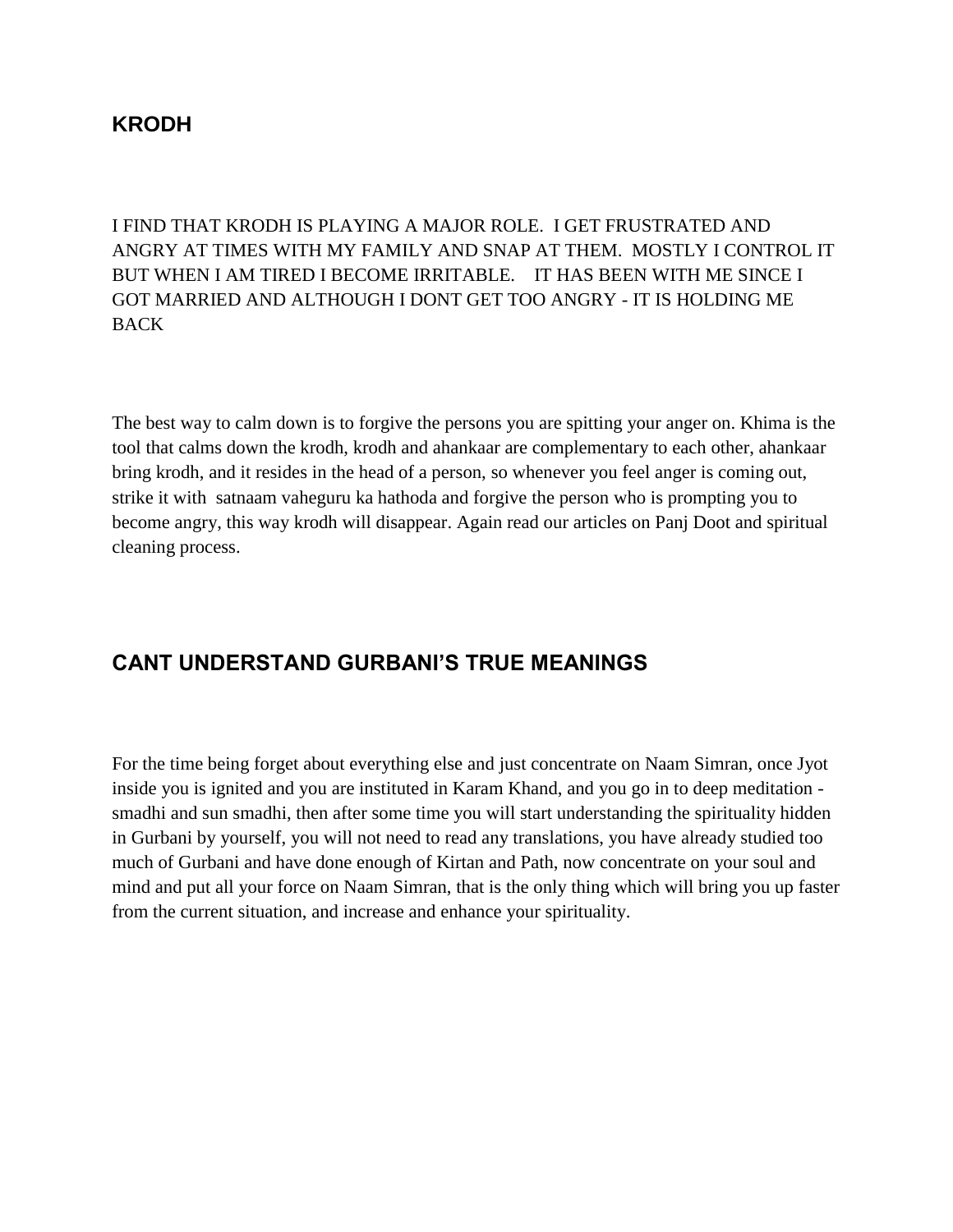### **KRODH**

I FIND THAT KRODH IS PLAYING A MAJOR ROLE. I GET FRUSTRATED AND ANGRY AT TIMES WITH MY FAMILY AND SNAP AT THEM. MOSTLY I CONTROL IT BUT WHEN I AM TIRED I BECOME IRRITABLE. IT HAS BEEN WITH ME SINCE I GOT MARRIED AND ALTHOUGH I DONT GET TOO ANGRY - IT IS HOLDING ME BACK

The best way to calm down is to forgive the persons you are spitting your anger on. Khima is the tool that calms down the krodh, krodh and ahankaar are complementary to each other, ahankaar bring krodh, and it resides in the head of a person, so whenever you feel anger is coming out, strike it with satnaam vaheguru ka hathoda and forgive the person who is prompting you to become angry, this way krodh will disappear. Again read our articles on Panj Doot and spiritual cleaning process.

# **CANT UNDERSTAND GURBANI'S TRUE MEANINGS**

For the time being forget about everything else and just concentrate on Naam Simran, once Jyot inside you is ignited and you are instituted in Karam Khand, and you go in to deep meditation smadhi and sun smadhi, then after some time you will start understanding the spirituality hidden in Gurbani by yourself, you will not need to read any translations, you have already studied too much of Gurbani and have done enough of Kirtan and Path, now concentrate on your soul and mind and put all your force on Naam Simran, that is the only thing which will bring you up faster from the current situation, and increase and enhance your spirituality.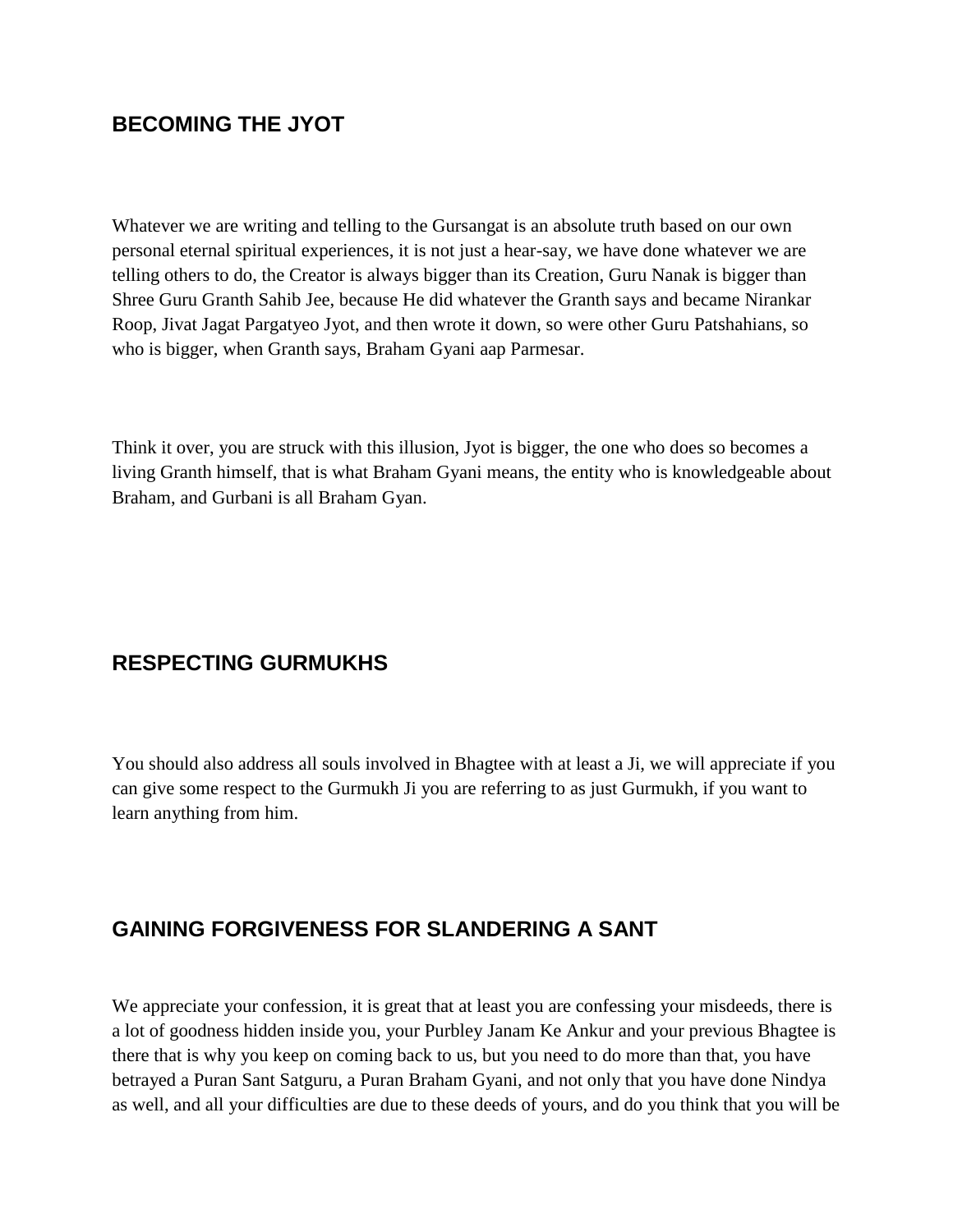## **BECOMING THE JYOT**

Whatever we are writing and telling to the Gursangat is an absolute truth based on our own personal eternal spiritual experiences, it is not just a hear-say, we have done whatever we are telling others to do, the Creator is always bigger than its Creation, Guru Nanak is bigger than Shree Guru Granth Sahib Jee, because He did whatever the Granth says and became Nirankar Roop, Jivat Jagat Pargatyeo Jyot, and then wrote it down, so were other Guru Patshahians, so who is bigger, when Granth says, Braham Gyani aap Parmesar.

Think it over, you are struck with this illusion, Jyot is bigger, the one who does so becomes a living Granth himself, that is what Braham Gyani means, the entity who is knowledgeable about Braham, and Gurbani is all Braham Gyan.

# **RESPECTING GURMUKHS**

You should also address all souls involved in Bhagtee with at least a Ji, we will appreciate if you can give some respect to the Gurmukh Ji you are referring to as just Gurmukh, if you want to learn anything from him.

## **GAINING FORGIVENESS FOR SLANDERING A SANT**

We appreciate your confession, it is great that at least you are confessing your misdeeds, there is a lot of goodness hidden inside you, your Purbley Janam Ke Ankur and your previous Bhagtee is there that is why you keep on coming back to us, but you need to do more than that, you have betrayed a Puran Sant Satguru, a Puran Braham Gyani, and not only that you have done Nindya as well, and all your difficulties are due to these deeds of yours, and do you think that you will be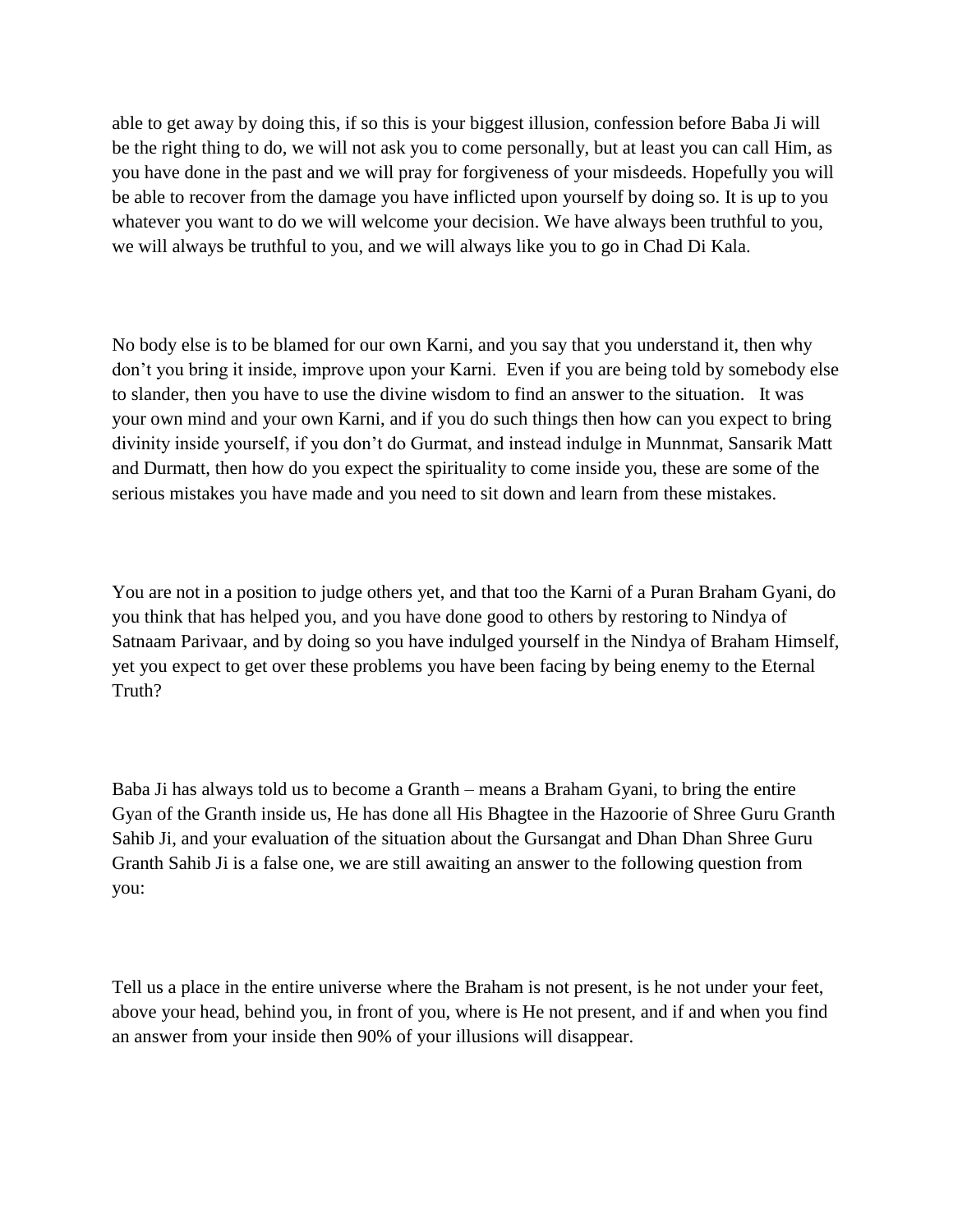able to get away by doing this, if so this is your biggest illusion, confession before Baba Ji will be the right thing to do, we will not ask you to come personally, but at least you can call Him, as you have done in the past and we will pray for forgiveness of your misdeeds. Hopefully you will be able to recover from the damage you have inflicted upon yourself by doing so. It is up to you whatever you want to do we will welcome your decision. We have always been truthful to you, we will always be truthful to you, and we will always like you to go in Chad Di Kala.

No body else is to be blamed for our own Karni, and you say that you understand it, then why don"t you bring it inside, improve upon your Karni. Even if you are being told by somebody else to slander, then you have to use the divine wisdom to find an answer to the situation. It was your own mind and your own Karni, and if you do such things then how can you expect to bring divinity inside yourself, if you don"t do Gurmat, and instead indulge in Munnmat, Sansarik Matt and Durmatt, then how do you expect the spirituality to come inside you, these are some of the serious mistakes you have made and you need to sit down and learn from these mistakes.

You are not in a position to judge others yet, and that too the Karni of a Puran Braham Gyani, do you think that has helped you, and you have done good to others by restoring to Nindya of Satnaam Parivaar, and by doing so you have indulged yourself in the Nindya of Braham Himself, yet you expect to get over these problems you have been facing by being enemy to the Eternal Truth?

Baba Ji has always told us to become a Granth – means a Braham Gyani, to bring the entire Gyan of the Granth inside us, He has done all His Bhagtee in the Hazoorie of Shree Guru Granth Sahib Ji, and your evaluation of the situation about the Gursangat and Dhan Dhan Shree Guru Granth Sahib Ji is a false one, we are still awaiting an answer to the following question from you:

Tell us a place in the entire universe where the Braham is not present, is he not under your feet, above your head, behind you, in front of you, where is He not present, and if and when you find an answer from your inside then 90% of your illusions will disappear.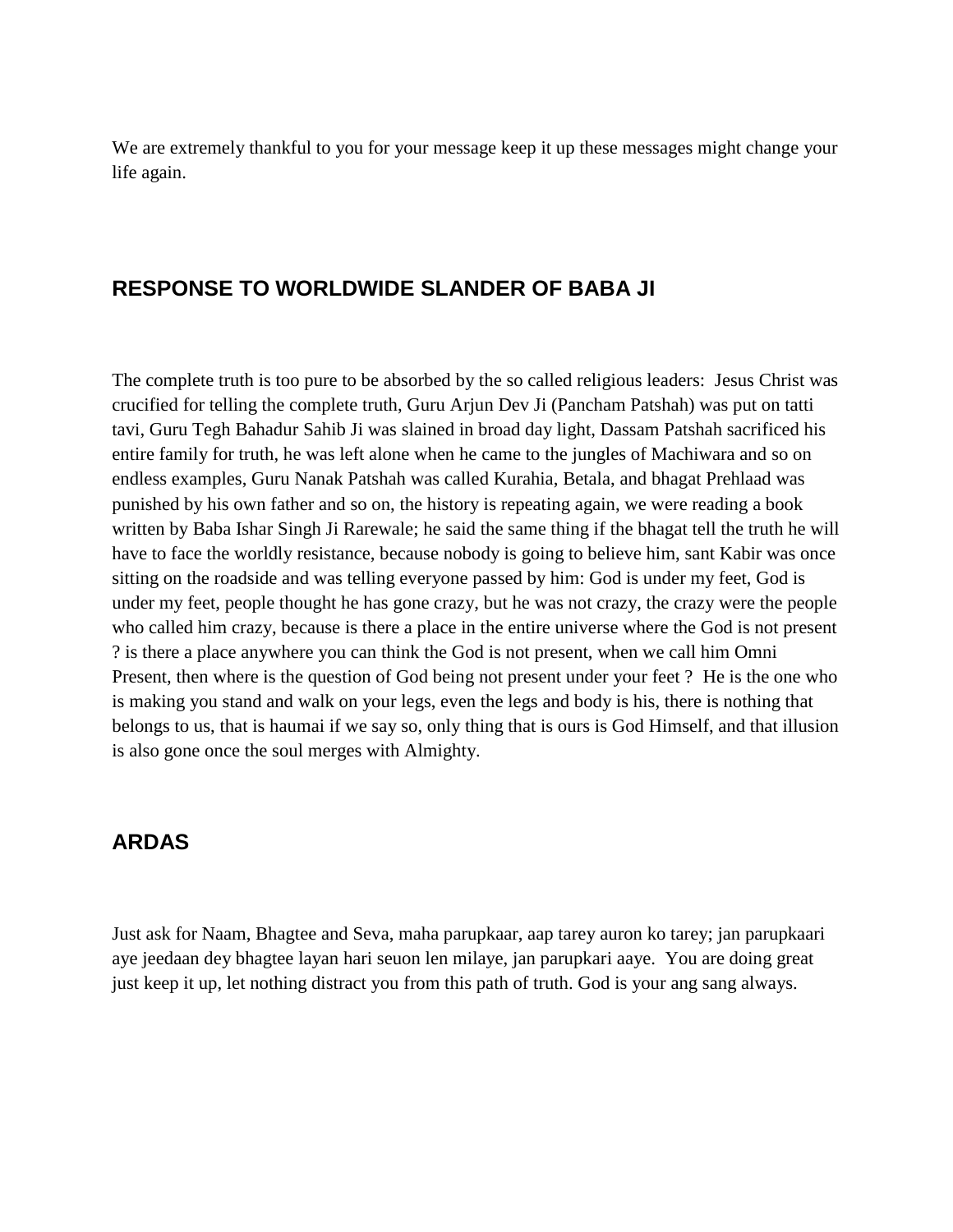We are extremely thankful to you for your message keep it up these messages might change your life again.

## **RESPONSE TO WORLDWIDE SLANDER OF BABA JI**

The complete truth is too pure to be absorbed by the so called religious leaders: Jesus Christ was crucified for telling the complete truth, Guru Arjun Dev Ji (Pancham Patshah) was put on tatti tavi, Guru Tegh Bahadur Sahib Ji was slained in broad day light, Dassam Patshah sacrificed his entire family for truth, he was left alone when he came to the jungles of Machiwara and so on endless examples, Guru Nanak Patshah was called Kurahia, Betala, and bhagat Prehlaad was punished by his own father and so on, the history is repeating again, we were reading a book written by Baba Ishar Singh Ji Rarewale; he said the same thing if the bhagat tell the truth he will have to face the worldly resistance, because nobody is going to believe him, sant Kabir was once sitting on the roadside and was telling everyone passed by him: God is under my feet, God is under my feet, people thought he has gone crazy, but he was not crazy, the crazy were the people who called him crazy, because is there a place in the entire universe where the God is not present ? is there a place anywhere you can think the God is not present, when we call him Omni Present, then where is the question of God being not present under your feet ? He is the one who is making you stand and walk on your legs, even the legs and body is his, there is nothing that belongs to us, that is haumai if we say so, only thing that is ours is God Himself, and that illusion is also gone once the soul merges with Almighty.

## **ARDAS**

Just ask for Naam, Bhagtee and Seva, maha parupkaar, aap tarey auron ko tarey; jan parupkaari aye jeedaan dey bhagtee layan hari seuon len milaye, jan parupkari aaye. You are doing great just keep it up, let nothing distract you from this path of truth. God is your ang sang always.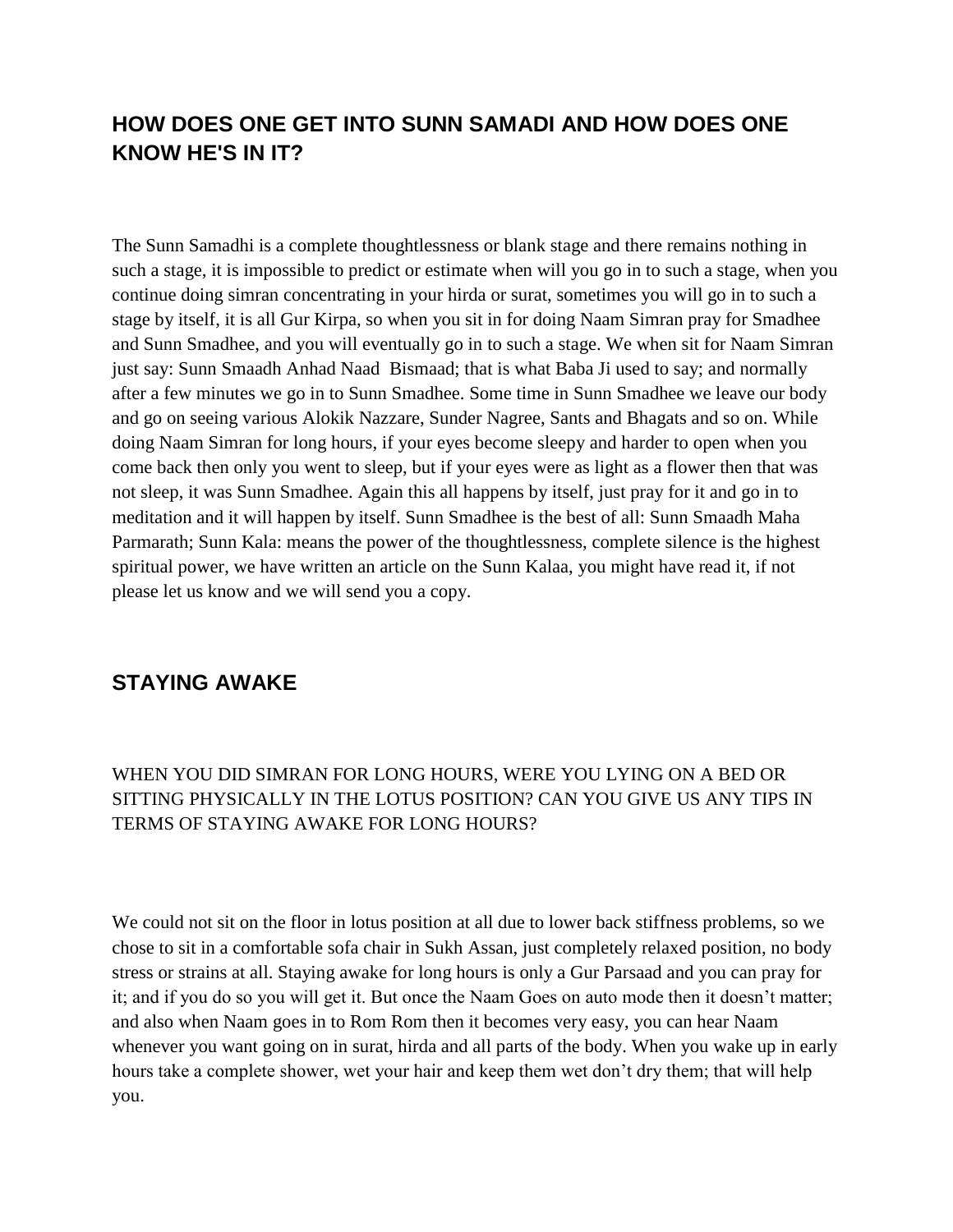# **HOW DOES ONE GET INTO SUNN SAMADI AND HOW DOES ONE KNOW HE'S IN IT?**

The Sunn Samadhi is a complete thoughtlessness or blank stage and there remains nothing in such a stage, it is impossible to predict or estimate when will you go in to such a stage, when you continue doing simran concentrating in your hirda or surat, sometimes you will go in to such a stage by itself, it is all Gur Kirpa, so when you sit in for doing Naam Simran pray for Smadhee and Sunn Smadhee, and you will eventually go in to such a stage. We when sit for Naam Simran just say: Sunn Smaadh Anhad Naad Bismaad; that is what Baba Ji used to say; and normally after a few minutes we go in to Sunn Smadhee. Some time in Sunn Smadhee we leave our body and go on seeing various Alokik Nazzare, Sunder Nagree, Sants and Bhagats and so on. While doing Naam Simran for long hours, if your eyes become sleepy and harder to open when you come back then only you went to sleep, but if your eyes were as light as a flower then that was not sleep, it was Sunn Smadhee. Again this all happens by itself, just pray for it and go in to meditation and it will happen by itself. Sunn Smadhee is the best of all: Sunn Smaadh Maha Parmarath; Sunn Kala: means the power of the thoughtlessness, complete silence is the highest spiritual power, we have written an article on the Sunn Kalaa, you might have read it, if not please let us know and we will send you a copy.

## **STAYING AWAKE**

#### WHEN YOU DID SIMRAN FOR LONG HOURS, WERE YOU LYING ON A BED OR SITTING PHYSICALLY IN THE LOTUS POSITION? CAN YOU GIVE US ANY TIPS IN TERMS OF STAYING AWAKE FOR LONG HOURS?

We could not sit on the floor in lotus position at all due to lower back stiffness problems, so we chose to sit in a comfortable sofa chair in Sukh Assan, just completely relaxed position, no body stress or strains at all. Staying awake for long hours is only a Gur Parsaad and you can pray for it; and if you do so you will get it. But once the Naam Goes on auto mode then it doesn"t matter; and also when Naam goes in to Rom Rom then it becomes very easy, you can hear Naam whenever you want going on in surat, hirda and all parts of the body. When you wake up in early hours take a complete shower, wet your hair and keep them wet don"t dry them; that will help you.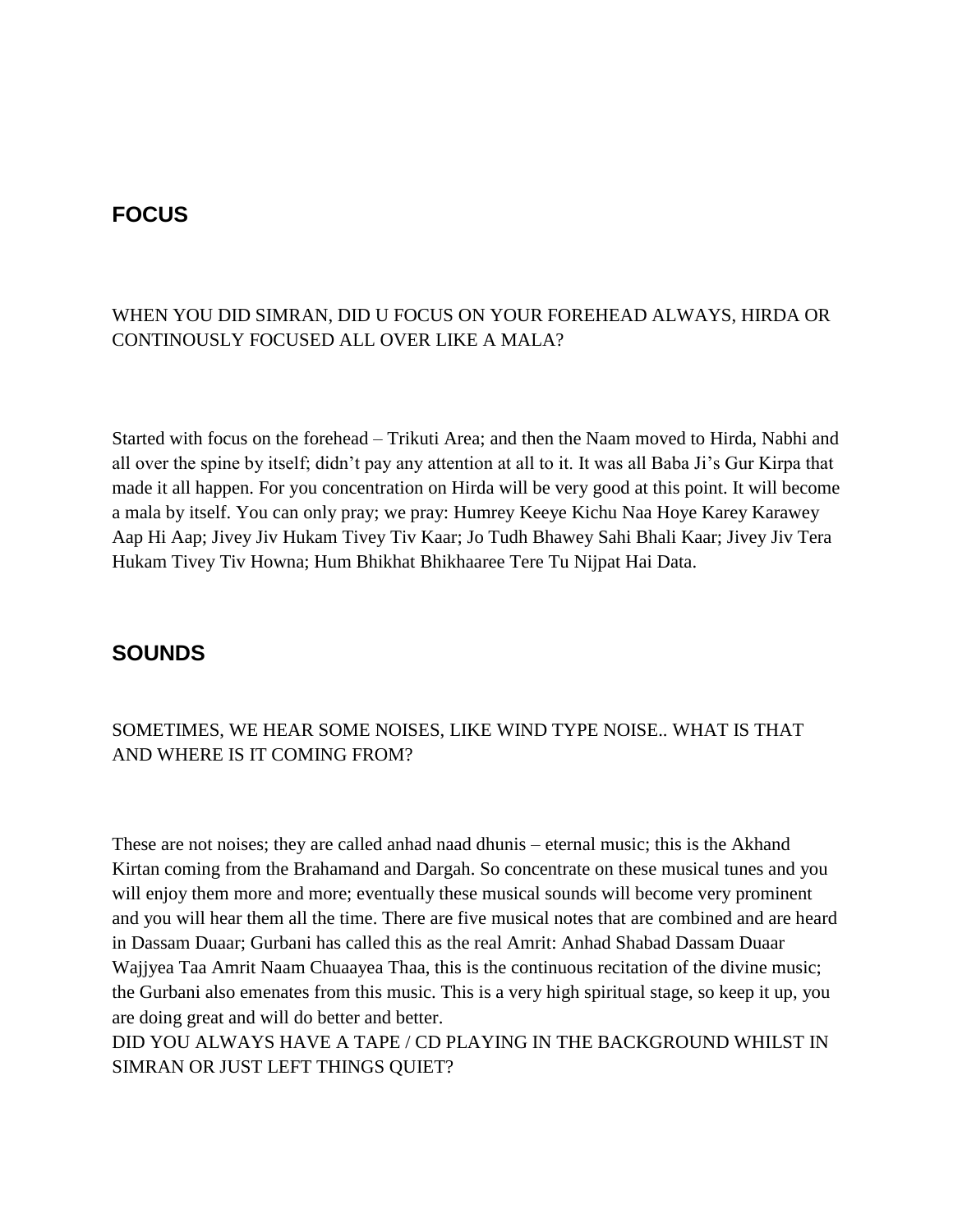## **FOCUS**

#### WHEN YOU DID SIMRAN, DID U FOCUS ON YOUR FOREHEAD ALWAYS, HIRDA OR CONTINOUSLY FOCUSED ALL OVER LIKE A MALA?

Started with focus on the forehead – Trikuti Area; and then the Naam moved to Hirda, Nabhi and all over the spine by itself; didn"t pay any attention at all to it. It was all Baba Ji"s Gur Kirpa that made it all happen. For you concentration on Hirda will be very good at this point. It will become a mala by itself. You can only pray; we pray: Humrey Keeye Kichu Naa Hoye Karey Karawey Aap Hi Aap; Jivey Jiv Hukam Tivey Tiv Kaar; Jo Tudh Bhawey Sahi Bhali Kaar; Jivey Jiv Tera Hukam Tivey Tiv Howna; Hum Bhikhat Bhikhaaree Tere Tu Nijpat Hai Data.

## **SOUNDS**

#### SOMETIMES, WE HEAR SOME NOISES, LIKE WIND TYPE NOISE.. WHAT IS THAT AND WHERE IS IT COMING FROM?

These are not noises; they are called anhad naad dhunis – eternal music; this is the Akhand Kirtan coming from the Brahamand and Dargah. So concentrate on these musical tunes and you will enjoy them more and more; eventually these musical sounds will become very prominent and you will hear them all the time. There are five musical notes that are combined and are heard in Dassam Duaar; Gurbani has called this as the real Amrit: Anhad Shabad Dassam Duaar Wajjyea Taa Amrit Naam Chuaayea Thaa, this is the continuous recitation of the divine music; the Gurbani also emenates from this music. This is a very high spiritual stage, so keep it up, you are doing great and will do better and better. DID YOU ALWAYS HAVE A TAPE / CD PLAYING IN THE BACKGROUND WHILST IN

SIMRAN OR JUST LEFT THINGS QUIET?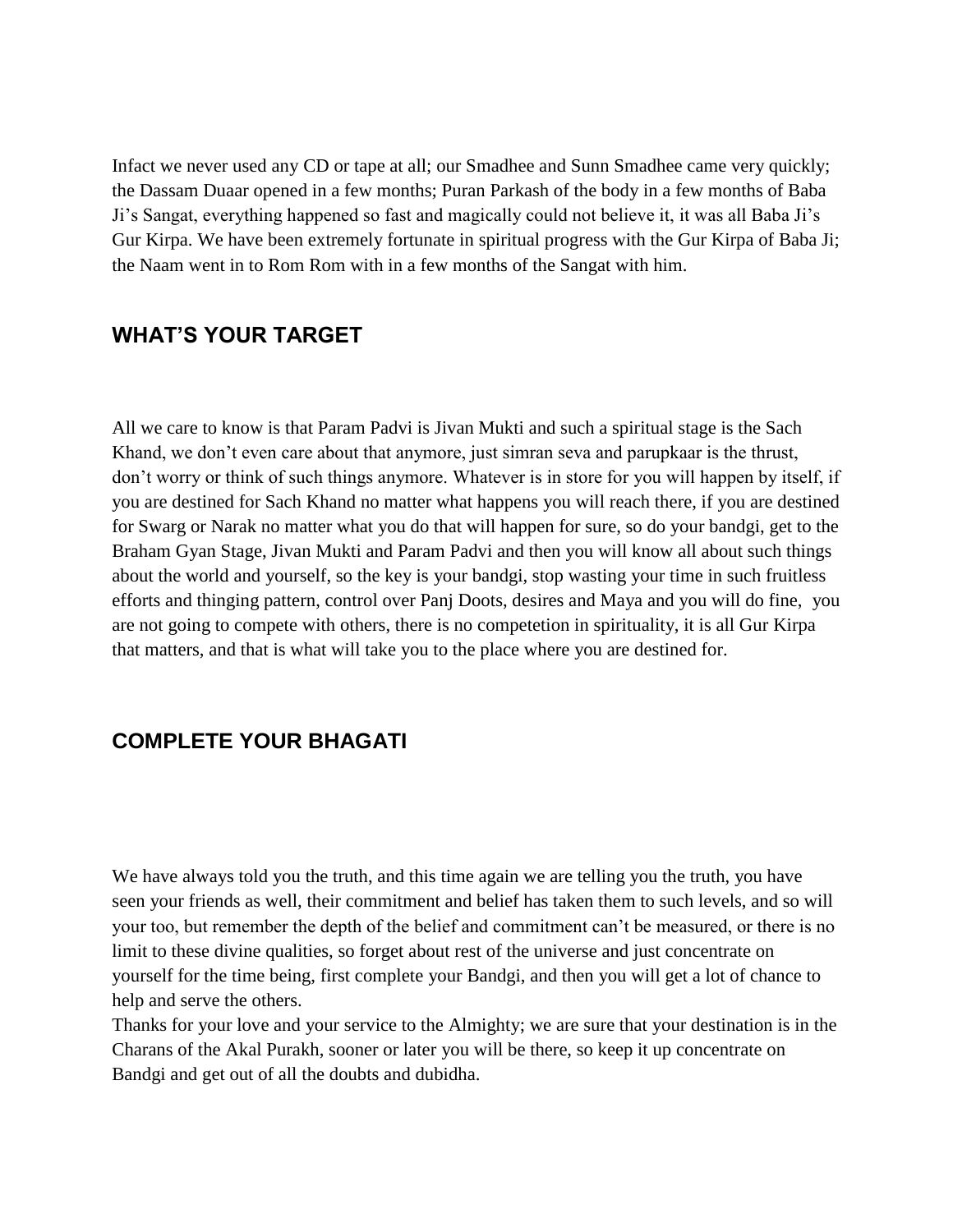Infact we never used any CD or tape at all; our Smadhee and Sunn Smadhee came very quickly; the Dassam Duaar opened in a few months; Puran Parkash of the body in a few months of Baba Ji"s Sangat, everything happened so fast and magically could not believe it, it was all Baba Ji"s Gur Kirpa. We have been extremely fortunate in spiritual progress with the Gur Kirpa of Baba Ji; the Naam went in to Rom Rom with in a few months of the Sangat with him.

## **WHAT'S YOUR TARGET**

All we care to know is that Param Padvi is Jivan Mukti and such a spiritual stage is the Sach Khand, we don"t even care about that anymore, just simran seva and parupkaar is the thrust, don"t worry or think of such things anymore. Whatever is in store for you will happen by itself, if you are destined for Sach Khand no matter what happens you will reach there, if you are destined for Swarg or Narak no matter what you do that will happen for sure, so do your bandgi, get to the Braham Gyan Stage, Jivan Mukti and Param Padvi and then you will know all about such things about the world and yourself, so the key is your bandgi, stop wasting your time in such fruitless efforts and thinging pattern, control over Panj Doots, desires and Maya and you will do fine, you are not going to compete with others, there is no competetion in spirituality, it is all Gur Kirpa that matters, and that is what will take you to the place where you are destined for.

## **COMPLETE YOUR BHAGATI**

We have always told you the truth, and this time again we are telling you the truth, you have seen your friends as well, their commitment and belief has taken them to such levels, and so will your too, but remember the depth of the belief and commitment can't be measured, or there is no limit to these divine qualities, so forget about rest of the universe and just concentrate on yourself for the time being, first complete your Bandgi, and then you will get a lot of chance to help and serve the others.

Thanks for your love and your service to the Almighty; we are sure that your destination is in the Charans of the Akal Purakh, sooner or later you will be there, so keep it up concentrate on Bandgi and get out of all the doubts and dubidha.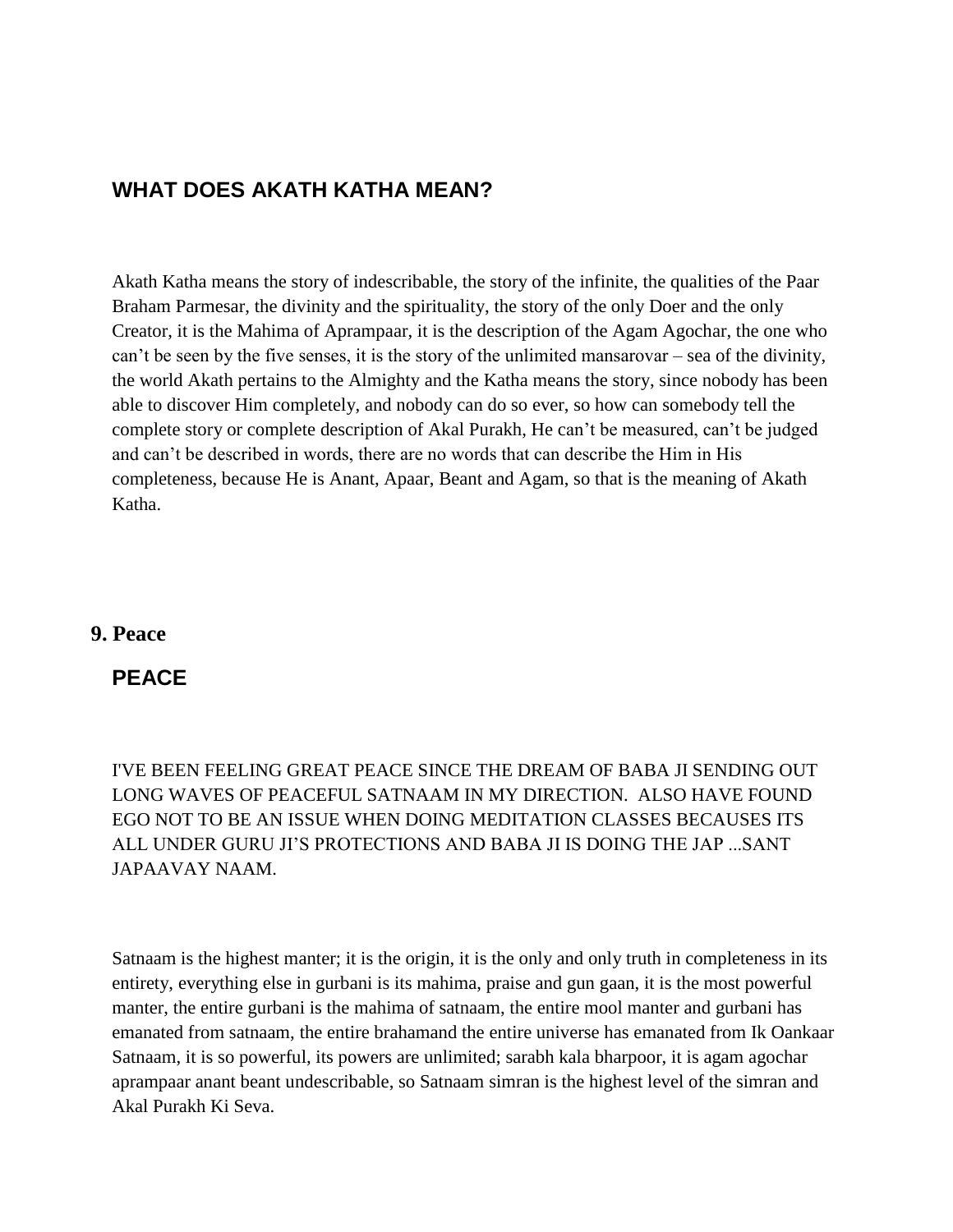## **WHAT DOES AKATH KATHA MEAN?**

Akath Katha means the story of indescribable, the story of the infinite, the qualities of the Paar Braham Parmesar, the divinity and the spirituality, the story of the only Doer and the only Creator, it is the Mahima of Aprampaar, it is the description of the Agam Agochar, the one who can"t be seen by the five senses, it is the story of the unlimited mansarovar – sea of the divinity, the world Akath pertains to the Almighty and the Katha means the story, since nobody has been able to discover Him completely, and nobody can do so ever, so how can somebody tell the complete story or complete description of Akal Purakh, He can't be measured, can't be judged and can"t be described in words, there are no words that can describe the Him in His completeness, because He is Anant, Apaar, Beant and Agam, so that is the meaning of Akath Katha.

#### **9. Peace**

## **PEACE**

I'VE BEEN FEELING GREAT PEACE SINCE THE DREAM OF BABA JI SENDING OUT LONG WAVES OF PEACEFUL SATNAAM IN MY DIRECTION. ALSO HAVE FOUND EGO NOT TO BE AN ISSUE WHEN DOING MEDITATION CLASSES BECAUSES ITS ALL UNDER GURU JI"S PROTECTIONS AND BABA JI IS DOING THE JAP ...SANT JAPAAVAY NAAM.

Satnaam is the highest manter; it is the origin, it is the only and only truth in completeness in its entirety, everything else in gurbani is its mahima, praise and gun gaan, it is the most powerful manter, the entire gurbani is the mahima of satnaam, the entire mool manter and gurbani has emanated from satnaam, the entire brahamand the entire universe has emanated from Ik Oankaar Satnaam, it is so powerful, its powers are unlimited; sarabh kala bharpoor, it is agam agochar aprampaar anant beant undescribable, so Satnaam simran is the highest level of the simran and Akal Purakh Ki Seva.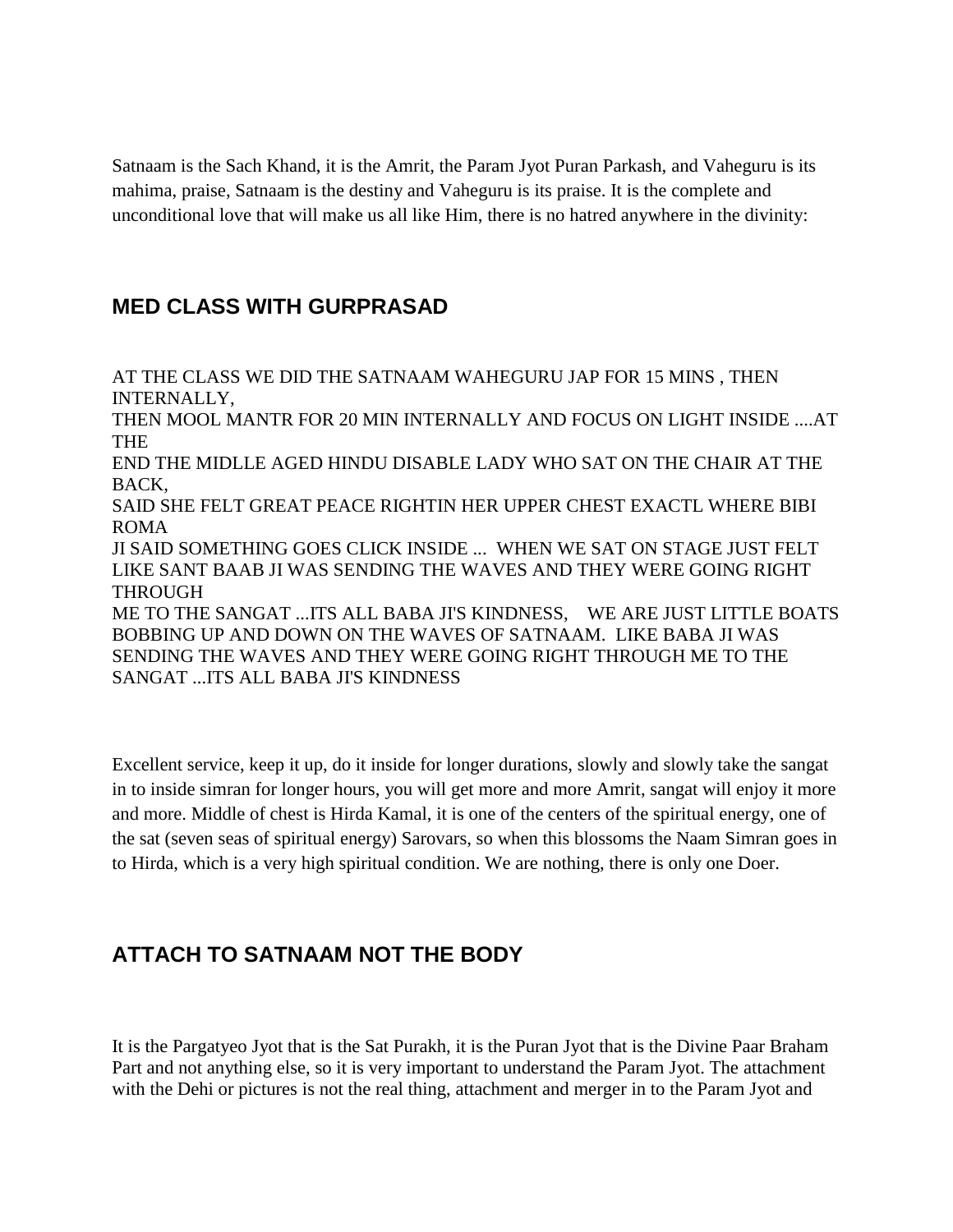Satnaam is the Sach Khand, it is the Amrit, the Param Jyot Puran Parkash, and Vaheguru is its mahima, praise, Satnaam is the destiny and Vaheguru is its praise. It is the complete and unconditional love that will make us all like Him, there is no hatred anywhere in the divinity:

# **MED CLASS WITH GURPRASAD**

AT THE CLASS WE DID THE SATNAAM WAHEGURU JAP FOR 15 MINS , THEN INTERNALLY, THEN MOOL MANTR FOR 20 MIN INTERNALLY AND FOCUS ON LIGHT INSIDE ....AT THE END THE MIDLLE AGED HINDU DISABLE LADY WHO SAT ON THE CHAIR AT THE BACK, SAID SHE FELT GREAT PEACE RIGHTIN HER UPPER CHEST EXACTL WHERE BIBI ROMA JI SAID SOMETHING GOES CLICK INSIDE ... WHEN WE SAT ON STAGE JUST FELT LIKE SANT BAAB JI WAS SENDING THE WAVES AND THEY WERE GOING RIGHT THROUGH ME TO THE SANGAT ...ITS ALL BABA JI'S KINDNESS, WE ARE JUST LITTLE BOATS BOBBING UP AND DOWN ON THE WAVES OF SATNAAM. LIKE BABA JI WAS SENDING THE WAVES AND THEY WERE GOING RIGHT THROUGH ME TO THE SANGAT ...ITS ALL BABA JI'S KINDNESS

Excellent service, keep it up, do it inside for longer durations, slowly and slowly take the sangat in to inside simran for longer hours, you will get more and more Amrit, sangat will enjoy it more and more. Middle of chest is Hirda Kamal, it is one of the centers of the spiritual energy, one of the sat (seven seas of spiritual energy) Sarovars, so when this blossoms the Naam Simran goes in to Hirda, which is a very high spiritual condition. We are nothing, there is only one Doer.

# **ATTACH TO SATNAAM NOT THE BODY**

It is the Pargatyeo Jyot that is the Sat Purakh, it is the Puran Jyot that is the Divine Paar Braham Part and not anything else, so it is very important to understand the Param Jyot. The attachment with the Dehi or pictures is not the real thing, attachment and merger in to the Param Jyot and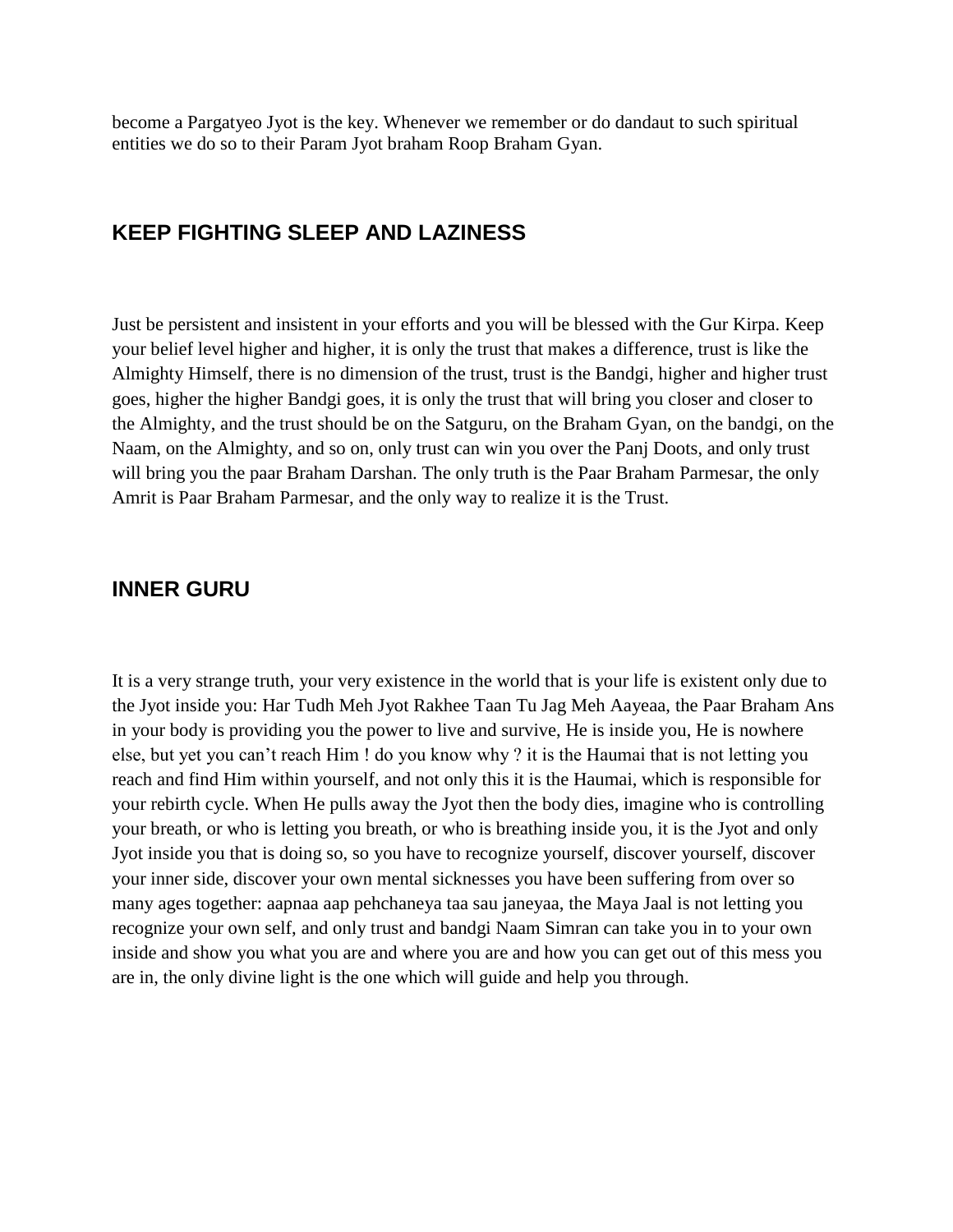become a Pargatyeo Jyot is the key. Whenever we remember or do dandaut to such spiritual entities we do so to their Param Jyot braham Roop Braham Gyan.

## **KEEP FIGHTING SLEEP AND LAZINESS**

Just be persistent and insistent in your efforts and you will be blessed with the Gur Kirpa. Keep your belief level higher and higher, it is only the trust that makes a difference, trust is like the Almighty Himself, there is no dimension of the trust, trust is the Bandgi, higher and higher trust goes, higher the higher Bandgi goes, it is only the trust that will bring you closer and closer to the Almighty, and the trust should be on the Satguru, on the Braham Gyan, on the bandgi, on the Naam, on the Almighty, and so on, only trust can win you over the Panj Doots, and only trust will bring you the paar Braham Darshan. The only truth is the Paar Braham Parmesar, the only Amrit is Paar Braham Parmesar, and the only way to realize it is the Trust.

#### **INNER GURU**

It is a very strange truth, your very existence in the world that is your life is existent only due to the Jyot inside you: Har Tudh Meh Jyot Rakhee Taan Tu Jag Meh Aayeaa, the Paar Braham Ans in your body is providing you the power to live and survive, He is inside you, He is nowhere else, but yet you can"t reach Him ! do you know why ? it is the Haumai that is not letting you reach and find Him within yourself, and not only this it is the Haumai, which is responsible for your rebirth cycle. When He pulls away the Jyot then the body dies, imagine who is controlling your breath, or who is letting you breath, or who is breathing inside you, it is the Jyot and only Jyot inside you that is doing so, so you have to recognize yourself, discover yourself, discover your inner side, discover your own mental sicknesses you have been suffering from over so many ages together: aapnaa aap pehchaneya taa sau janeyaa, the Maya Jaal is not letting you recognize your own self, and only trust and bandgi Naam Simran can take you in to your own inside and show you what you are and where you are and how you can get out of this mess you are in, the only divine light is the one which will guide and help you through.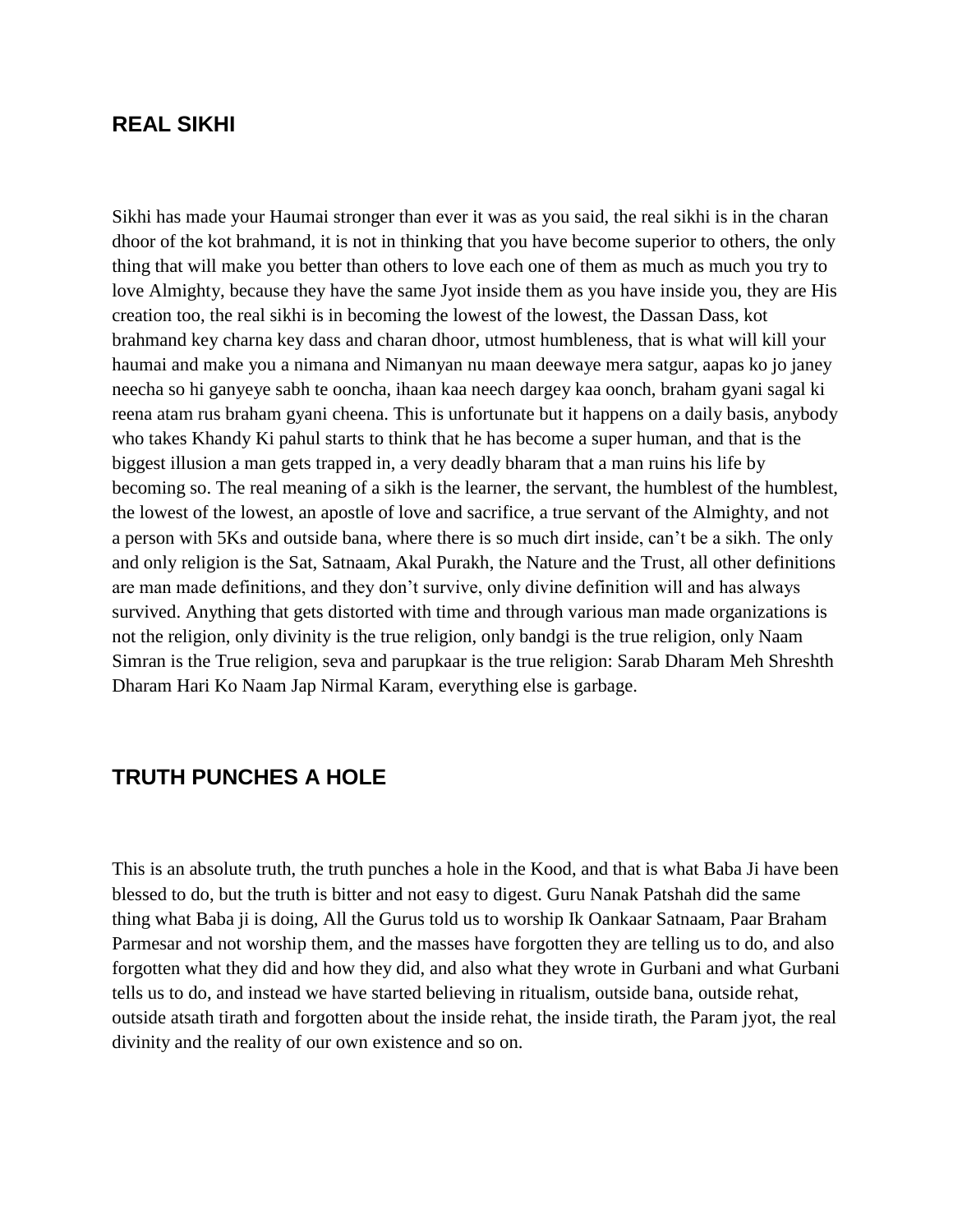#### **REAL SIKHI**

Sikhi has made your Haumai stronger than ever it was as you said, the real sikhi is in the charan dhoor of the kot brahmand, it is not in thinking that you have become superior to others, the only thing that will make you better than others to love each one of them as much as much you try to love Almighty, because they have the same Jyot inside them as you have inside you, they are His creation too, the real sikhi is in becoming the lowest of the lowest, the Dassan Dass, kot brahmand key charna key dass and charan dhoor, utmost humbleness, that is what will kill your haumai and make you a nimana and Nimanyan nu maan deewaye mera satgur, aapas ko jo janey neecha so hi ganyeye sabh te ooncha, ihaan kaa neech dargey kaa oonch, braham gyani sagal ki reena atam rus braham gyani cheena. This is unfortunate but it happens on a daily basis, anybody who takes Khandy Ki pahul starts to think that he has become a super human, and that is the biggest illusion a man gets trapped in, a very deadly bharam that a man ruins his life by becoming so. The real meaning of a sikh is the learner, the servant, the humblest of the humblest, the lowest of the lowest, an apostle of love and sacrifice, a true servant of the Almighty, and not a person with 5Ks and outside bana, where there is so much dirt inside, can"t be a sikh. The only and only religion is the Sat, Satnaam, Akal Purakh, the Nature and the Trust, all other definitions are man made definitions, and they don"t survive, only divine definition will and has always survived. Anything that gets distorted with time and through various man made organizations is not the religion, only divinity is the true religion, only bandgi is the true religion, only Naam Simran is the True religion, seva and parupkaar is the true religion: Sarab Dharam Meh Shreshth Dharam Hari Ko Naam Jap Nirmal Karam, everything else is garbage.

## **TRUTH PUNCHES A HOLE**

This is an absolute truth, the truth punches a hole in the Kood, and that is what Baba Ji have been blessed to do, but the truth is bitter and not easy to digest. Guru Nanak Patshah did the same thing what Baba ji is doing, All the Gurus told us to worship Ik Oankaar Satnaam, Paar Braham Parmesar and not worship them, and the masses have forgotten they are telling us to do, and also forgotten what they did and how they did, and also what they wrote in Gurbani and what Gurbani tells us to do, and instead we have started believing in ritualism, outside bana, outside rehat, outside atsath tirath and forgotten about the inside rehat, the inside tirath, the Param jyot, the real divinity and the reality of our own existence and so on.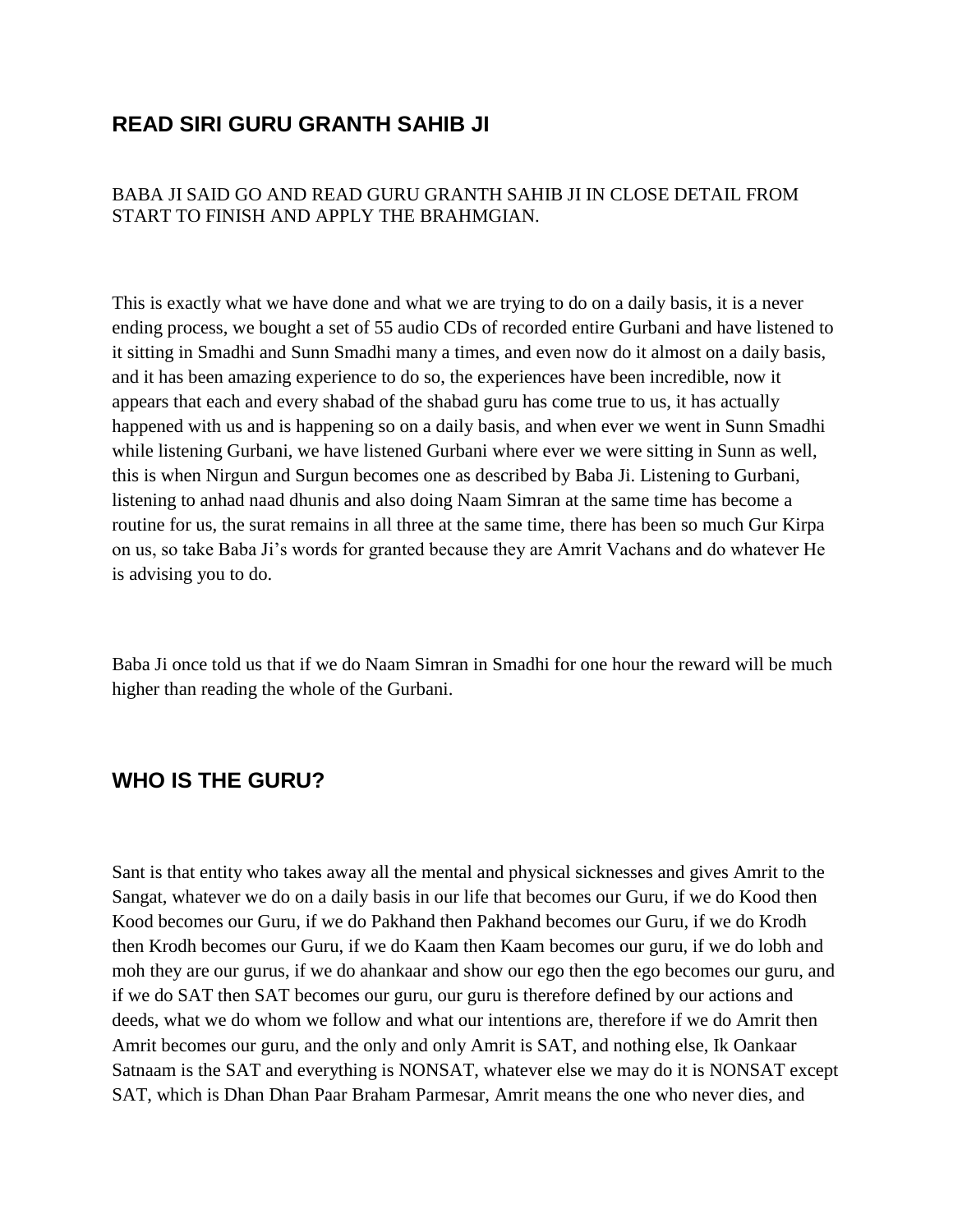## **READ SIRI GURU GRANTH SAHIB JI**

#### BABA JI SAID GO AND READ GURU GRANTH SAHIB JI IN CLOSE DETAIL FROM START TO FINISH AND APPLY THE BRAHMGIAN.

This is exactly what we have done and what we are trying to do on a daily basis, it is a never ending process, we bought a set of 55 audio CDs of recorded entire Gurbani and have listened to it sitting in Smadhi and Sunn Smadhi many a times, and even now do it almost on a daily basis, and it has been amazing experience to do so, the experiences have been incredible, now it appears that each and every shabad of the shabad guru has come true to us, it has actually happened with us and is happening so on a daily basis, and when ever we went in Sunn Smadhi while listening Gurbani, we have listened Gurbani where ever we were sitting in Sunn as well, this is when Nirgun and Surgun becomes one as described by Baba Ji. Listening to Gurbani, listening to anhad naad dhunis and also doing Naam Simran at the same time has become a routine for us, the surat remains in all three at the same time, there has been so much Gur Kirpa on us, so take Baba Ji"s words for granted because they are Amrit Vachans and do whatever He is advising you to do.

Baba Ji once told us that if we do Naam Simran in Smadhi for one hour the reward will be much higher than reading the whole of the Gurbani.

## **WHO IS THE GURU?**

Sant is that entity who takes away all the mental and physical sicknesses and gives Amrit to the Sangat, whatever we do on a daily basis in our life that becomes our Guru, if we do Kood then Kood becomes our Guru, if we do Pakhand then Pakhand becomes our Guru, if we do Krodh then Krodh becomes our Guru, if we do Kaam then Kaam becomes our guru, if we do lobh and moh they are our gurus, if we do ahankaar and show our ego then the ego becomes our guru, and if we do SAT then SAT becomes our guru, our guru is therefore defined by our actions and deeds, what we do whom we follow and what our intentions are, therefore if we do Amrit then Amrit becomes our guru, and the only and only Amrit is SAT, and nothing else, Ik Oankaar Satnaam is the SAT and everything is NONSAT, whatever else we may do it is NONSAT except SAT, which is Dhan Dhan Paar Braham Parmesar, Amrit means the one who never dies, and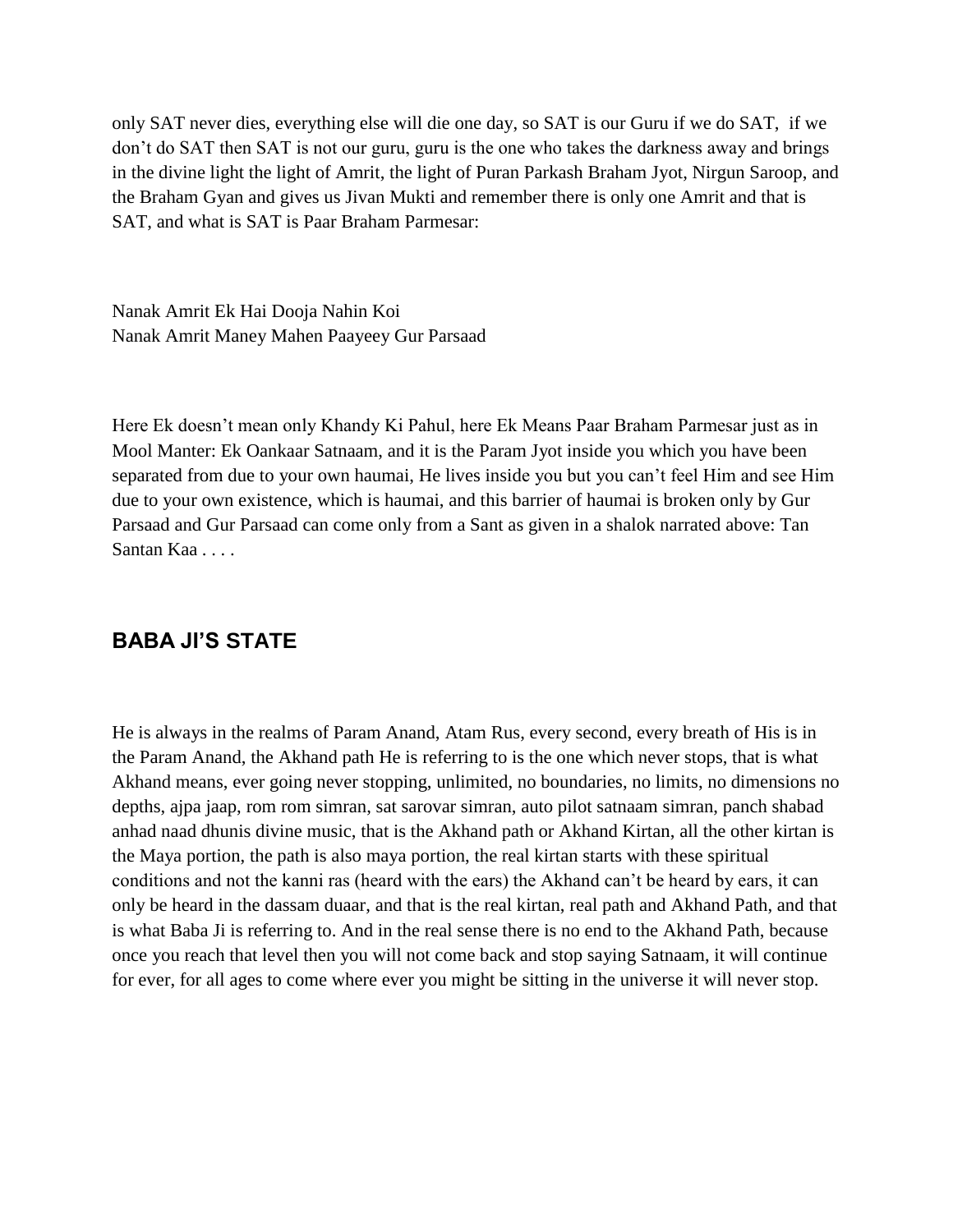only SAT never dies, everything else will die one day, so SAT is our Guru if we do SAT, if we don"t do SAT then SAT is not our guru, guru is the one who takes the darkness away and brings in the divine light the light of Amrit, the light of Puran Parkash Braham Jyot, Nirgun Saroop, and the Braham Gyan and gives us Jivan Mukti and remember there is only one Amrit and that is SAT, and what is SAT is Paar Braham Parmesar:

Nanak Amrit Ek Hai Dooja Nahin Koi Nanak Amrit Maney Mahen Paayeey Gur Parsaad

Here Ek doesn"t mean only Khandy Ki Pahul, here Ek Means Paar Braham Parmesar just as in Mool Manter: Ek Oankaar Satnaam, and it is the Param Jyot inside you which you have been separated from due to your own haumai, He lives inside you but you can"t feel Him and see Him due to your own existence, which is haumai, and this barrier of haumai is broken only by Gur Parsaad and Gur Parsaad can come only from a Sant as given in a shalok narrated above: Tan Santan Kaa . . . .

## **BABA JI'S STATE**

He is always in the realms of Param Anand, Atam Rus, every second, every breath of His is in the Param Anand, the Akhand path He is referring to is the one which never stops, that is what Akhand means, ever going never stopping, unlimited, no boundaries, no limits, no dimensions no depths, ajpa jaap, rom rom simran, sat sarovar simran, auto pilot satnaam simran, panch shabad anhad naad dhunis divine music, that is the Akhand path or Akhand Kirtan, all the other kirtan is the Maya portion, the path is also maya portion, the real kirtan starts with these spiritual conditions and not the kanni ras (heard with the ears) the Akhand can"t be heard by ears, it can only be heard in the dassam duaar, and that is the real kirtan, real path and Akhand Path, and that is what Baba Ji is referring to. And in the real sense there is no end to the Akhand Path, because once you reach that level then you will not come back and stop saying Satnaam, it will continue for ever, for all ages to come where ever you might be sitting in the universe it will never stop.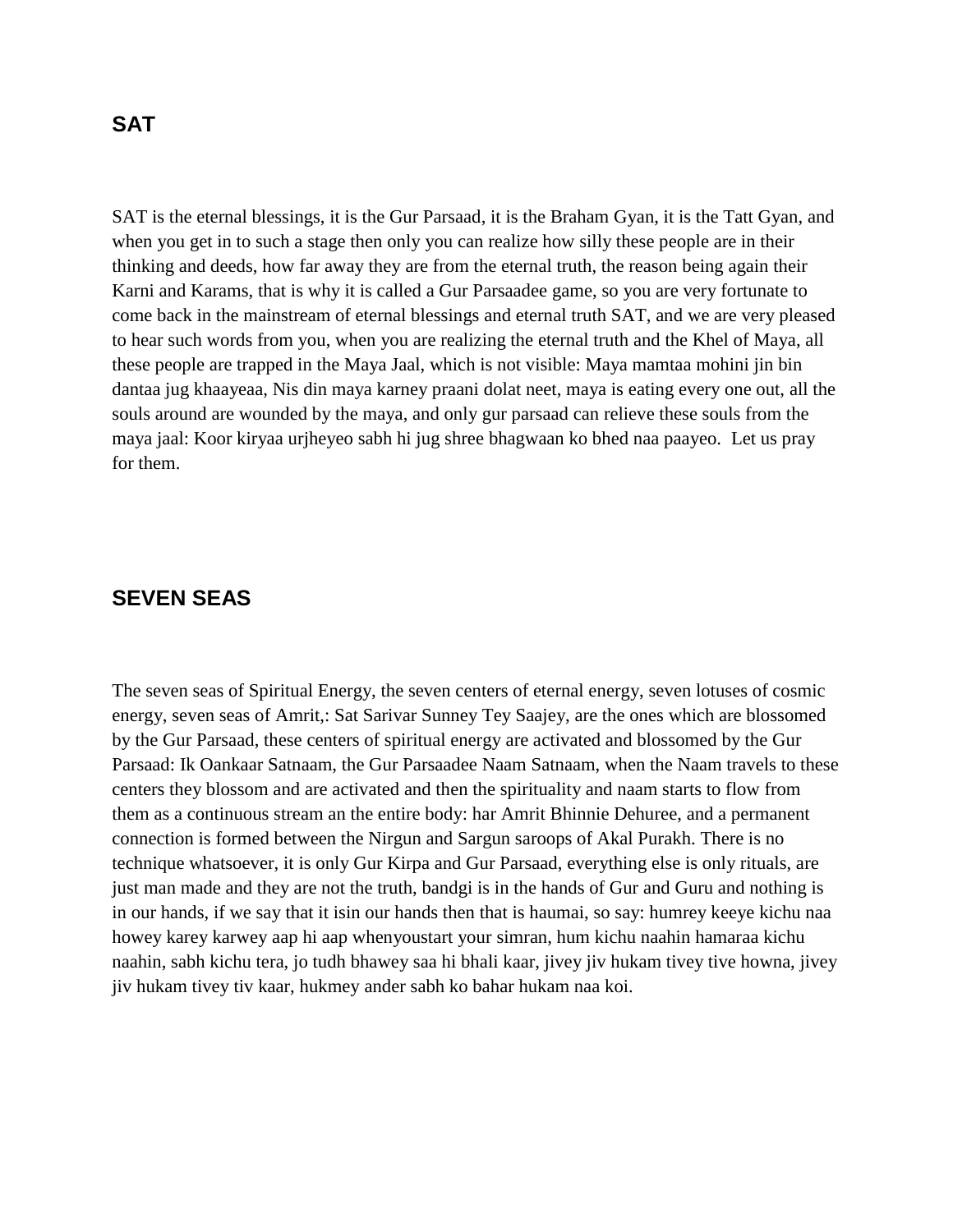#### **SAT**

SAT is the eternal blessings, it is the Gur Parsaad, it is the Braham Gyan, it is the Tatt Gyan, and when you get in to such a stage then only you can realize how silly these people are in their thinking and deeds, how far away they are from the eternal truth, the reason being again their Karni and Karams, that is why it is called a Gur Parsaadee game, so you are very fortunate to come back in the mainstream of eternal blessings and eternal truth SAT, and we are very pleased to hear such words from you, when you are realizing the eternal truth and the Khel of Maya, all these people are trapped in the Maya Jaal, which is not visible: Maya mamtaa mohini jin bin dantaa jug khaayeaa, Nis din maya karney praani dolat neet, maya is eating every one out, all the souls around are wounded by the maya, and only gur parsaad can relieve these souls from the maya jaal: Koor kiryaa urjheyeo sabh hi jug shree bhagwaan ko bhed naa paayeo. Let us pray for them.

#### **SEVEN SEAS**

The seven seas of Spiritual Energy, the seven centers of eternal energy, seven lotuses of cosmic energy, seven seas of Amrit,: Sat Sarivar Sunney Tey Saajey, are the ones which are blossomed by the Gur Parsaad, these centers of spiritual energy are activated and blossomed by the Gur Parsaad: Ik Oankaar Satnaam, the Gur Parsaadee Naam Satnaam, when the Naam travels to these centers they blossom and are activated and then the spirituality and naam starts to flow from them as a continuous stream an the entire body: har Amrit Bhinnie Dehuree, and a permanent connection is formed between the Nirgun and Sargun saroops of Akal Purakh. There is no technique whatsoever, it is only Gur Kirpa and Gur Parsaad, everything else is only rituals, are just man made and they are not the truth, bandgi is in the hands of Gur and Guru and nothing is in our hands, if we say that it isin our hands then that is haumai, so say: humrey keeye kichu naa howey karey karwey aap hi aap whenyoustart your simran, hum kichu naahin hamaraa kichu naahin, sabh kichu tera, jo tudh bhawey saa hi bhali kaar, jivey jiv hukam tivey tive howna, jivey jiv hukam tivey tiv kaar, hukmey ander sabh ko bahar hukam naa koi.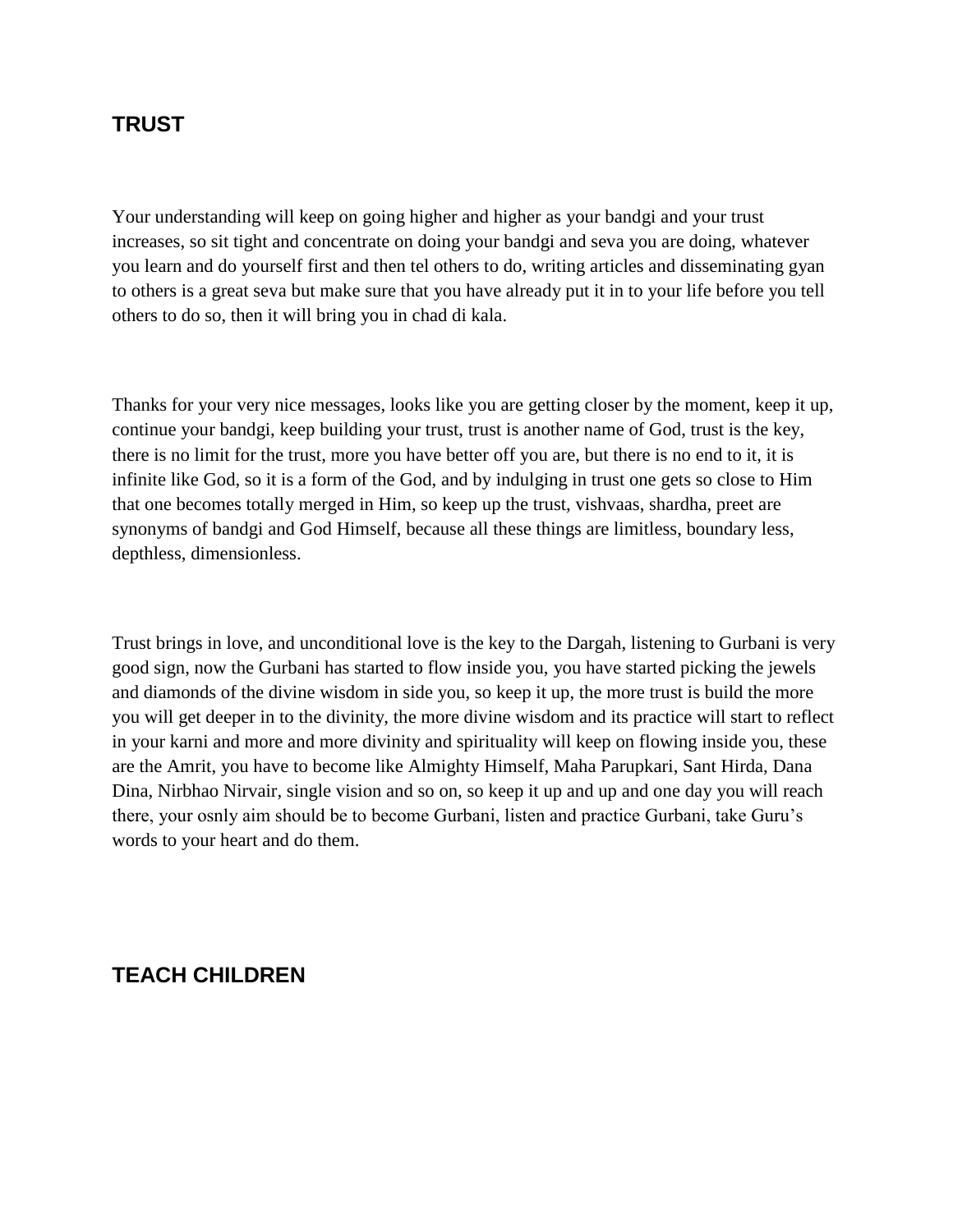#### **TRUST**

Your understanding will keep on going higher and higher as your bandgi and your trust increases, so sit tight and concentrate on doing your bandgi and seva you are doing, whatever you learn and do yourself first and then tel others to do, writing articles and disseminating gyan to others is a great seva but make sure that you have already put it in to your life before you tell others to do so, then it will bring you in chad di kala.

Thanks for your very nice messages, looks like you are getting closer by the moment, keep it up, continue your bandgi, keep building your trust, trust is another name of God, trust is the key, there is no limit for the trust, more you have better off you are, but there is no end to it, it is infinite like God, so it is a form of the God, and by indulging in trust one gets so close to Him that one becomes totally merged in Him, so keep up the trust, vishvaas, shardha, preet are synonyms of bandgi and God Himself, because all these things are limitless, boundary less, depthless, dimensionless.

Trust brings in love, and unconditional love is the key to the Dargah, listening to Gurbani is very good sign, now the Gurbani has started to flow inside you, you have started picking the jewels and diamonds of the divine wisdom in side you, so keep it up, the more trust is build the more you will get deeper in to the divinity, the more divine wisdom and its practice will start to reflect in your karni and more and more divinity and spirituality will keep on flowing inside you, these are the Amrit, you have to become like Almighty Himself, Maha Parupkari, Sant Hirda, Dana Dina, Nirbhao Nirvair, single vision and so on, so keep it up and up and one day you will reach there, your osnly aim should be to become Gurbani, listen and practice Gurbani, take Guru"s words to your heart and do them.

#### **TEACH CHILDREN**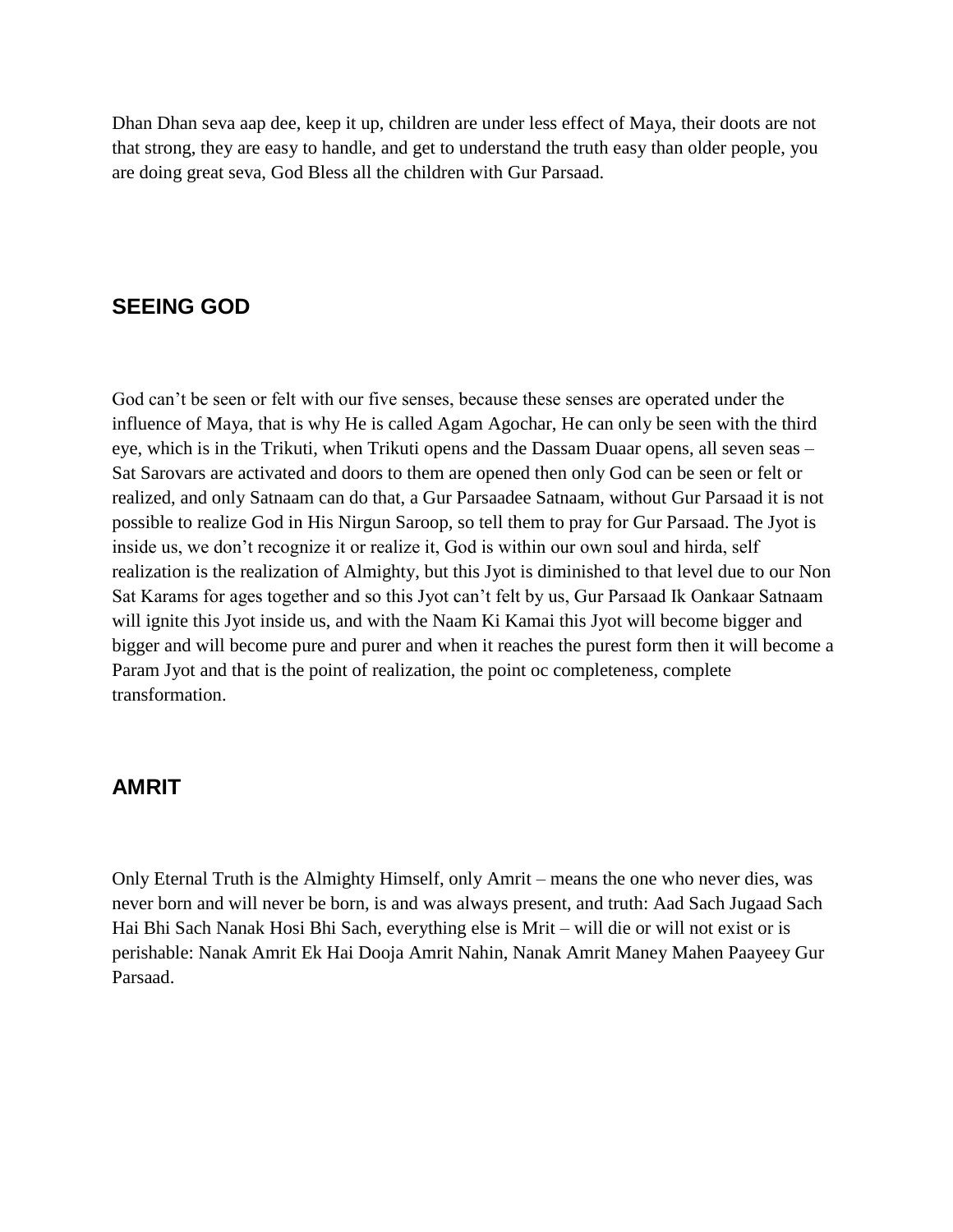Dhan Dhan seva aap dee, keep it up, children are under less effect of Maya, their doots are not that strong, they are easy to handle, and get to understand the truth easy than older people, you are doing great seva, God Bless all the children with Gur Parsaad.

### **SEEING GOD**

God can't be seen or felt with our five senses, because these senses are operated under the influence of Maya, that is why He is called Agam Agochar, He can only be seen with the third eye, which is in the Trikuti, when Trikuti opens and the Dassam Duaar opens, all seven seas – Sat Sarovars are activated and doors to them are opened then only God can be seen or felt or realized, and only Satnaam can do that, a Gur Parsaadee Satnaam, without Gur Parsaad it is not possible to realize God in His Nirgun Saroop, so tell them to pray for Gur Parsaad. The Jyot is inside us, we don"t recognize it or realize it, God is within our own soul and hirda, self realization is the realization of Almighty, but this Jyot is diminished to that level due to our Non Sat Karams for ages together and so this Jyot can"t felt by us, Gur Parsaad Ik Oankaar Satnaam will ignite this Jyot inside us, and with the Naam Ki Kamai this Jyot will become bigger and bigger and will become pure and purer and when it reaches the purest form then it will become a Param Jyot and that is the point of realization, the point oc completeness, complete transformation.

#### **AMRIT**

Only Eternal Truth is the Almighty Himself, only Amrit – means the one who never dies, was never born and will never be born, is and was always present, and truth: Aad Sach Jugaad Sach Hai Bhi Sach Nanak Hosi Bhi Sach, everything else is Mrit – will die or will not exist or is perishable: Nanak Amrit Ek Hai Dooja Amrit Nahin, Nanak Amrit Maney Mahen Paayeey Gur Parsaad.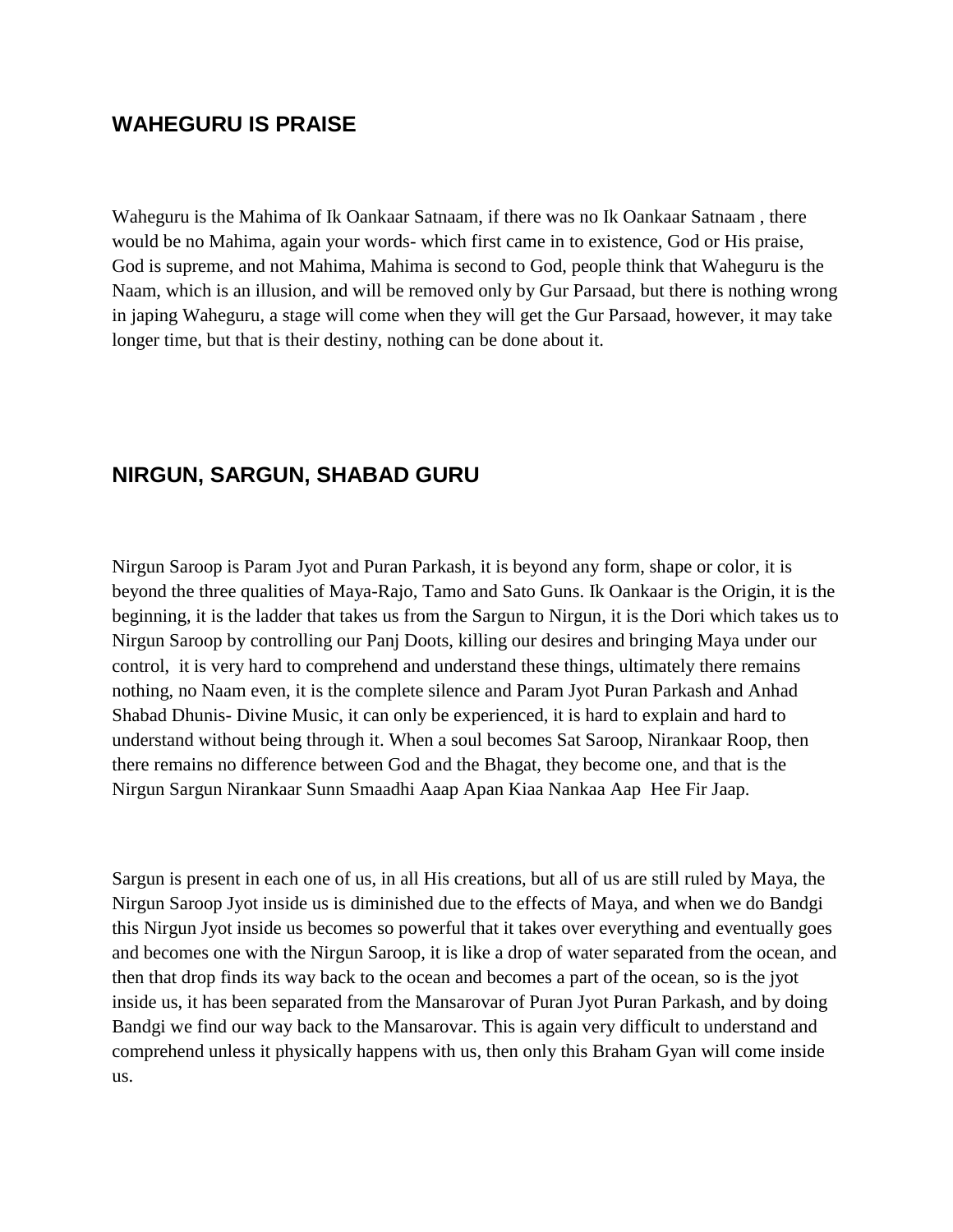#### **WAHEGURU IS PRAISE**

Waheguru is the Mahima of Ik Oankaar Satnaam, if there was no Ik Oankaar Satnaam , there would be no Mahima, again your words- which first came in to existence, God or His praise, God is supreme, and not Mahima, Mahima is second to God, people think that Waheguru is the Naam, which is an illusion, and will be removed only by Gur Parsaad, but there is nothing wrong in japing Waheguru, a stage will come when they will get the Gur Parsaad, however, it may take longer time, but that is their destiny, nothing can be done about it.

## **NIRGUN, SARGUN, SHABAD GURU**

Nirgun Saroop is Param Jyot and Puran Parkash, it is beyond any form, shape or color, it is beyond the three qualities of Maya-Rajo, Tamo and Sato Guns. Ik Oankaar is the Origin, it is the beginning, it is the ladder that takes us from the Sargun to Nirgun, it is the Dori which takes us to Nirgun Saroop by controlling our Panj Doots, killing our desires and bringing Maya under our control, it is very hard to comprehend and understand these things, ultimately there remains nothing, no Naam even, it is the complete silence and Param Jyot Puran Parkash and Anhad Shabad Dhunis- Divine Music, it can only be experienced, it is hard to explain and hard to understand without being through it. When a soul becomes Sat Saroop, Nirankaar Roop, then there remains no difference between God and the Bhagat, they become one, and that is the Nirgun Sargun Nirankaar Sunn Smaadhi Aaap Apan Kiaa Nankaa Aap Hee Fir Jaap.

Sargun is present in each one of us, in all His creations, but all of us are still ruled by Maya, the Nirgun Saroop Jyot inside us is diminished due to the effects of Maya, and when we do Bandgi this Nirgun Jyot inside us becomes so powerful that it takes over everything and eventually goes and becomes one with the Nirgun Saroop, it is like a drop of water separated from the ocean, and then that drop finds its way back to the ocean and becomes a part of the ocean, so is the jyot inside us, it has been separated from the Mansarovar of Puran Jyot Puran Parkash, and by doing Bandgi we find our way back to the Mansarovar. This is again very difficult to understand and comprehend unless it physically happens with us, then only this Braham Gyan will come inside us.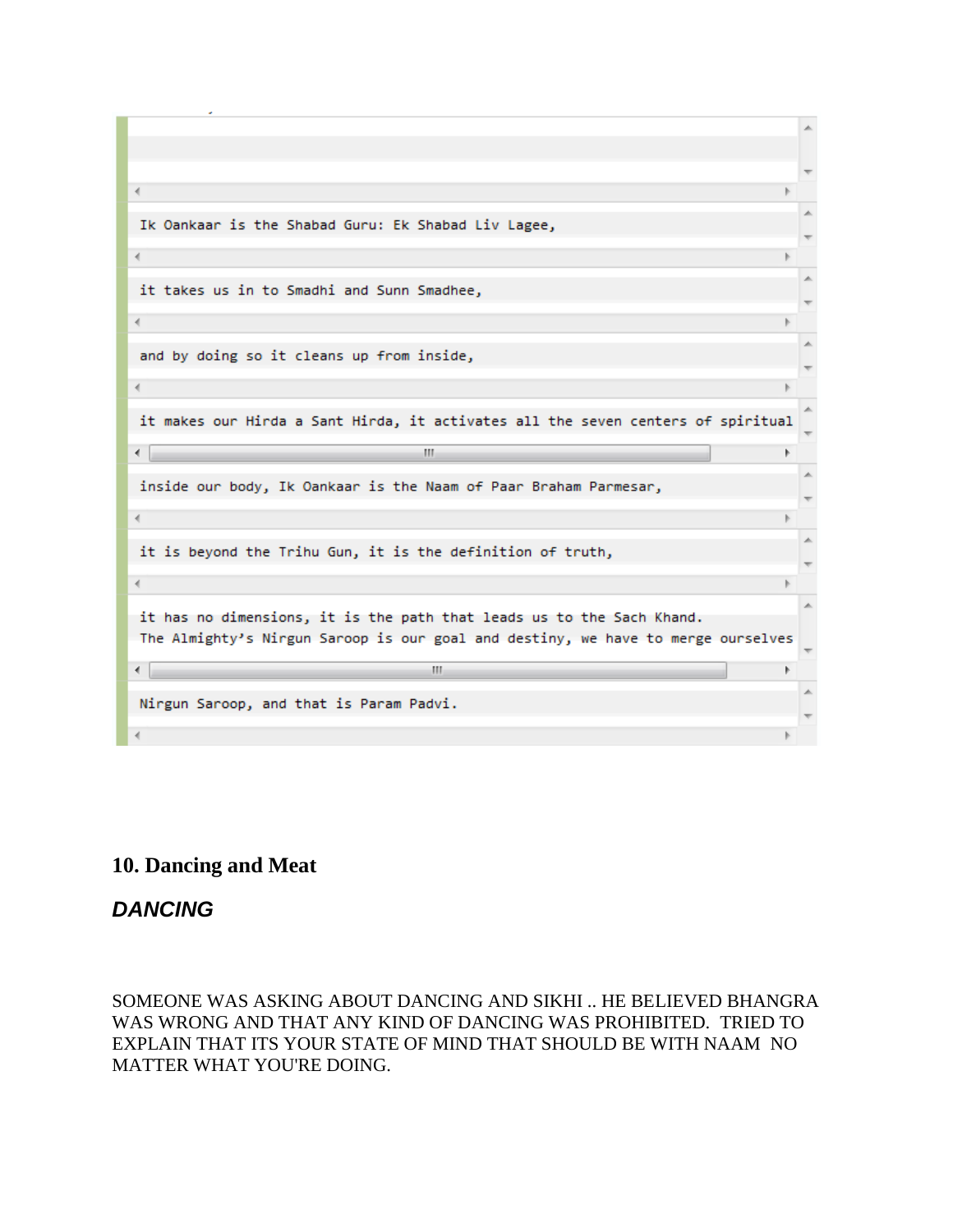| $\blacktriangleleft$                                                             |    |  |
|----------------------------------------------------------------------------------|----|--|
| Ik Oankaar is the Shabad Guru: Ek Shabad Liv Lagee,                              |    |  |
| €.                                                                               |    |  |
|                                                                                  |    |  |
| it takes us in to Smadhi and Sunn Smadhee,                                       |    |  |
| ∢                                                                                |    |  |
| and by doing so it cleans up from inside,                                        |    |  |
|                                                                                  |    |  |
| $\left($                                                                         |    |  |
| it makes our Hirda a Sant Hirda, it activates all the seven centers of spiritual |    |  |
|                                                                                  |    |  |
| ∢<br>m.                                                                          | b. |  |
|                                                                                  |    |  |
| inside our body, Ik Oankaar is the Naam of Paar Braham Parmesar,                 |    |  |
| 4                                                                                |    |  |
| it is beyond the Trihu Gun, it is the definition of truth,                       |    |  |
|                                                                                  |    |  |
| ∢                                                                                |    |  |
| it has no dimensions, it is the path that leads us to the Sach Khand.            |    |  |
| The Almighty's Nirgun Saroop is our goal and destiny, we have to merge ourselves |    |  |
| ∢<br>ш.                                                                          |    |  |
|                                                                                  |    |  |
| Nirgun Saroop, and that is Param Padvi.<br>∢                                     |    |  |

# **10. Dancing and Meat**

# *DANCING*

SOMEONE WAS ASKING ABOUT DANCING AND SIKHI .. HE BELIEVED BHANGRA WAS WRONG AND THAT ANY KIND OF DANCING WAS PROHIBITED. TRIED TO EXPLAIN THAT ITS YOUR STATE OF MIND THAT SHOULD BE WITH NAAM NO MATTER WHAT YOU'RE DOING.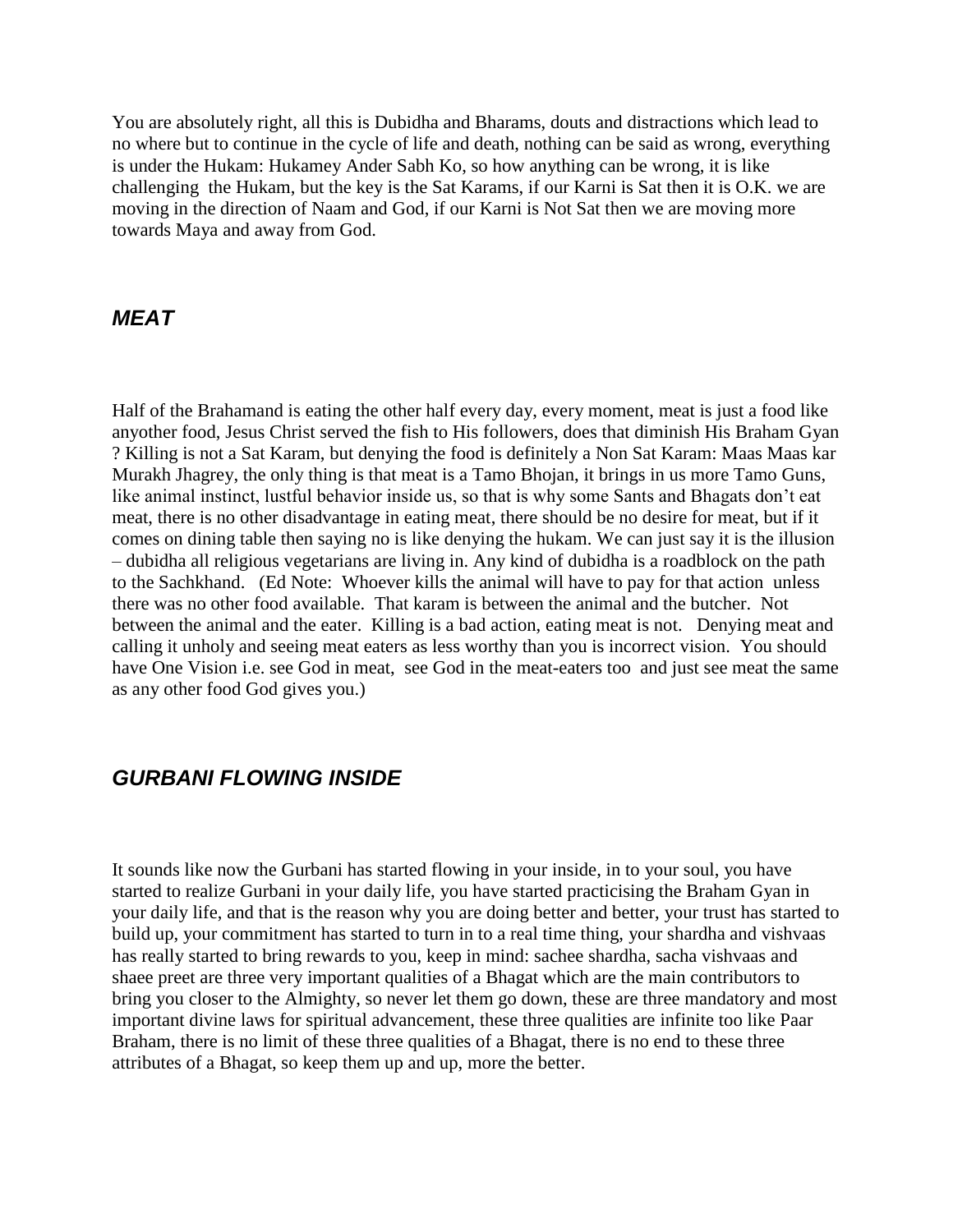You are absolutely right, all this is Dubidha and Bharams, douts and distractions which lead to no where but to continue in the cycle of life and death, nothing can be said as wrong, everything is under the Hukam: Hukamey Ander Sabh Ko, so how anything can be wrong, it is like challenging the Hukam, but the key is the Sat Karams, if our Karni is Sat then it is O.K. we are moving in the direction of Naam and God, if our Karni is Not Sat then we are moving more towards Maya and away from God.

#### *MEAT*

Half of the Brahamand is eating the other half every day, every moment, meat is just a food like anyother food, Jesus Christ served the fish to His followers, does that diminish His Braham Gyan ? Killing is not a Sat Karam, but denying the food is definitely a Non Sat Karam: Maas Maas kar Murakh Jhagrey, the only thing is that meat is a Tamo Bhojan, it brings in us more Tamo Guns, like animal instinct, lustful behavior inside us, so that is why some Sants and Bhagats don't eat meat, there is no other disadvantage in eating meat, there should be no desire for meat, but if it comes on dining table then saying no is like denying the hukam. We can just say it is the illusion – dubidha all religious vegetarians are living in. Any kind of dubidha is a roadblock on the path to the Sachkhand. (Ed Note: Whoever kills the animal will have to pay for that action unless there was no other food available. That karam is between the animal and the butcher. Not between the animal and the eater. Killing is a bad action, eating meat is not. Denying meat and calling it unholy and seeing meat eaters as less worthy than you is incorrect vision. You should have One Vision i.e. see God in meat, see God in the meat-eaters too and just see meat the same as any other food God gives you.)

## *GURBANI FLOWING INSIDE*

It sounds like now the Gurbani has started flowing in your inside, in to your soul, you have started to realize Gurbani in your daily life, you have started practicising the Braham Gyan in your daily life, and that is the reason why you are doing better and better, your trust has started to build up, your commitment has started to turn in to a real time thing, your shardha and vishvaas has really started to bring rewards to you, keep in mind: sachee shardha, sacha vishvaas and shaee preet are three very important qualities of a Bhagat which are the main contributors to bring you closer to the Almighty, so never let them go down, these are three mandatory and most important divine laws for spiritual advancement, these three qualities are infinite too like Paar Braham, there is no limit of these three qualities of a Bhagat, there is no end to these three attributes of a Bhagat, so keep them up and up, more the better.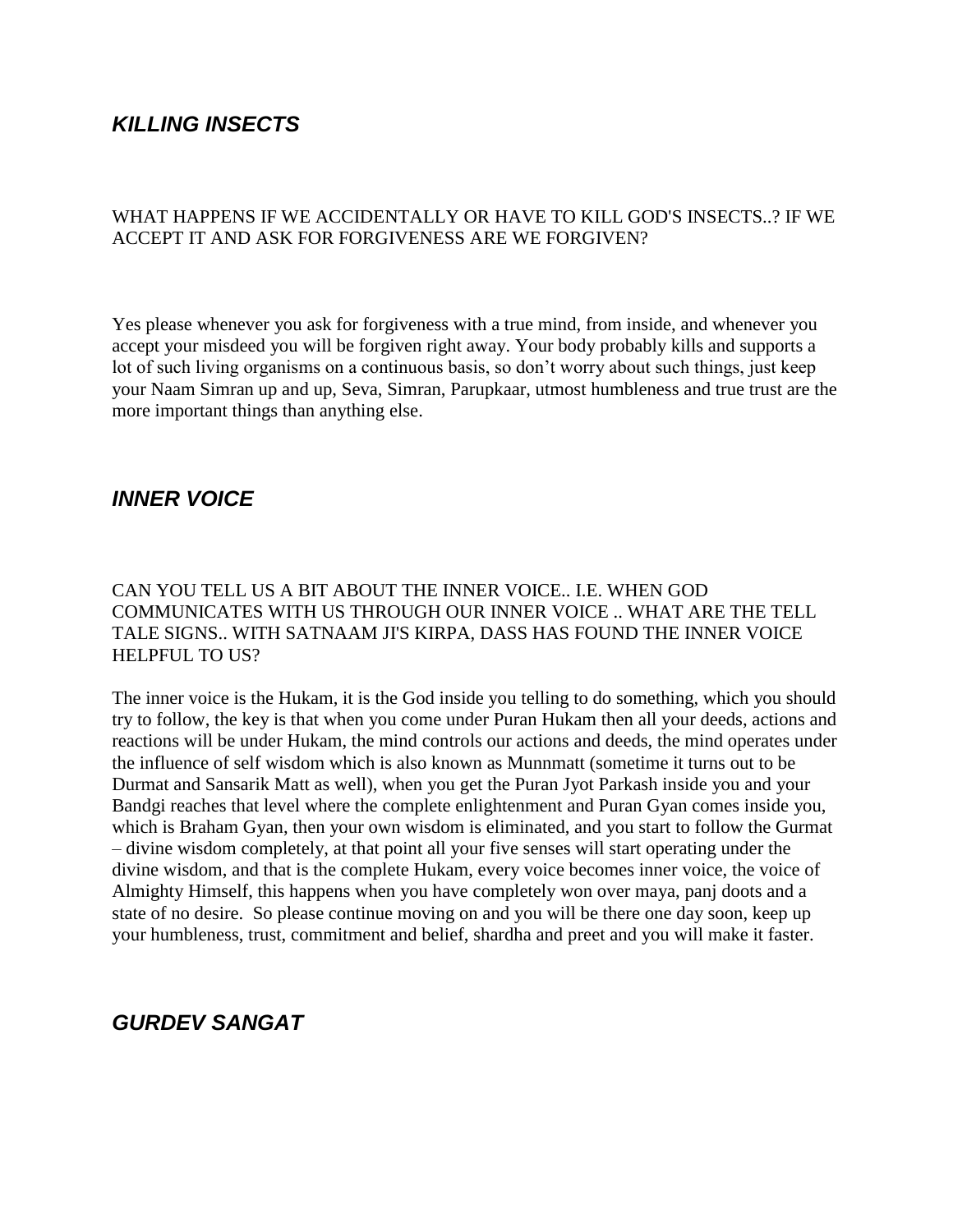# *KILLING INSECTS*

#### WHAT HAPPENS IF WE ACCIDENTALLY OR HAVE TO KILL GOD'S INSECTS..? IF WE ACCEPT IT AND ASK FOR FORGIVENESS ARE WE FORGIVEN?

Yes please whenever you ask for forgiveness with a true mind, from inside, and whenever you accept your misdeed you will be forgiven right away. Your body probably kills and supports a lot of such living organisms on a continuous basis, so don"t worry about such things, just keep your Naam Simran up and up, Seva, Simran, Parupkaar, utmost humbleness and true trust are the more important things than anything else.

#### *INNER VOICE*

#### CAN YOU TELL US A BIT ABOUT THE INNER VOICE.. I.E. WHEN GOD COMMUNICATES WITH US THROUGH OUR INNER VOICE .. WHAT ARE THE TELL TALE SIGNS.. WITH SATNAAM JI'S KIRPA, DASS HAS FOUND THE INNER VOICE HELPFUL TO US?

The inner voice is the Hukam, it is the God inside you telling to do something, which you should try to follow, the key is that when you come under Puran Hukam then all your deeds, actions and reactions will be under Hukam, the mind controls our actions and deeds, the mind operates under the influence of self wisdom which is also known as Munnmatt (sometime it turns out to be Durmat and Sansarik Matt as well), when you get the Puran Jyot Parkash inside you and your Bandgi reaches that level where the complete enlightenment and Puran Gyan comes inside you, which is Braham Gyan, then your own wisdom is eliminated, and you start to follow the Gurmat – divine wisdom completely, at that point all your five senses will start operating under the divine wisdom, and that is the complete Hukam, every voice becomes inner voice, the voice of Almighty Himself, this happens when you have completely won over maya, panj doots and a state of no desire. So please continue moving on and you will be there one day soon, keep up your humbleness, trust, commitment and belief, shardha and preet and you will make it faster.

#### *GURDEV SANGAT*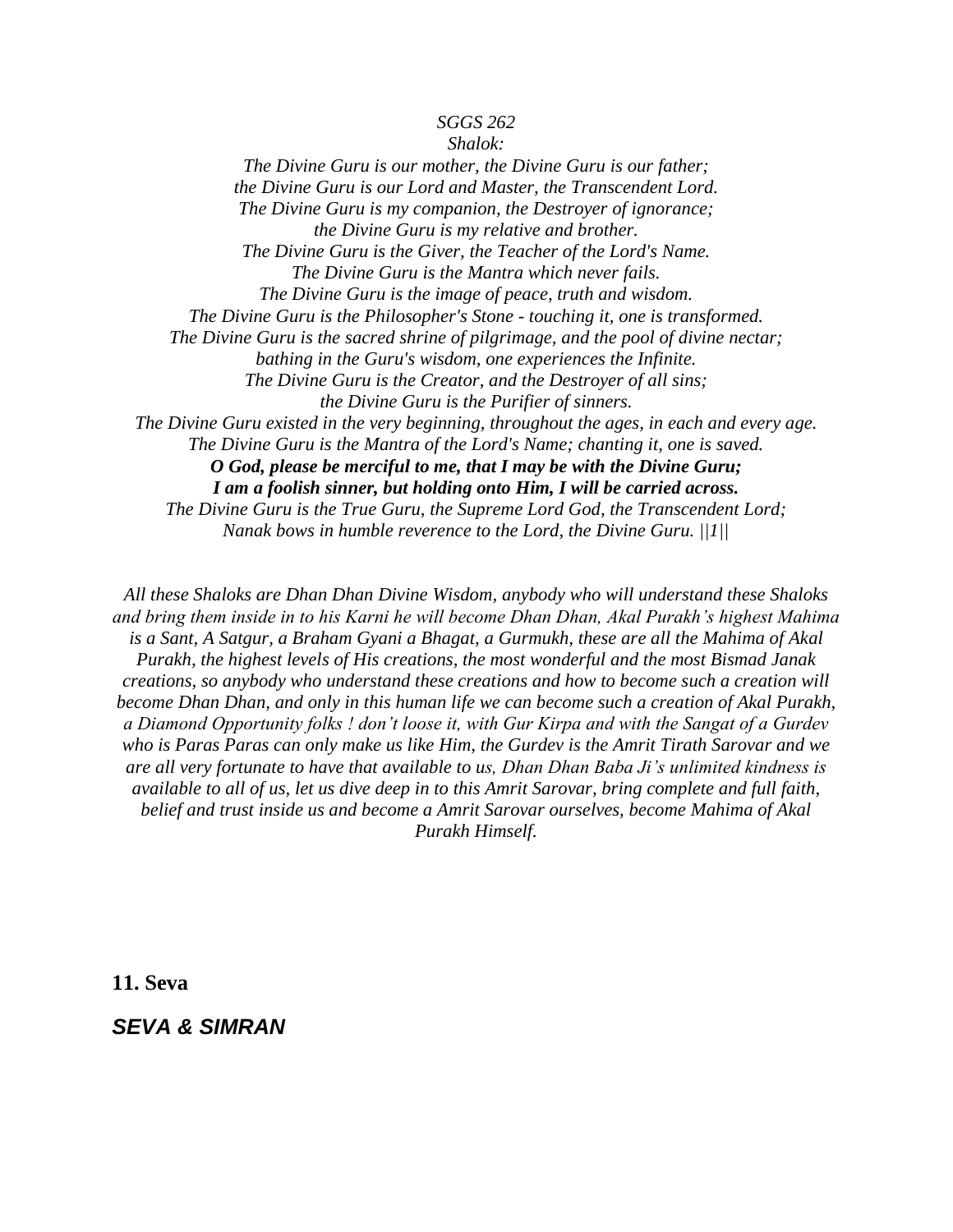#### *SGGS 262*

*Shalok: The Divine Guru is our mother, the Divine Guru is our father; the Divine Guru is our Lord and Master, the Transcendent Lord. The Divine Guru is my companion, the Destroyer of ignorance; the Divine Guru is my relative and brother. The Divine Guru is the Giver, the Teacher of the Lord's Name. The Divine Guru is the Mantra which never fails. The Divine Guru is the image of peace, truth and wisdom. The Divine Guru is the Philosopher's Stone - touching it, one is transformed. The Divine Guru is the sacred shrine of pilgrimage, and the pool of divine nectar; bathing in the Guru's wisdom, one experiences the Infinite. The Divine Guru is the Creator, and the Destroyer of all sins; the Divine Guru is the Purifier of sinners. The Divine Guru existed in the very beginning, throughout the ages, in each and every age. The Divine Guru is the Mantra of the Lord's Name; chanting it, one is saved. O God, please be merciful to me, that I may be with the Divine Guru; I am a foolish sinner, but holding onto Him, I will be carried across.*

*The Divine Guru is the True Guru, the Supreme Lord God, the Transcendent Lord; Nanak bows in humble reverence to the Lord, the Divine Guru. ||1||*

*All these Shaloks are Dhan Dhan Divine Wisdom, anybody who will understand these Shaloks and bring them inside in to his Karni he will become Dhan Dhan, Akal Purakh's highest Mahima is a Sant, A Satgur, a Braham Gyani a Bhagat, a Gurmukh, these are all the Mahima of Akal Purakh, the highest levels of His creations, the most wonderful and the most Bismad Janak creations, so anybody who understand these creations and how to become such a creation will become Dhan Dhan, and only in this human life we can become such a creation of Akal Purakh, a Diamond Opportunity folks ! don't loose it, with Gur Kirpa and with the Sangat of a Gurdev who is Paras Paras can only make us like Him, the Gurdev is the Amrit Tirath Sarovar and we are all very fortunate to have that available to us, Dhan Dhan Baba Ji's unlimited kindness is available to all of us, let us dive deep in to this Amrit Sarovar, bring complete and full faith, belief and trust inside us and become a Amrit Sarovar ourselves, become Mahima of Akal Purakh Himself.*

**11. Seva**

*SEVA & SIMRAN*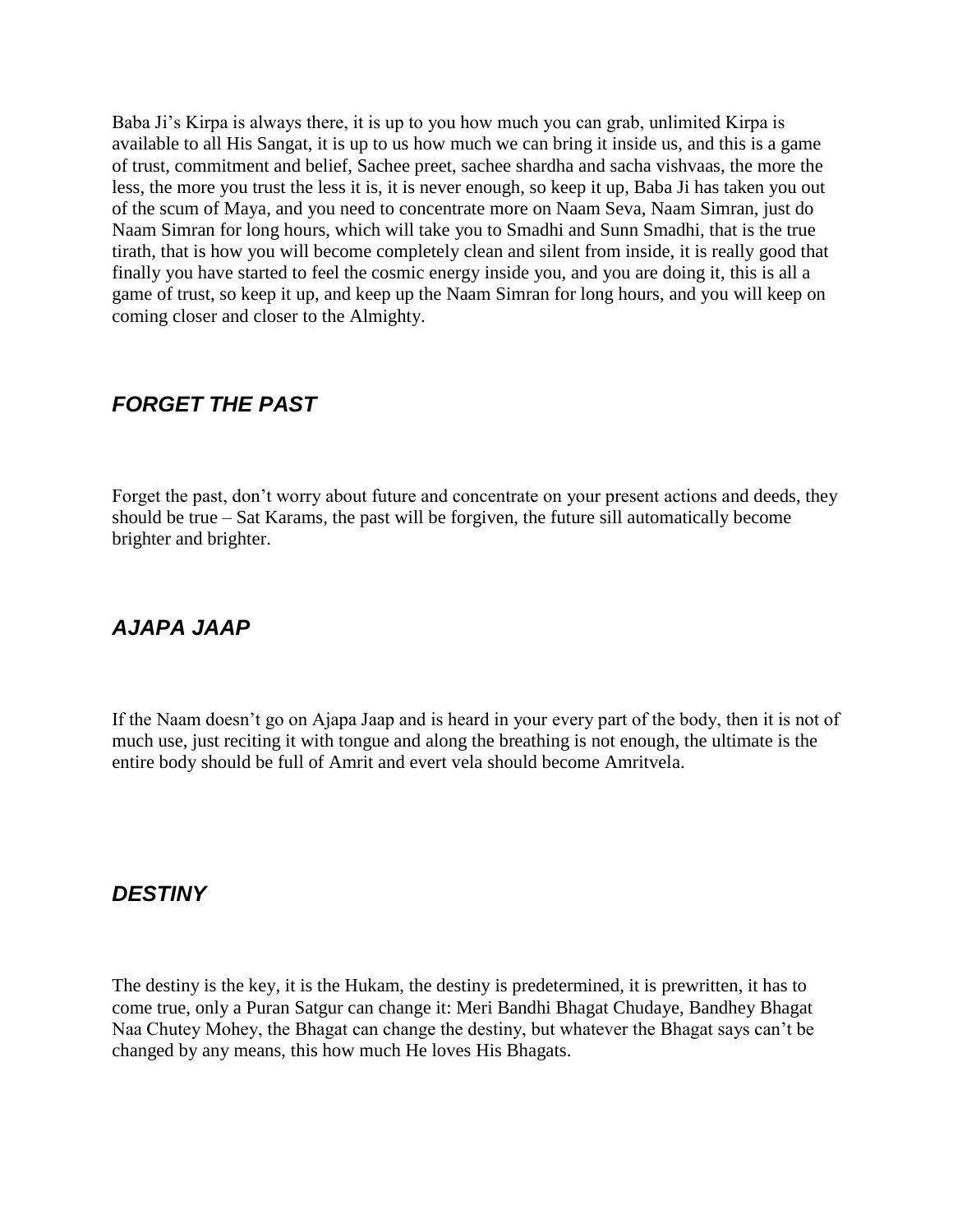Baba Ji's Kirpa is always there, it is up to you how much you can grab, unlimited Kirpa is available to all His Sangat, it is up to us how much we can bring it inside us, and this is a game of trust, commitment and belief, Sachee preet, sachee shardha and sacha vishvaas, the more the less, the more you trust the less it is, it is never enough, so keep it up, Baba Ji has taken you out of the scum of Maya, and you need to concentrate more on Naam Seva, Naam Simran, just do Naam Simran for long hours, which will take you to Smadhi and Sunn Smadhi, that is the true tirath, that is how you will become completely clean and silent from inside, it is really good that finally you have started to feel the cosmic energy inside you, and you are doing it, this is all a game of trust, so keep it up, and keep up the Naam Simran for long hours, and you will keep on coming closer and closer to the Almighty.

# *FORGET THE PAST*

Forget the past, don't worry about future and concentrate on your present actions and deeds, they should be true – Sat Karams, the past will be forgiven, the future sill automatically become brighter and brighter.

# *AJAPA JAAP*

If the Naam doesn"t go on Ajapa Jaap and is heard in your every part of the body, then it is not of much use, just reciting it with tongue and along the breathing is not enough, the ultimate is the entire body should be full of Amrit and evert vela should become Amritvela.

## *DESTINY*

The destiny is the key, it is the Hukam, the destiny is predetermined, it is prewritten, it has to come true, only a Puran Satgur can change it: Meri Bandhi Bhagat Chudaye, Bandhey Bhagat Naa Chutey Mohey, the Bhagat can change the destiny, but whatever the Bhagat says can"t be changed by any means, this how much He loves His Bhagats.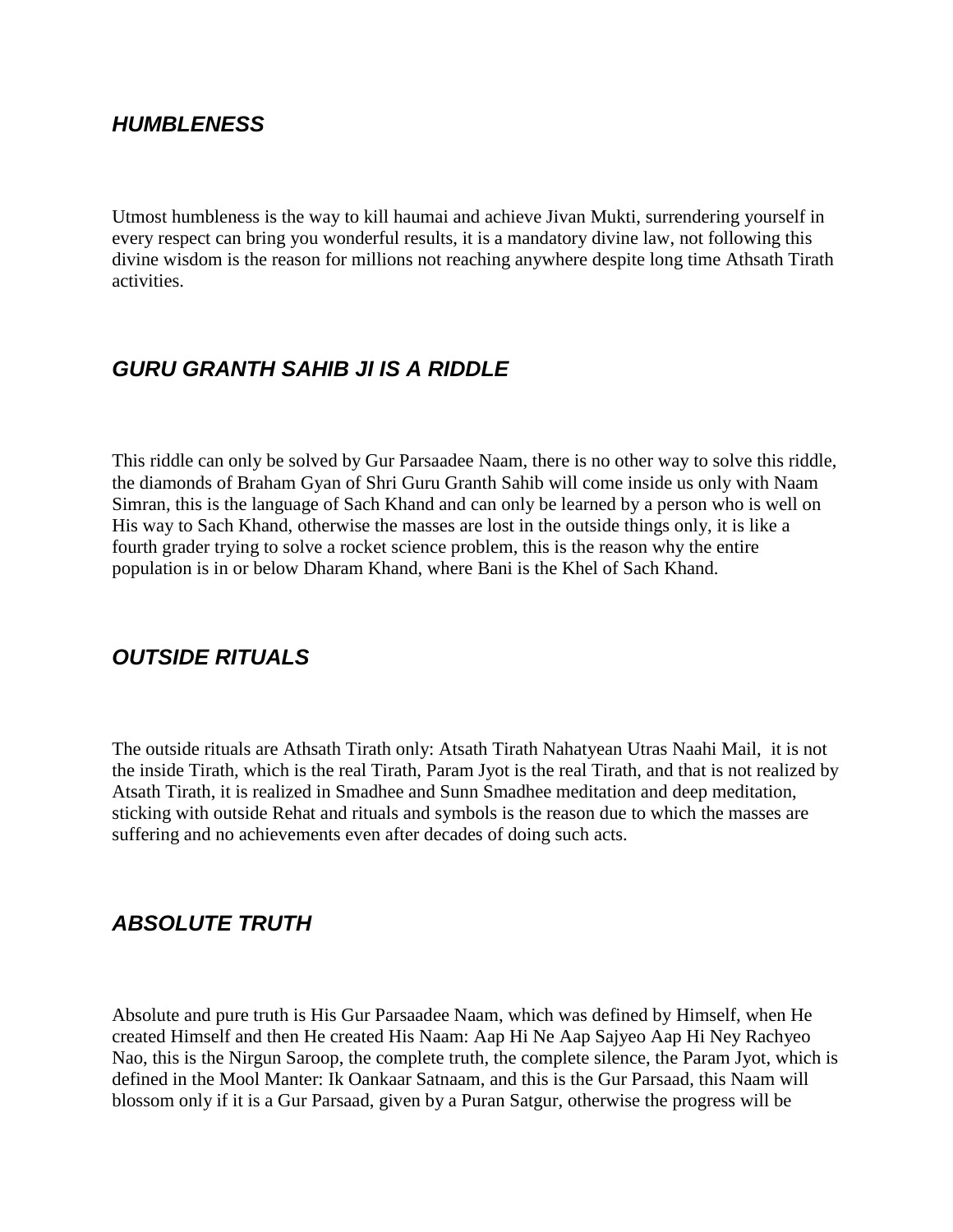### *HUMBLENESS*

Utmost humbleness is the way to kill haumai and achieve Jivan Mukti, surrendering yourself in every respect can bring you wonderful results, it is a mandatory divine law, not following this divine wisdom is the reason for millions not reaching anywhere despite long time Athsath Tirath activities.

## *GURU GRANTH SAHIB JI IS A RIDDLE*

This riddle can only be solved by Gur Parsaadee Naam, there is no other way to solve this riddle, the diamonds of Braham Gyan of Shri Guru Granth Sahib will come inside us only with Naam Simran, this is the language of Sach Khand and can only be learned by a person who is well on His way to Sach Khand, otherwise the masses are lost in the outside things only, it is like a fourth grader trying to solve a rocket science problem, this is the reason why the entire population is in or below Dharam Khand, where Bani is the Khel of Sach Khand.

### *OUTSIDE RITUALS*

The outside rituals are Athsath Tirath only: Atsath Tirath Nahatyean Utras Naahi Mail, it is not the inside Tirath, which is the real Tirath, Param Jyot is the real Tirath, and that is not realized by Atsath Tirath, it is realized in Smadhee and Sunn Smadhee meditation and deep meditation, sticking with outside Rehat and rituals and symbols is the reason due to which the masses are suffering and no achievements even after decades of doing such acts.

### *ABSOLUTE TRUTH*

Absolute and pure truth is His Gur Parsaadee Naam, which was defined by Himself, when He created Himself and then He created His Naam: Aap Hi Ne Aap Sajyeo Aap Hi Ney Rachyeo Nao, this is the Nirgun Saroop, the complete truth, the complete silence, the Param Jyot, which is defined in the Mool Manter: Ik Oankaar Satnaam, and this is the Gur Parsaad, this Naam will blossom only if it is a Gur Parsaad, given by a Puran Satgur, otherwise the progress will be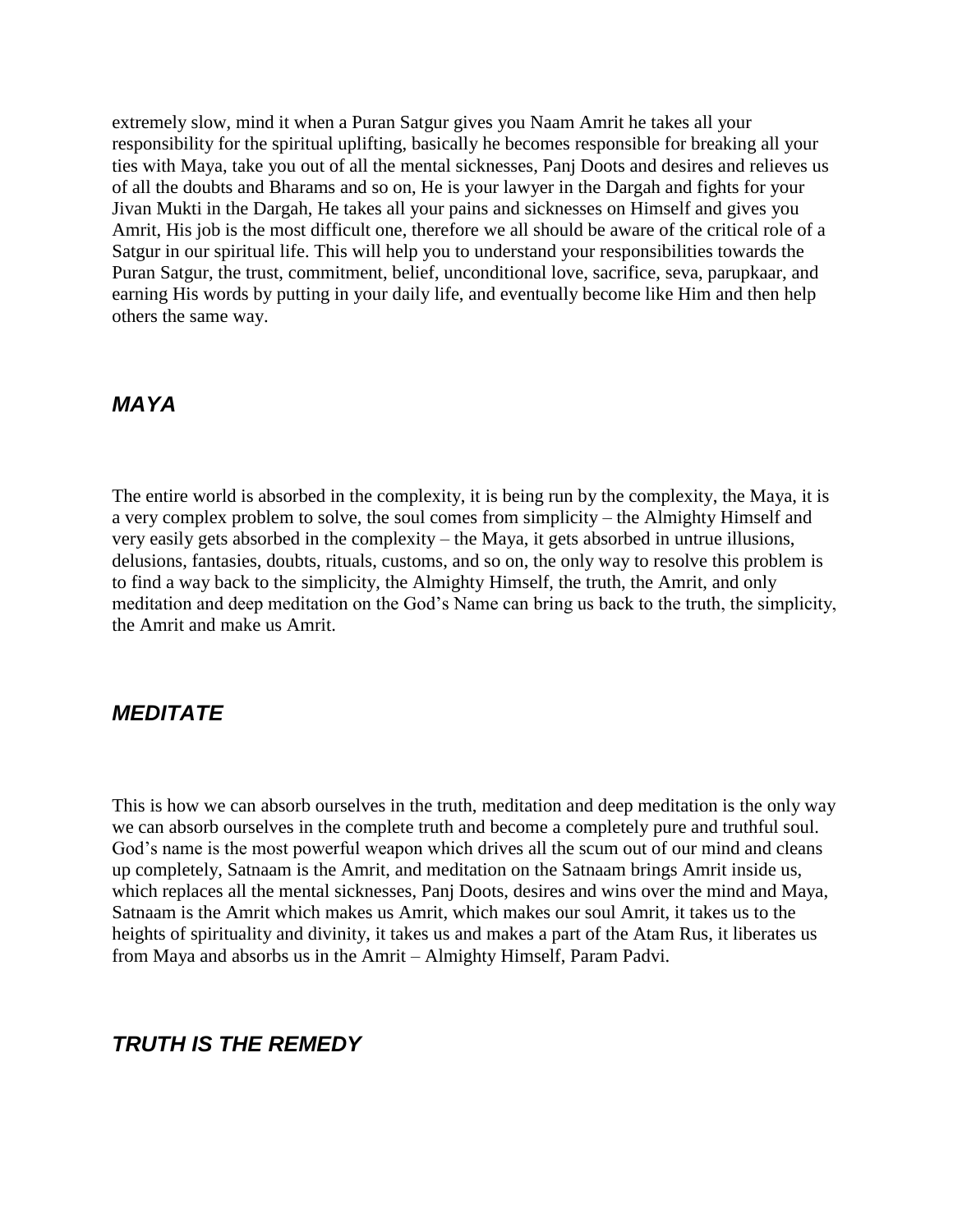extremely slow, mind it when a Puran Satgur gives you Naam Amrit he takes all your responsibility for the spiritual uplifting, basically he becomes responsible for breaking all your ties with Maya, take you out of all the mental sicknesses, Panj Doots and desires and relieves us of all the doubts and Bharams and so on, He is your lawyer in the Dargah and fights for your Jivan Mukti in the Dargah, He takes all your pains and sicknesses on Himself and gives you Amrit, His job is the most difficult one, therefore we all should be aware of the critical role of a Satgur in our spiritual life. This will help you to understand your responsibilities towards the Puran Satgur, the trust, commitment, belief, unconditional love, sacrifice, seva, parupkaar, and earning His words by putting in your daily life, and eventually become like Him and then help others the same way.

#### *MAYA*

The entire world is absorbed in the complexity, it is being run by the complexity, the Maya, it is a very complex problem to solve, the soul comes from simplicity – the Almighty Himself and very easily gets absorbed in the complexity – the Maya, it gets absorbed in untrue illusions, delusions, fantasies, doubts, rituals, customs, and so on, the only way to resolve this problem is to find a way back to the simplicity, the Almighty Himself, the truth, the Amrit, and only meditation and deep meditation on the God"s Name can bring us back to the truth, the simplicity, the Amrit and make us Amrit.

### *MEDITATE*

This is how we can absorb ourselves in the truth, meditation and deep meditation is the only way we can absorb ourselves in the complete truth and become a completely pure and truthful soul. God's name is the most powerful weapon which drives all the scum out of our mind and cleans up completely, Satnaam is the Amrit, and meditation on the Satnaam brings Amrit inside us, which replaces all the mental sicknesses, Panj Doots, desires and wins over the mind and Maya, Satnaam is the Amrit which makes us Amrit, which makes our soul Amrit, it takes us to the heights of spirituality and divinity, it takes us and makes a part of the Atam Rus, it liberates us from Maya and absorbs us in the Amrit – Almighty Himself, Param Padvi.

#### *TRUTH IS THE REMEDY*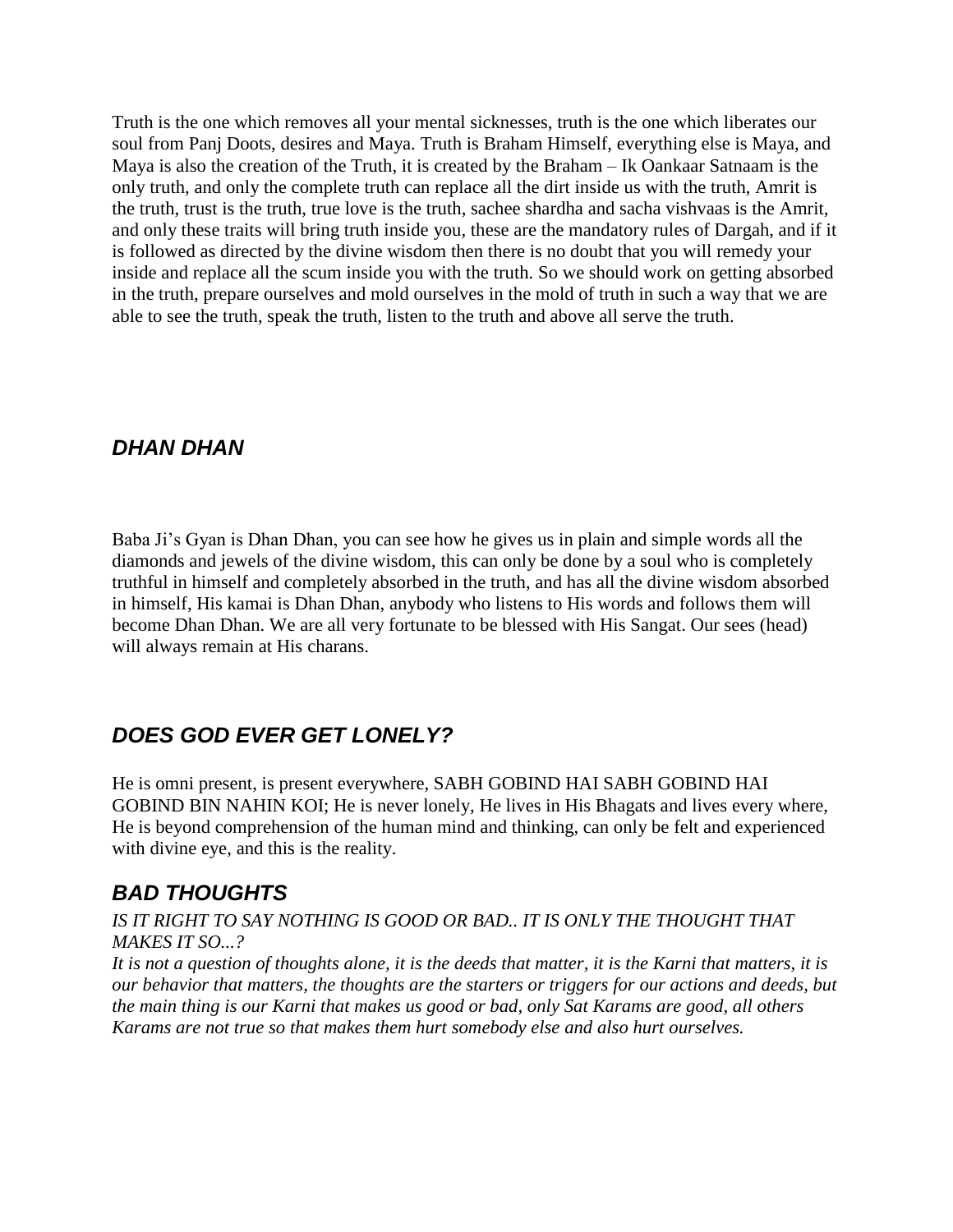Truth is the one which removes all your mental sicknesses, truth is the one which liberates our soul from Panj Doots, desires and Maya. Truth is Braham Himself, everything else is Maya, and Maya is also the creation of the Truth, it is created by the Braham – Ik Oankaar Satnaam is the only truth, and only the complete truth can replace all the dirt inside us with the truth, Amrit is the truth, trust is the truth, true love is the truth, sachee shardha and sacha vishvaas is the Amrit, and only these traits will bring truth inside you, these are the mandatory rules of Dargah, and if it is followed as directed by the divine wisdom then there is no doubt that you will remedy your inside and replace all the scum inside you with the truth. So we should work on getting absorbed in the truth, prepare ourselves and mold ourselves in the mold of truth in such a way that we are able to see the truth, speak the truth, listen to the truth and above all serve the truth.

## *DHAN DHAN*

Baba Ji"s Gyan is Dhan Dhan, you can see how he gives us in plain and simple words all the diamonds and jewels of the divine wisdom, this can only be done by a soul who is completely truthful in himself and completely absorbed in the truth, and has all the divine wisdom absorbed in himself, His kamai is Dhan Dhan, anybody who listens to His words and follows them will become Dhan Dhan. We are all very fortunate to be blessed with His Sangat. Our sees (head) will always remain at His charans.

# *DOES GOD EVER GET LONELY?*

He is omni present, is present everywhere, SABH GOBIND HAI SABH GOBIND HAI GOBIND BIN NAHIN KOI; He is never lonely, He lives in His Bhagats and lives every where, He is beyond comprehension of the human mind and thinking, can only be felt and experienced with divine eye, and this is the reality.

# *BAD THOUGHTS*

*IS IT RIGHT TO SAY NOTHING IS GOOD OR BAD.. IT IS ONLY THE THOUGHT THAT MAKES IT SO...?* 

*It is not a question of thoughts alone, it is the deeds that matter, it is the Karni that matters, it is our behavior that matters, the thoughts are the starters or triggers for our actions and deeds, but the main thing is our Karni that makes us good or bad, only Sat Karams are good, all others Karams are not true so that makes them hurt somebody else and also hurt ourselves.*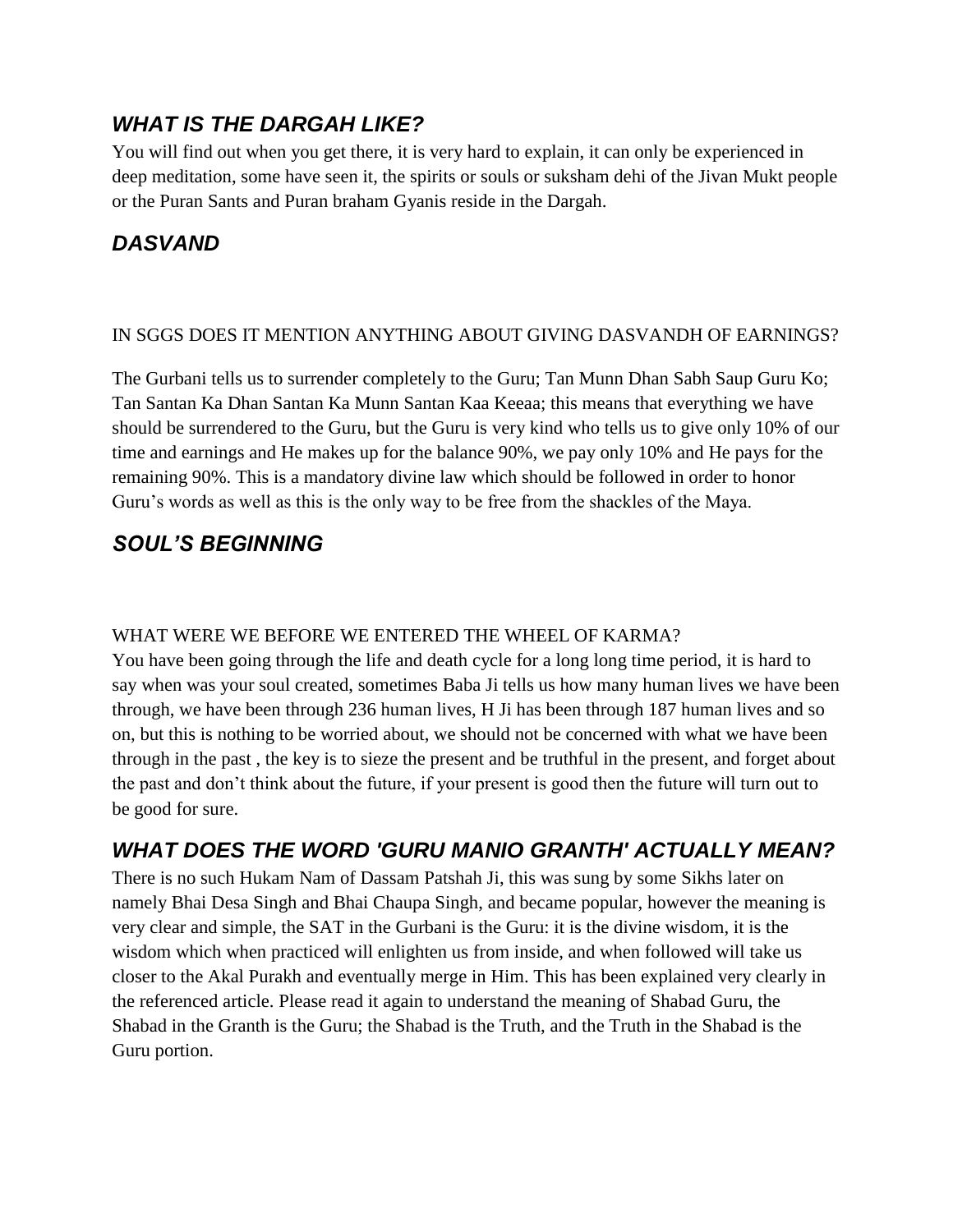## *WHAT IS THE DARGAH LIKE?*

You will find out when you get there, it is very hard to explain, it can only be experienced in deep meditation, some have seen it, the spirits or souls or suksham dehi of the Jivan Mukt people or the Puran Sants and Puran braham Gyanis reside in the Dargah.

## *DASVAND*

#### IN SGGS DOES IT MENTION ANYTHING ABOUT GIVING DASVANDH OF EARNINGS?

The Gurbani tells us to surrender completely to the Guru; Tan Munn Dhan Sabh Saup Guru Ko; Tan Santan Ka Dhan Santan Ka Munn Santan Kaa Keeaa; this means that everything we have should be surrendered to the Guru, but the Guru is very kind who tells us to give only 10% of our time and earnings and He makes up for the balance 90%, we pay only 10% and He pays for the remaining 90%. This is a mandatory divine law which should be followed in order to honor Guru"s words as well as this is the only way to be free from the shackles of the Maya.

# *SOUL'S BEGINNING*

#### WHAT WERE WE BEFORE WE ENTERED THE WHEEL OF KARMA?

You have been going through the life and death cycle for a long long time period, it is hard to say when was your soul created, sometimes Baba Ji tells us how many human lives we have been through, we have been through 236 human lives, H Ji has been through 187 human lives and so on, but this is nothing to be worried about, we should not be concerned with what we have been through in the past , the key is to sieze the present and be truthful in the present, and forget about the past and don"t think about the future, if your present is good then the future will turn out to be good for sure.

# *WHAT DOES THE WORD 'GURU MANIO GRANTH' ACTUALLY MEAN?*

There is no such Hukam Nam of Dassam Patshah Ji, this was sung by some Sikhs later on namely Bhai Desa Singh and Bhai Chaupa Singh, and became popular, however the meaning is very clear and simple, the SAT in the Gurbani is the Guru: it is the divine wisdom, it is the wisdom which when practiced will enlighten us from inside, and when followed will take us closer to the Akal Purakh and eventually merge in Him. This has been explained very clearly in the referenced article. Please read it again to understand the meaning of Shabad Guru, the Shabad in the Granth is the Guru; the Shabad is the Truth, and the Truth in the Shabad is the Guru portion.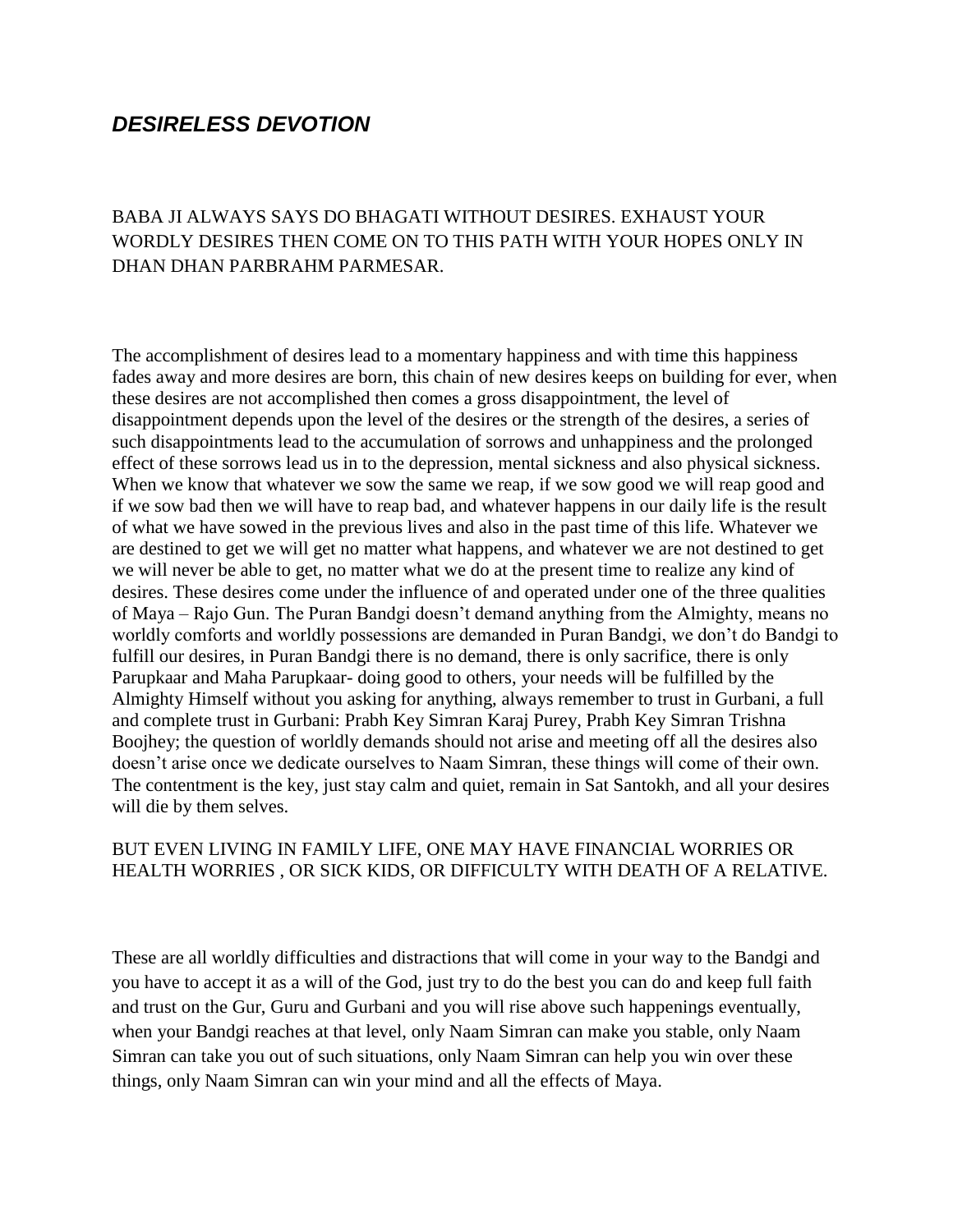#### *DESIRELESS DEVOTION*

#### BABA JI ALWAYS SAYS DO BHAGATI WITHOUT DESIRES. EXHAUST YOUR WORDLY DESIRES THEN COME ON TO THIS PATH WITH YOUR HOPES ONLY IN DHAN DHAN PARBRAHM PARMESAR.

The accomplishment of desires lead to a momentary happiness and with time this happiness fades away and more desires are born, this chain of new desires keeps on building for ever, when these desires are not accomplished then comes a gross disappointment, the level of disappointment depends upon the level of the desires or the strength of the desires, a series of such disappointments lead to the accumulation of sorrows and unhappiness and the prolonged effect of these sorrows lead us in to the depression, mental sickness and also physical sickness. When we know that whatever we sow the same we reap, if we sow good we will reap good and if we sow bad then we will have to reap bad, and whatever happens in our daily life is the result of what we have sowed in the previous lives and also in the past time of this life. Whatever we are destined to get we will get no matter what happens, and whatever we are not destined to get we will never be able to get, no matter what we do at the present time to realize any kind of desires. These desires come under the influence of and operated under one of the three qualities of Maya – Rajo Gun. The Puran Bandgi doesn"t demand anything from the Almighty, means no worldly comforts and worldly possessions are demanded in Puran Bandgi, we don"t do Bandgi to fulfill our desires, in Puran Bandgi there is no demand, there is only sacrifice, there is only Parupkaar and Maha Parupkaar- doing good to others, your needs will be fulfilled by the Almighty Himself without you asking for anything, always remember to trust in Gurbani, a full and complete trust in Gurbani: Prabh Key Simran Karaj Purey, Prabh Key Simran Trishna Boojhey; the question of worldly demands should not arise and meeting off all the desires also doesn"t arise once we dedicate ourselves to Naam Simran, these things will come of their own. The contentment is the key, just stay calm and quiet, remain in Sat Santokh, and all your desires will die by them selves.

#### BUT EVEN LIVING IN FAMILY LIFE, ONE MAY HAVE FINANCIAL WORRIES OR HEALTH WORRIES , OR SICK KIDS, OR DIFFICULTY WITH DEATH OF A RELATIVE.

These are all worldly difficulties and distractions that will come in your way to the Bandgi and you have to accept it as a will of the God, just try to do the best you can do and keep full faith and trust on the Gur, Guru and Gurbani and you will rise above such happenings eventually, when your Bandgi reaches at that level, only Naam Simran can make you stable, only Naam Simran can take you out of such situations, only Naam Simran can help you win over these things, only Naam Simran can win your mind and all the effects of Maya.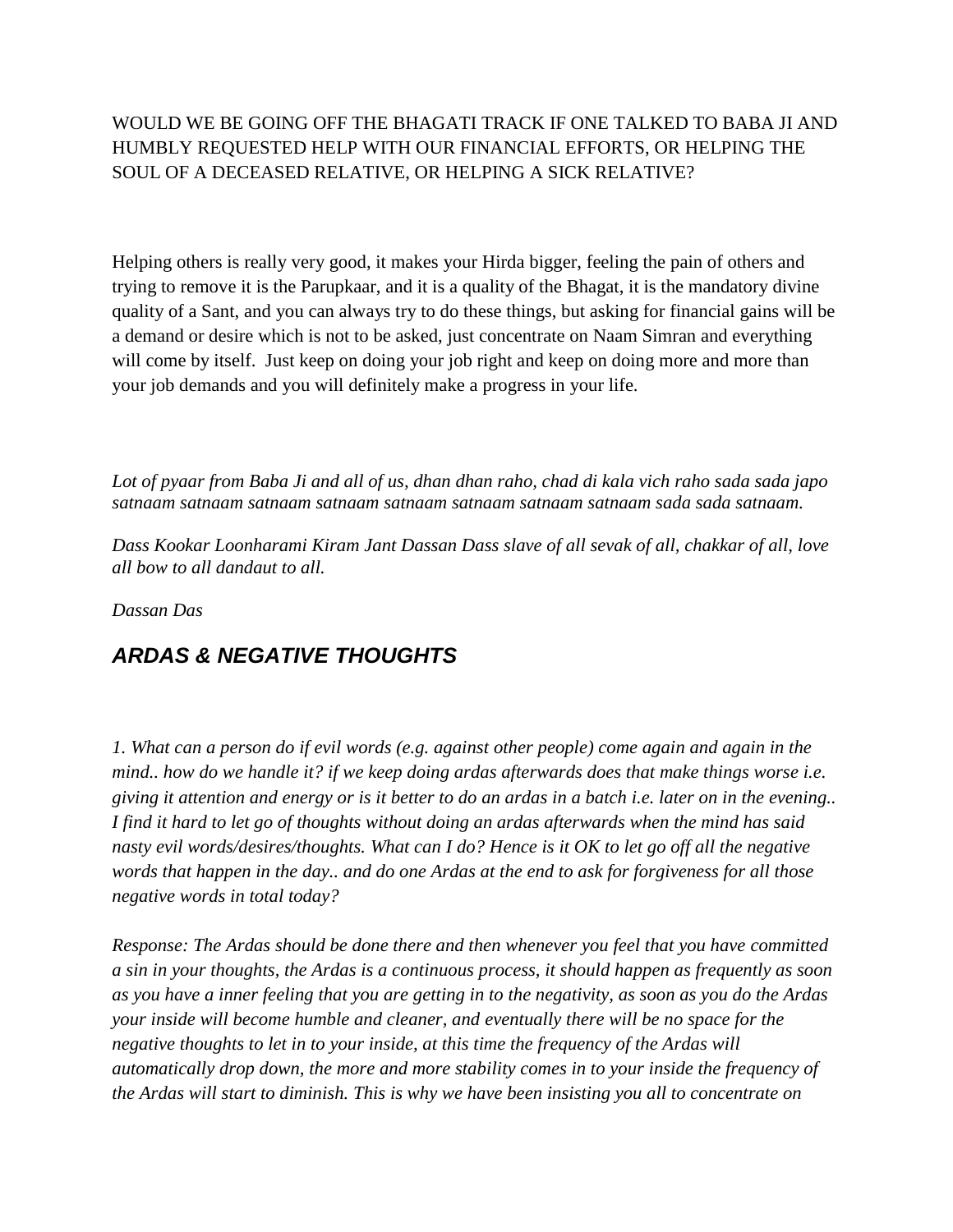#### WOULD WE BE GOING OFF THE BHAGATI TRACK IF ONE TALKED TO BABA JI AND HUMBLY REQUESTED HELP WITH OUR FINANCIAL EFFORTS, OR HELPING THE SOUL OF A DECEASED RELATIVE, OR HELPING A SICK RELATIVE?

Helping others is really very good, it makes your Hirda bigger, feeling the pain of others and trying to remove it is the Parupkaar, and it is a quality of the Bhagat, it is the mandatory divine quality of a Sant, and you can always try to do these things, but asking for financial gains will be a demand or desire which is not to be asked, just concentrate on Naam Simran and everything will come by itself. Just keep on doing your job right and keep on doing more and more than your job demands and you will definitely make a progress in your life.

*Lot of pyaar from Baba Ji and all of us, dhan dhan raho, chad di kala vich raho sada sada japo satnaam satnaam satnaam satnaam satnaam satnaam satnaam satnaam sada sada satnaam.*

*Dass Kookar Loonharami Kiram Jant Dassan Dass slave of all sevak of all, chakkar of all, love all bow to all dandaut to all.*

*Dassan Das*

# *ARDAS & NEGATIVE THOUGHTS*

*1. What can a person do if evil words (e.g. against other people) come again and again in the mind.. how do we handle it? if we keep doing ardas afterwards does that make things worse i.e. giving it attention and energy or is it better to do an ardas in a batch i.e. later on in the evening.. I find it hard to let go of thoughts without doing an ardas afterwards when the mind has said nasty evil words/desires/thoughts. What can I do? Hence is it OK to let go off all the negative words that happen in the day.. and do one Ardas at the end to ask for forgiveness for all those negative words in total today?* 

*Response: The Ardas should be done there and then whenever you feel that you have committed a sin in your thoughts, the Ardas is a continuous process, it should happen as frequently as soon as you have a inner feeling that you are getting in to the negativity, as soon as you do the Ardas your inside will become humble and cleaner, and eventually there will be no space for the negative thoughts to let in to your inside, at this time the frequency of the Ardas will automatically drop down, the more and more stability comes in to your inside the frequency of the Ardas will start to diminish. This is why we have been insisting you all to concentrate on*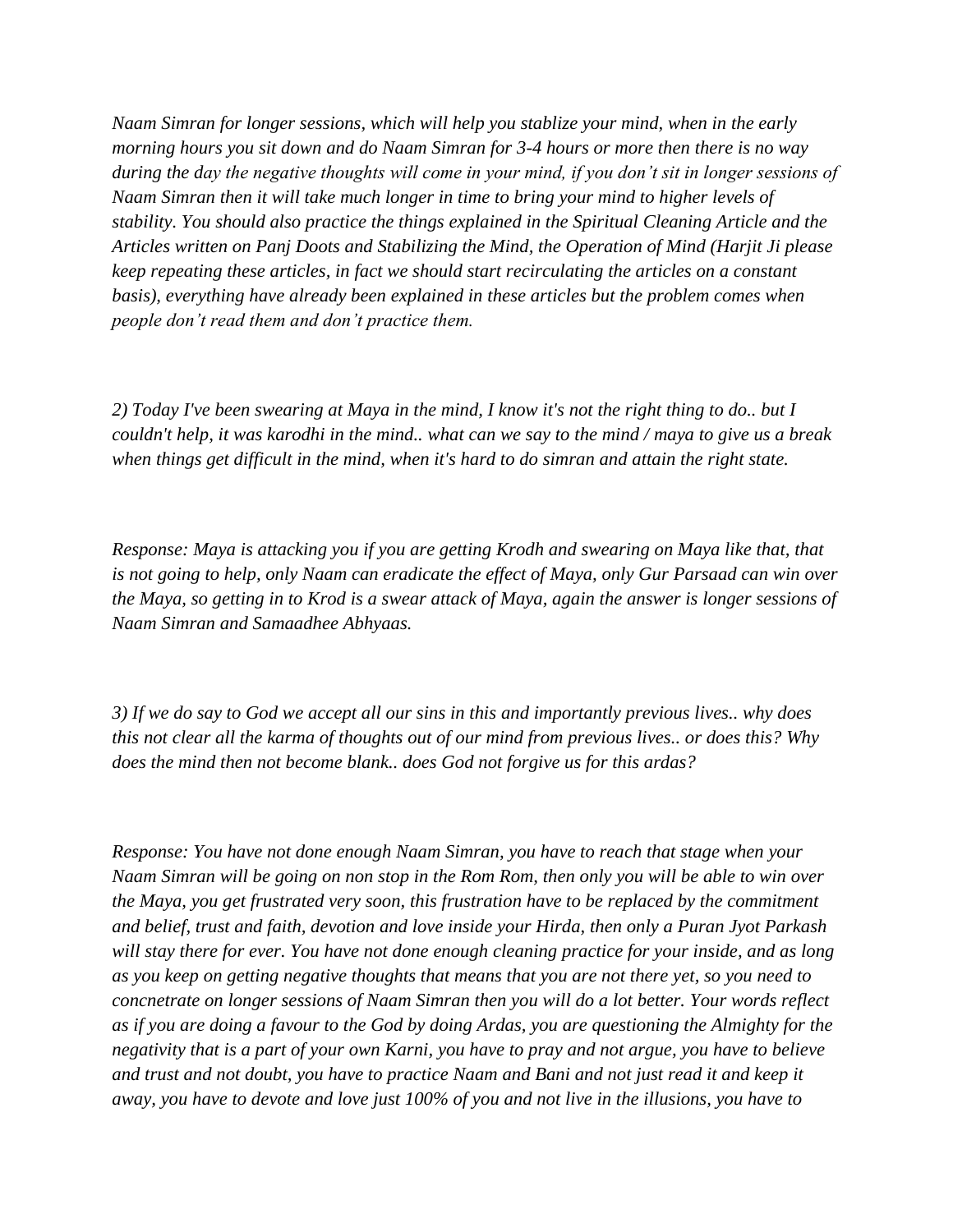*Naam Simran for longer sessions, which will help you stablize your mind, when in the early morning hours you sit down and do Naam Simran for 3-4 hours or more then there is no way during the day the negative thoughts will come in your mind, if you don't sit in longer sessions of Naam Simran then it will take much longer in time to bring your mind to higher levels of stability. You should also practice the things explained in the Spiritual Cleaning Article and the Articles written on Panj Doots and Stabilizing the Mind, the Operation of Mind (Harjit Ji please keep repeating these articles, in fact we should start recirculating the articles on a constant basis), everything have already been explained in these articles but the problem comes when people don't read them and don't practice them.*

*2) Today I've been swearing at Maya in the mind, I know it's not the right thing to do.. but I couldn't help, it was karodhi in the mind.. what can we say to the mind / maya to give us a break when things get difficult in the mind, when it's hard to do simran and attain the right state.* 

*Response: Maya is attacking you if you are getting Krodh and swearing on Maya like that, that is not going to help, only Naam can eradicate the effect of Maya, only Gur Parsaad can win over the Maya, so getting in to Krod is a swear attack of Maya, again the answer is longer sessions of Naam Simran and Samaadhee Abhyaas.*

*3) If we do say to God we accept all our sins in this and importantly previous lives.. why does this not clear all the karma of thoughts out of our mind from previous lives.. or does this? Why does the mind then not become blank.. does God not forgive us for this ardas?*

*Response: You have not done enough Naam Simran, you have to reach that stage when your Naam Simran will be going on non stop in the Rom Rom, then only you will be able to win over the Maya, you get frustrated very soon, this frustration have to be replaced by the commitment and belief, trust and faith, devotion and love inside your Hirda, then only a Puran Jyot Parkash will stay there for ever. You have not done enough cleaning practice for your inside, and as long as you keep on getting negative thoughts that means that you are not there yet, so you need to concnetrate on longer sessions of Naam Simran then you will do a lot better. Your words reflect as if you are doing a favour to the God by doing Ardas, you are questioning the Almighty for the negativity that is a part of your own Karni, you have to pray and not argue, you have to believe and trust and not doubt, you have to practice Naam and Bani and not just read it and keep it away, you have to devote and love just 100% of you and not live in the illusions, you have to*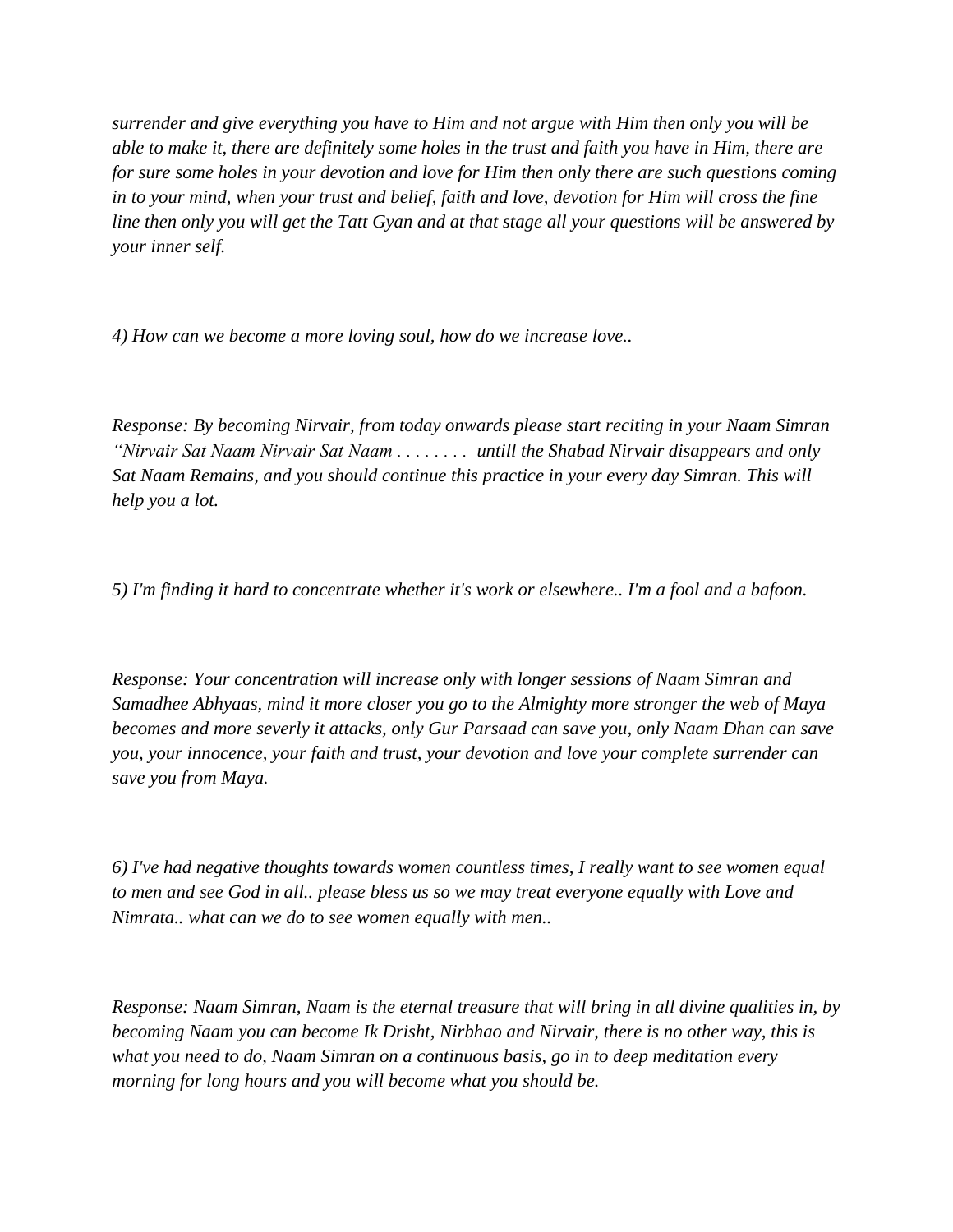*surrender and give everything you have to Him and not argue with Him then only you will be able to make it, there are definitely some holes in the trust and faith you have in Him, there are for sure some holes in your devotion and love for Him then only there are such questions coming in to your mind, when your trust and belief, faith and love, devotion for Him will cross the fine line then only you will get the Tatt Gyan and at that stage all your questions will be answered by your inner self.* 

*4) How can we become a more loving soul, how do we increase love..* 

*Response: By becoming Nirvair, from today onwards please start reciting in your Naam Simran "Nirvair Sat Naam Nirvair Sat Naam . . . . . . . . untill the Shabad Nirvair disappears and only Sat Naam Remains, and you should continue this practice in your every day Simran. This will help you a lot.*

*5) I'm finding it hard to concentrate whether it's work or elsewhere.. I'm a fool and a bafoon.*

*Response: Your concentration will increase only with longer sessions of Naam Simran and Samadhee Abhyaas, mind it more closer you go to the Almighty more stronger the web of Maya becomes and more severly it attacks, only Gur Parsaad can save you, only Naam Dhan can save you, your innocence, your faith and trust, your devotion and love your complete surrender can save you from Maya.*

*6) I've had negative thoughts towards women countless times, I really want to see women equal to men and see God in all.. please bless us so we may treat everyone equally with Love and Nimrata.. what can we do to see women equally with men..*

*Response: Naam Simran, Naam is the eternal treasure that will bring in all divine qualities in, by becoming Naam you can become Ik Drisht, Nirbhao and Nirvair, there is no other way, this is what you need to do, Naam Simran on a continuous basis, go in to deep meditation every morning for long hours and you will become what you should be.*